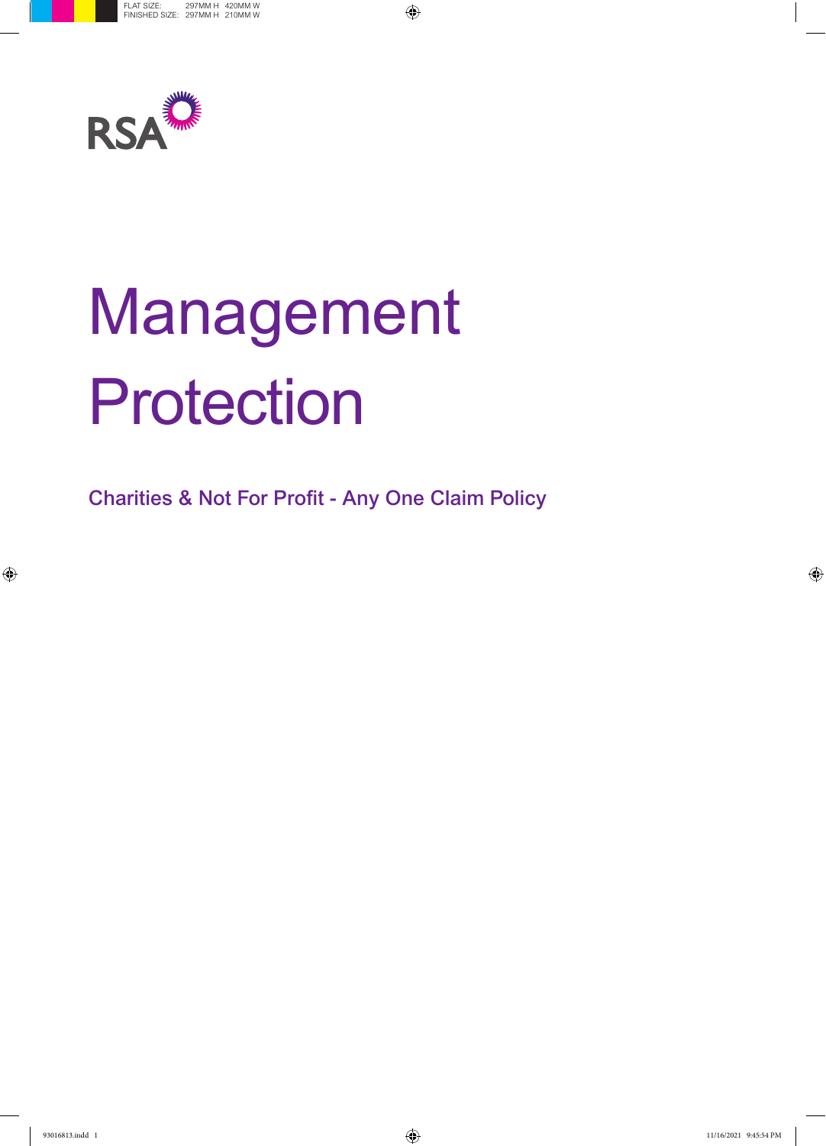

# Management Protection

Charities & Not For Profit - Any One Claim Policy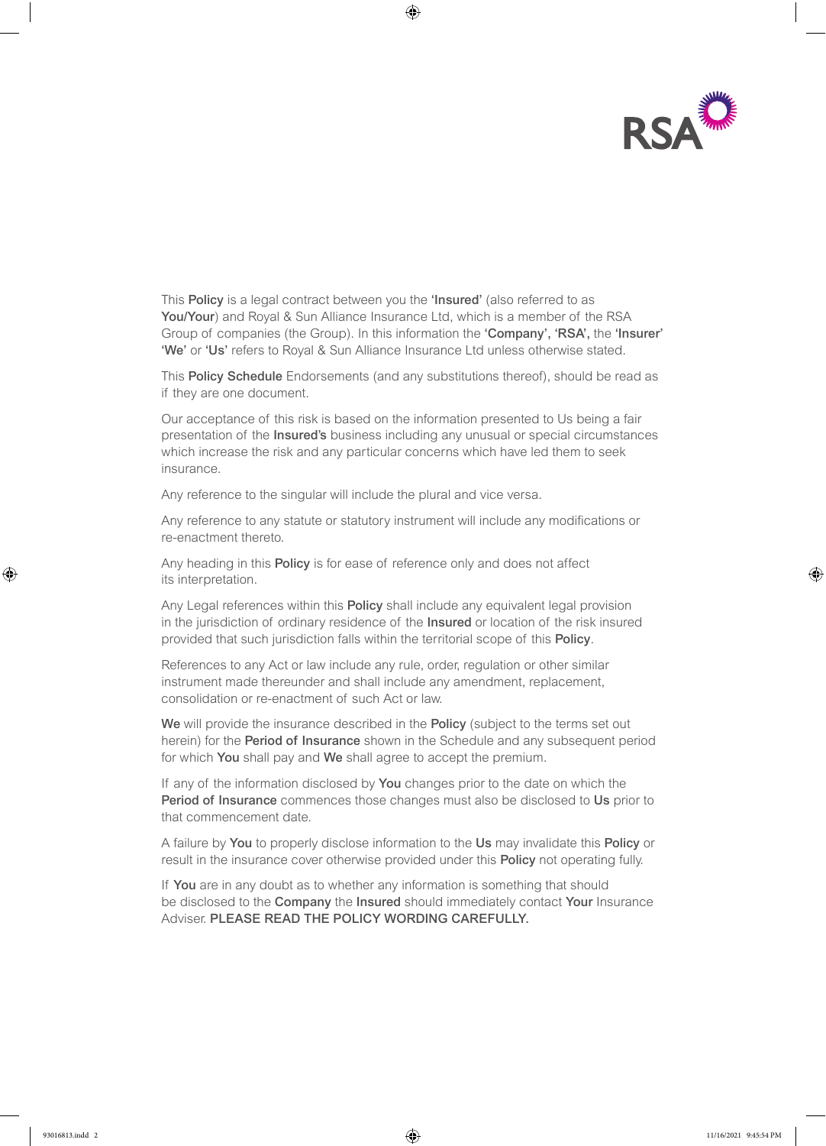

This Policy is a legal contract between you the 'Insured' (also referred to as You/Your) and Royal & Sun Alliance Insurance Ltd, which is a member of the RSA Group of companies (the Group). In this information the 'Company', 'RSA', the 'Insurer' 'We' or 'Us' refers to Royal & Sun Alliance Insurance Ltd unless otherwise stated.

This Policy Schedule Endorsements (and any substitutions thereof), should be read as if they are one document.

Our acceptance of this risk is based on the information presented to Us being a fair presentation of the Insured's business including any unusual or special circumstances which increase the risk and any particular concerns which have led them to seek insurance.

Any reference to the singular will include the plural and vice versa.

Any reference to any statute or statutory instrument will include any modifications or re-enactment thereto.

Any heading in this **Policy** is for ease of reference only and does not affect its interpretation.

Any Legal references within this **Policy** shall include any equivalent legal provision in the jurisdiction of ordinary residence of the Insured or location of the risk insured provided that such jurisdiction falls within the territorial scope of this Policy.

References to any Act or law include any rule, order, regulation or other similar instrument made thereunder and shall include any amendment, replacement, consolidation or re-enactment of such Act or law.

We will provide the insurance described in the Policy (subject to the terms set out herein) for the **Period of Insurance** shown in the Schedule and any subsequent period for which You shall pay and We shall agree to accept the premium.

If any of the information disclosed by **You** changes prior to the date on which the Period of Insurance commences those changes must also be disclosed to Us prior to that commencement date.

A failure by You to properly disclose information to the Us may invalidate this Policy or result in the insurance cover otherwise provided under this **Policy** not operating fully.

If You are in any doubt as to whether any information is something that should be disclosed to the Company the Insured should immediately contact Your Insurance Adviser. PLEASE READ THE POLICY WORDING CAREFULLY.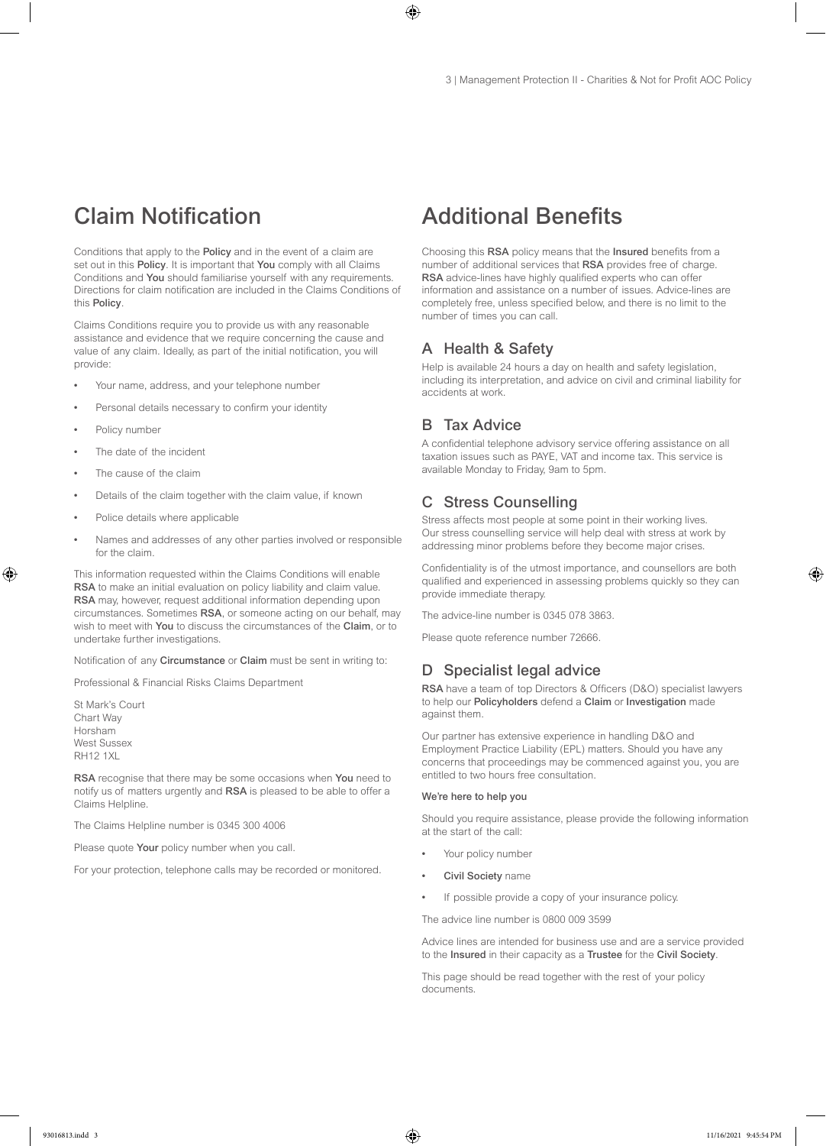# Claim Notification

Conditions that apply to the Policy and in the event of a claim are set out in this Policy. It is important that You comply with all Claims Conditions and You should familiarise yourself with any requirements. Directions for claim notification are included in the Claims Conditions of this Policy.

Claims Conditions require you to provide us with any reasonable assistance and evidence that we require concerning the cause and value of any claim. Ideally, as part of the initial notification, you will provide:

- Your name, address, and your telephone number
- Personal details necessary to confirm your identity
- Policy number
- The date of the incident
- The cause of the claim
- Details of the claim together with the claim value, if known
- Police details where applicable
- Names and addresses of any other parties involved or responsible for the claim.

This information requested within the Claims Conditions will enable RSA to make an initial evaluation on policy liability and claim value. RSA may, however, request additional information depending upon circumstances. Sometimes RSA, or someone acting on our behalf, may wish to meet with You to discuss the circumstances of the Claim, or to undertake further investigations.

Notification of any Circumstance or Claim must be sent in writing to:

Professional & Financial Risks Claims Department

St Mark's Court Chart Way Horsham West Sussex RH12 1XL

RSA recognise that there may be some occasions when You need to notify us of matters urgently and RSA is pleased to be able to offer a Claims Helpline.

The Claims Helpline number is 0345 300 4006

Please quote Your policy number when you call.

For your protection, telephone calls may be recorded or monitored.

# Additional Benefits

Choosing this RSA policy means that the Insured benefits from a number of additional services that RSA provides free of charge. RSA advice-lines have highly qualified experts who can offer information and assistance on a number of issues. Advice-lines are completely free, unless specified below, and there is no limit to the number of times you can call.

# A Health & Safety

Help is available 24 hours a day on health and safety legislation, including its interpretation, and advice on civil and criminal liability for accidents at work.

# **B** Tax Advice

A confidential telephone advisory service offering assistance on all taxation issues such as PAYE, VAT and income tax. This service is available Monday to Friday, 9am to 5pm.

#### C Stress Counselling

Stress affects most people at some point in their working lives. Our stress counselling service will help deal with stress at work by addressing minor problems before they become major crises.

Confidentiality is of the utmost importance, and counsellors are both qualified and experienced in assessing problems quickly so they can provide immediate therapy.

The advice-line number is 0345 078 3863.

Please quote reference number 72666.

# D Specialist legal advice

RSA have a team of top Directors & Officers (D&O) specialist lawyers to help our Policyholders defend a Claim or Investigation made against them.

Our partner has extensive experience in handling D&O and Employment Practice Liability (EPL) matters. Should you have any concerns that proceedings may be commenced against you, you are entitled to two hours free consultation.

#### We're here to help you

Should you require assistance, please provide the following information at the start of the call:

- Your policy number
- Civil Society name
- If possible provide a copy of your insurance policy.

The advice line number is 0800 009 3599

Advice lines are intended for business use and are a service provided to the Insured in their capacity as a Trustee for the Civil Society.

This page should be read together with the rest of your policy documents.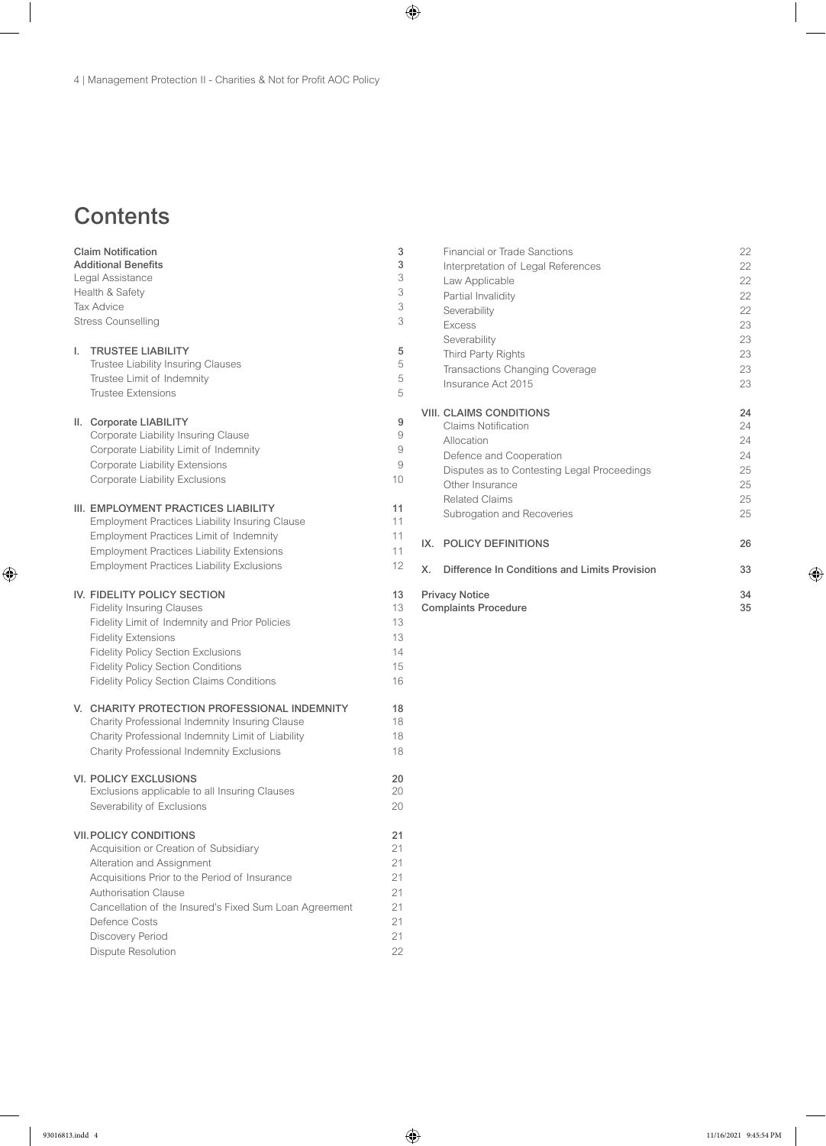# **Contents**

| <b>Claim Notification</b><br><b>Additional Benefits</b><br>Legal Assistance<br>Health & Safety<br><b>Tax Advice</b><br><b>Stress Counselling</b> |                                                                                                                                                                                                                                                                                                          | 3<br>3<br>3<br>3<br>3<br>3                         |
|--------------------------------------------------------------------------------------------------------------------------------------------------|----------------------------------------------------------------------------------------------------------------------------------------------------------------------------------------------------------------------------------------------------------------------------------------------------------|----------------------------------------------------|
| I.                                                                                                                                               | <b>TRUSTEE LIABILITY</b><br>Trustee Liability Insuring Clauses<br>Trustee Limit of Indemnity<br><b>Trustee Extensions</b>                                                                                                                                                                                | 5<br>5<br>5<br>5                                   |
|                                                                                                                                                  | II. Corporate LIABILITY<br>Corporate Liability Insuring Clause<br>Corporate Liability Limit of Indemnity<br>Corporate Liability Extensions<br>Corporate Liability Exclusions                                                                                                                             | 9<br>9<br>9<br>9<br>10                             |
|                                                                                                                                                  | III. EMPLOYMENT PRACTICES LIABILITY<br><b>Employment Practices Liability Insuring Clause</b><br><b>Employment Practices Limit of Indemnity</b><br><b>Employment Practices Liability Extensions</b><br><b>Employment Practices Liability Exclusions</b>                                                   | 11<br>11<br>11<br>11<br>12                         |
|                                                                                                                                                  | IV. FIDELITY POLICY SECTION<br><b>Fidelity Insuring Clauses</b><br>Fidelity Limit of Indemnity and Prior Policies<br><b>Fidelity Extensions</b><br><b>Fidelity Policy Section Exclusions</b><br><b>Fidelity Policy Section Conditions</b><br><b>Fidelity Policy Section Claims Conditions</b>            | 13<br>13<br>13<br>13<br>14<br>15<br>16             |
|                                                                                                                                                  | V. CHARITY PROTECTION PROFESSIONAL INDEMNITY<br>Charity Professional Indemnity Insuring Clause<br>Charity Professional Indemnity Limit of Liability<br>Charity Professional Indemnity Exclusions                                                                                                         | 18<br>18<br>18<br>18                               |
|                                                                                                                                                  | <b>VI. POLICY EXCLUSIONS</b><br>Exclusions applicable to all Insuring Clauses<br>Severability of Exclusions                                                                                                                                                                                              | 20<br>20<br>20                                     |
|                                                                                                                                                  | <b>VII. POLICY CONDITIONS</b><br>Acquisition or Creation of Subsidiary<br>Alteration and Assignment<br>Acquisitions Prior to the Period of Insurance<br>Authorisation Clause<br>Cancellation of the Insured's Fixed Sum Loan Agreement<br>Defence Costs<br>Discovery Period<br><b>Dispute Resolution</b> | 21<br>21<br>21<br>21<br>21<br>21<br>21<br>21<br>22 |

| <b>Financial or Trade Sanctions</b>                  | 22 |
|------------------------------------------------------|----|
| Interpretation of Legal References                   | 22 |
| Law Applicable                                       | 22 |
| Partial Invalidity                                   | 22 |
| Severability                                         | 22 |
| <b>Excess</b>                                        | 23 |
| Severability                                         | 23 |
| Third Party Rights                                   | 23 |
| Transactions Changing Coverage                       | 23 |
| Insurance Act 2015                                   | 23 |
| <b>VIII. CLAIMS CONDITIONS</b>                       | 24 |
| <b>Claims Notification</b>                           | 24 |
| Allocation                                           | 24 |
| Defence and Cooperation                              | 24 |
| Disputes as to Contesting Legal Proceedings          | 25 |
| Other Insurance                                      | 25 |
| <b>Related Claims</b>                                | 25 |
| Subrogation and Recoveries                           | 25 |
| POLICY DEFINITIONS<br>IX.                            | 26 |
| Difference In Conditions and Limits Provision<br>X.  | 33 |
| <b>Privacy Notice</b><br><b>Complaints Procedure</b> |    |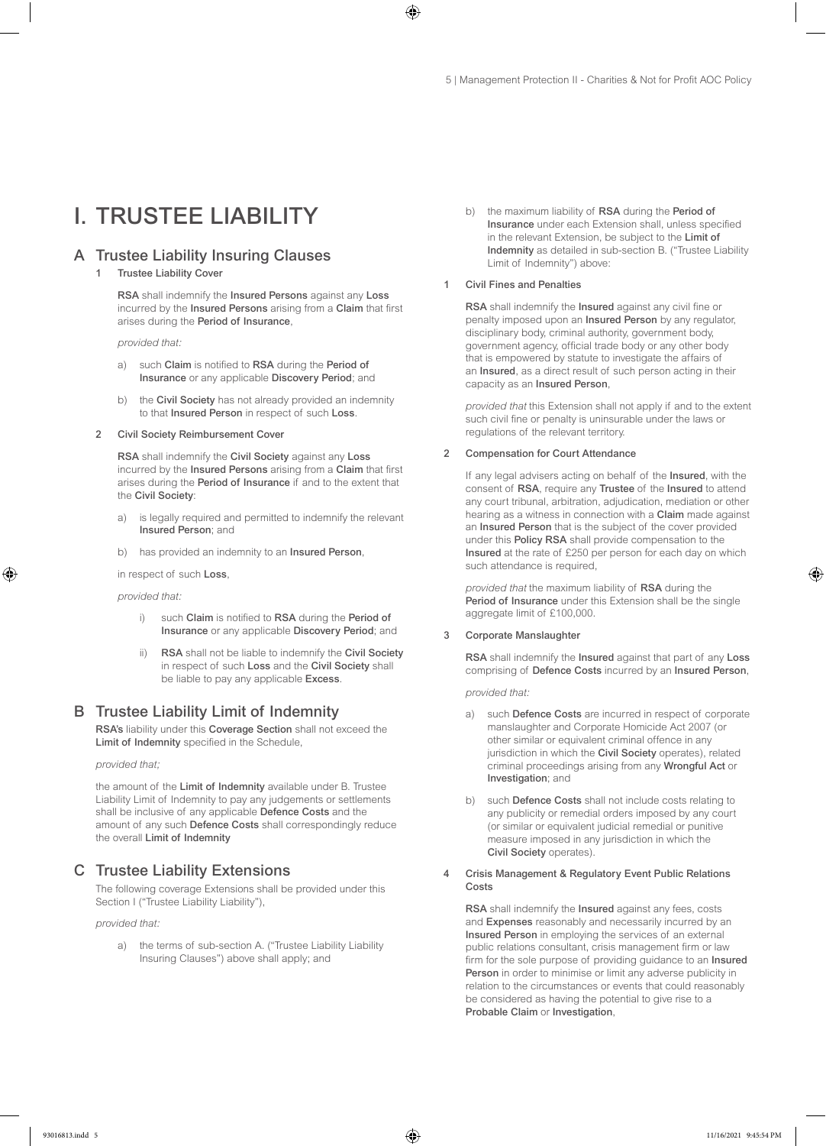# I. TRUSTEE LIABILITY

# A Trustee Liability Insuring Clauses

### 1 Trustee Liability Cover

RSA shall indemnify the Insured Persons against any Loss incurred by the Insured Persons arising from a Claim that first arises during the Period of Insurance,

*provided that:*

- a) such Claim is notified to RSA during the Period of Insurance or any applicable Discovery Period; and
- b) the Civil Society has not already provided an indemnity to that Insured Person in respect of such Loss.

#### 2 Civil Society Reimbursement Cover

RSA shall indemnify the Civil Society against any Loss incurred by the Insured Persons arising from a Claim that first arises during the Period of Insurance if and to the extent that the Civil Society:

- a) is legally required and permitted to indemnify the relevant Insured Person; and
- b) has provided an indemnity to an **Insured Person**,

in respect of such Loss,

*provided that:*

- i) such Claim is notified to RSA during the Period of Insurance or any applicable Discovery Period; and
- RSA shall not be liable to indemnify the Civil Society in respect of such Loss and the Civil Society shall be liable to pay any applicable Excess.

### B Trustee Liability Limit of Indemnity

RSA's liability under this Coverage Section shall not exceed the Limit of Indemnity specified in the Schedule,

#### *provided that;*

the amount of the Limit of Indemnity available under B. Trustee Liability Limit of Indemnity to pay any judgements or settlements shall be inclusive of any applicable Defence Costs and the amount of any such Defence Costs shall correspondingly reduce the overall Limit of Indemnity

# C Trustee Liability Extensions

The following coverage Extensions shall be provided under this Section I ("Trustee Liability Liability"),

*provided that:*

a) the terms of sub-section A. ("Trustee Liability Liability Insuring Clauses") above shall apply; and

b) the maximum liability of RSA during the Period of Insurance under each Extension shall, unless specified in the relevant Extension, be subject to the Limit of Indemnity as detailed in sub-section B. ("Trustee Liability Limit of Indemnity") above:

#### 1 Civil Fines and Penalties

RSA shall indemnify the Insured against any civil fine or penalty imposed upon an Insured Person by any regulator, disciplinary body, criminal authority, government body, government agency, official trade body or any other body that is empowered by statute to investigate the affairs of an Insured, as a direct result of such person acting in their capacity as an Insured Person,

*provided that* this Extension shall not apply if and to the extent such civil fine or penalty is uninsurable under the laws or regulations of the relevant territory.

#### 2 Compensation for Court Attendance

If any legal advisers acting on behalf of the Insured, with the consent of RSA, require any Trustee of the Insured to attend any court tribunal, arbitration, adjudication, mediation or other hearing as a witness in connection with a Claim made against an Insured Person that is the subject of the cover provided under this Policy RSA shall provide compensation to the Insured at the rate of £250 per person for each day on which such attendance is required,

*provided that* the maximum liability of RSA during the Period of Insurance under this Extension shall be the single aggregate limit of £100,000.

#### 3 Corporate Manslaughter

RSA shall indemnify the Insured against that part of any Loss comprising of Defence Costs incurred by an Insured Person,

*provided that:* 

- a) such Defence Costs are incurred in respect of corporate manslaughter and Corporate Homicide Act 2007 (or other similar or equivalent criminal offence in any jurisdiction in which the Civil Society operates), related criminal proceedings arising from any Wrongful Act or Investigation; and
- b) such Defence Costs shall not include costs relating to any publicity or remedial orders imposed by any court (or similar or equivalent judicial remedial or punitive measure imposed in any jurisdiction in which the Civil Society operates).
- 4 Crisis Management & Regulatory Event Public Relations Costs

RSA shall indemnify the Insured against any fees, costs and Expenses reasonably and necessarily incurred by an Insured Person in employing the services of an external public relations consultant, crisis management firm or law firm for the sole purpose of providing guidance to an Insured Person in order to minimise or limit any adverse publicity in relation to the circumstances or events that could reasonably be considered as having the potential to give rise to a Probable Claim or Investigation,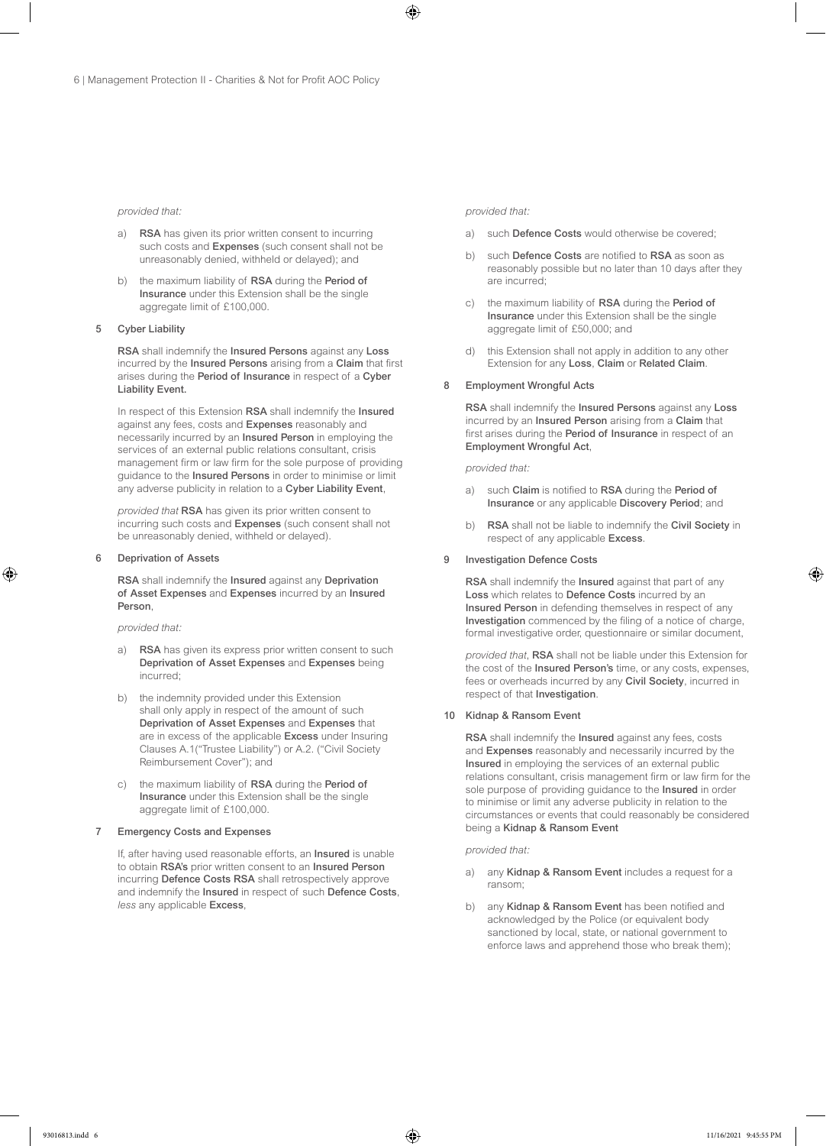#### *provided that:*

- a) RSA has given its prior written consent to incurring such costs and Expenses (such consent shall not be unreasonably denied, withheld or delayed); and
- b) the maximum liability of RSA during the Period of Insurance under this Extension shall be the single aggregate limit of £100,000.

#### 5 Cyber Liability

RSA shall indemnify the Insured Persons against any Loss incurred by the Insured Persons arising from a Claim that first arises during the Period of Insurance in respect of a Cyber Liability Event.

In respect of this Extension RSA shall indemnify the Insured against any fees, costs and Expenses reasonably and necessarily incurred by an Insured Person in employing the services of an external public relations consultant, crisis management firm or law firm for the sole purpose of providing guidance to the Insured Persons in order to minimise or limit any adverse publicity in relation to a Cyber Liability Event,

*provided that* RSA has given its prior written consent to incurring such costs and Expenses (such consent shall not be unreasonably denied, withheld or delayed).

#### 6 Deprivation of Assets

RSA shall indemnify the Insured against any Deprivation of Asset Expenses and Expenses incurred by an Insured Person,

*provided that:*

- RSA has given its express prior written consent to such Deprivation of Asset Expenses and Expenses being incurred;
- b) the indemnity provided under this Extension shall only apply in respect of the amount of such Deprivation of Asset Expenses and Expenses that are in excess of the applicable Excess under Insuring Clauses A.1("Trustee Liability") or A.2. ("Civil Society Reimbursement Cover"); and
- c) the maximum liability of RSA during the Period of Insurance under this Extension shall be the single aggregate limit of £100,000.

#### 7 Emergency Costs and Expenses

If, after having used reasonable efforts, an Insured is unable to obtain RSA's prior written consent to an Insured Person incurring Defence Costs RSA shall retrospectively approve and indemnify the Insured in respect of such Defence Costs, *less* any applicable Excess,

#### *provided that:*

- a) such Defence Costs would otherwise be covered;
- b) such Defence Costs are notified to RSA as soon as reasonably possible but no later than 10 days after they are incurred;
- c) the maximum liability of RSA during the Period of Insurance under this Extension shall be the single aggregate limit of £50,000; and
- d) this Extension shall not apply in addition to any other Extension for any Loss, Claim or Related Claim.

#### 8 Employment Wrongful Acts

RSA shall indemnify the Insured Persons against any Loss incurred by an Insured Person arising from a Claim that first arises during the Period of Insurance in respect of an Employment Wrongful Act,

#### *provided that:*

- a) such Claim is notified to RSA during the Period of Insurance or any applicable Discovery Period; and
- b) RSA shall not be liable to indemnify the Civil Society in respect of any applicable Excess.

#### 9 Investigation Defence Costs

RSA shall indemnify the Insured against that part of any Loss which relates to Defence Costs incurred by an Insured Person in defending themselves in respect of any Investigation commenced by the filing of a notice of charge, formal investigative order, questionnaire or similar document,

*provided that*, RSA shall not be liable under this Extension for the cost of the Insured Person's time, or any costs, expenses, fees or overheads incurred by any Civil Society, incurred in respect of that Investigation.

#### 10 Kidnap & Ransom Event

RSA shall indemnify the Insured against any fees, costs and Expenses reasonably and necessarily incurred by the Insured in employing the services of an external public relations consultant, crisis management firm or law firm for the sole purpose of providing guidance to the Insured in order to minimise or limit any adverse publicity in relation to the circumstances or events that could reasonably be considered being a Kidnap & Ransom Event

#### *provided that:*

- a) any Kidnap & Ransom Event includes a request for a ransom;
- b) any Kidnap & Ransom Event has been notified and acknowledged by the Police (or equivalent body sanctioned by local, state, or national government to enforce laws and apprehend those who break them);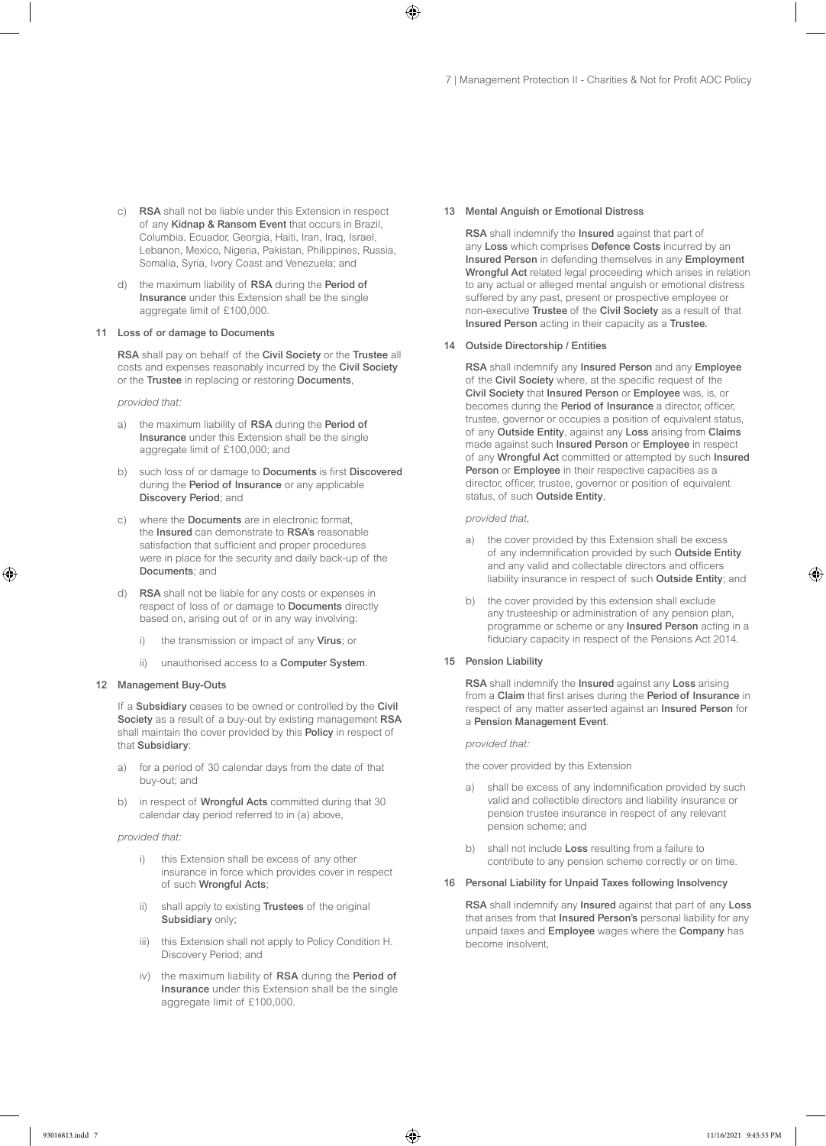- c) RSA shall not be liable under this Extension in respect of any Kidnap & Ransom Event that occurs in Brazil, Columbia, Ecuador, Georgia, Haiti, Iran, Iraq, Israel, Lebanon, Mexico, Nigeria, Pakistan, Philippines, Russia, Somalia, Syria, Ivory Coast and Venezuela; and
- d) the maximum liability of RSA during the Period of Insurance under this Extension shall be the single aggregate limit of £100,000.

#### 11 Loss of or damage to Documents

RSA shall pay on behalf of the Civil Society or the Trustee all costs and expenses reasonably incurred by the Civil Society or the Trustee in replacing or restoring Documents,

*provided that:*

- a) the maximum liability of RSA during the Period of Insurance under this Extension shall be the single aggregate limit of £100,000; and
- b) such loss of or damage to Documents is first Discovered during the Period of Insurance or any applicable Discovery Period; and
- c) where the Documents are in electronic format, the Insured can demonstrate to RSA's reasonable satisfaction that sufficient and proper procedures were in place for the security and daily back-up of the Documents; and
- d) RSA shall not be liable for any costs or expenses in respect of loss of or damage to Documents directly based on, arising out of or in any way involving:
	- i) the transmission or impact of any Virus; or
	- ii) unauthorised access to a Computer System.

#### 12 Management Buy-Outs

If a Subsidiary ceases to be owned or controlled by the Civil Society as a result of a buy-out by existing management RSA shall maintain the cover provided by this Policy in respect of that Subsidiary:

- a) for a period of 30 calendar days from the date of that buy-out; and
- b) in respect of **Wrongful Acts** committed during that 30 calendar day period referred to in (a) above,

#### *provided that:*

- i) this Extension shall be excess of any other insurance in force which provides cover in respect of such Wrongful Acts;
- ii) shall apply to existing Trustees of the original Subsidiary only;
- iii) this Extension shall not apply to Policy Condition H. Discovery Period; and
- iv) the maximum liability of RSA during the Period of Insurance under this Extension shall be the single aggregate limit of £100,000.

#### 13 Mental Anguish or Emotional Distress

RSA shall indemnify the Insured against that part of any Loss which comprises Defence Costs incurred by an Insured Person in defending themselves in any Employment Wrongful Act related legal proceeding which arises in relation to any actual or alleged mental anguish or emotional distress suffered by any past, present or prospective employee or non-executive Trustee of the Civil Society as a result of that Insured Person acting in their capacity as a Trustee.

#### 14 Outside Directorship / Entities

RSA shall indemnify any Insured Person and any Employee of the Civil Society where, at the specific request of the Civil Society that Insured Person or Employee was, is, or becomes during the Period of Insurance a director, officer, trustee, governor or occupies a position of equivalent status, of any Outside Entity, against any Loss arising from Claims made against such Insured Person or Employee in respect of any Wrongful Act committed or attempted by such Insured Person or Employee in their respective capacities as a director, officer, trustee, governor or position of equivalent status, of such Outside Entity,

*provided that,* 

- a) the cover provided by this Extension shall be excess of any indemnification provided by such Outside Entity and any valid and collectable directors and officers liability insurance in respect of such Outside Entity; and
- b) the cover provided by this extension shall exclude any trusteeship or administration of any pension plan, programme or scheme or any Insured Person acting in a fiduciary capacity in respect of the Pensions Act 2014.
- 15 Pension Liability

RSA shall indemnify the Insured against any Loss arising from a Claim that first arises during the Period of Insurance in respect of any matter asserted against an Insured Person for a Pension Management Event.

*provided that:*

the cover provided by this Extension

- a) shall be excess of any indemnification provided by such valid and collectible directors and liability insurance or pension trustee insurance in respect of any relevant pension scheme; and
- b) shall not include Loss resulting from a failure to contribute to any pension scheme correctly or on time.

#### 16 Personal Liability for Unpaid Taxes following Insolvency

RSA shall indemnify any Insured against that part of any Loss that arises from that Insured Person's personal liability for any unpaid taxes and Employee wages where the Company has become insolvent,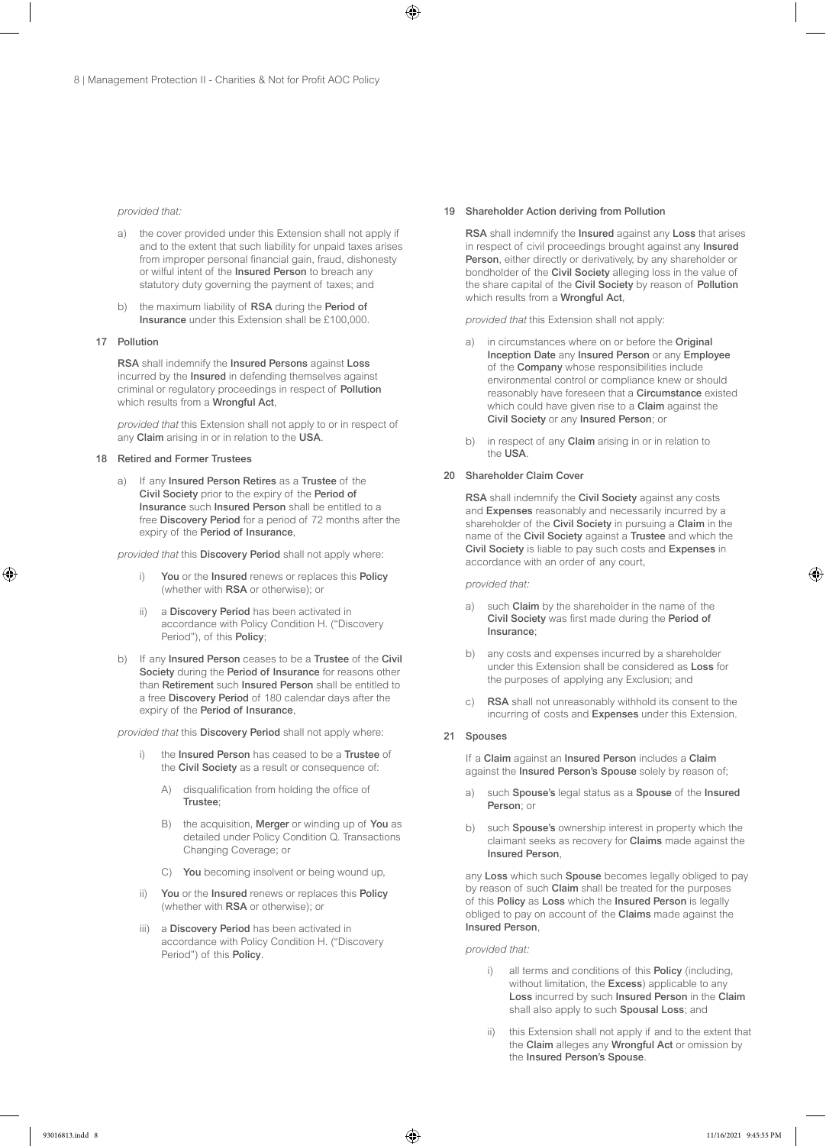#### *provided that:*

- a) the cover provided under this Extension shall not apply if and to the extent that such liability for unpaid taxes arises from improper personal financial gain, fraud, dishonesty or wilful intent of the Insured Person to breach any statutory duty governing the payment of taxes; and
- b) the maximum liability of RSA during the Period of Insurance under this Extension shall be £100,000.

#### 17 Pollution

RSA shall indemnify the Insured Persons against Loss incurred by the Insured in defending themselves against criminal or regulatory proceedings in respect of Pollution which results from a Wrongful Act,

*provided that* this Extension shall not apply to or in respect of any Claim arising in or in relation to the USA.

#### 18 Retired and Former Trustees

a) If any Insured Person Retires as a Trustee of the Civil Society prior to the expiry of the Period of Insurance such Insured Person shall be entitled to a free Discovery Period for a period of 72 months after the expiry of the Period of Insurance,

*provided that* this Discovery Period shall not apply where:

- i) You or the Insured renews or replaces this Policy (whether with RSA or otherwise); or
- ii) a Discovery Period has been activated in accordance with Policy Condition H. ("Discovery Period"), of this Policy;
- b) If any Insured Person ceases to be a Trustee of the Civil Society during the Period of Insurance for reasons other than Retirement such Insured Person shall be entitled to a free Discovery Period of 180 calendar days after the expiry of the Period of Insurance,

*provided that* this Discovery Period shall not apply where:

- i) the Insured Person has ceased to be a Trustee of the Civil Society as a result or consequence of:
	- A) disqualification from holding the office of Trustee;
	- B) the acquisition, Merger or winding up of You as detailed under Policy Condition Q. Transactions Changing Coverage; or
	- C) You becoming insolvent or being wound up,
- ii) You or the Insured renews or replaces this Policy (whether with RSA or otherwise); or
- iii) a Discovery Period has been activated in accordance with Policy Condition H. ("Discovery Period") of this Policy.

#### 19 Shareholder Action deriving from Pollution

RSA shall indemnify the Insured against any Loss that arises in respect of civil proceedings brought against any Insured Person, either directly or derivatively, by any shareholder or bondholder of the Civil Society alleging loss in the value of the share capital of the Civil Society by reason of Pollution which results from a Wrongful Act,

*provided that* this Extension shall not apply:

- a) in circumstances where on or before the Original Inception Date any Insured Person or any Employee of the Company whose responsibilities include environmental control or compliance knew or should reasonably have foreseen that a Circumstance existed which could have given rise to a **Claim** against the Civil Society or any Insured Person; or
- b) in respect of any **Claim** arising in or in relation to the USA.

#### 20 Shareholder Claim Cover

RSA shall indemnify the Civil Society against any costs and Expenses reasonably and necessarily incurred by a shareholder of the Civil Society in pursuing a Claim in the name of the Civil Society against a Trustee and which the Civil Society is liable to pay such costs and Expenses in accordance with an order of any court,

*provided that:*

- a) such Claim by the shareholder in the name of the Civil Society was first made during the Period of Insurance;
- b) any costs and expenses incurred by a shareholder under this Extension shall be considered as Loss for the purposes of applying any Exclusion; and
- c) RSA shall not unreasonably withhold its consent to the incurring of costs and Expenses under this Extension.

#### 21 Spouses

If a Claim against an Insured Person includes a Claim against the Insured Person's Spouse solely by reason of;

- a) such Spouse's legal status as a Spouse of the Insured Person; or
- b) such **Spouse's** ownership interest in property which the claimant seeks as recovery for Claims made against the Insured Person,

any Loss which such Spouse becomes legally obliged to pay by reason of such Claim shall be treated for the purposes of this Policy as Loss which the Insured Person is legally obliged to pay on account of the Claims made against the Insured Person,

*provided that:*

- i) all terms and conditions of this **Policy** (including, without limitation, the Excess) applicable to any Loss incurred by such Insured Person in the Claim shall also apply to such Spousal Loss; and
- ii) this Extension shall not apply if and to the extent that the Claim alleges any Wrongful Act or omission by the Insured Person's Spouse.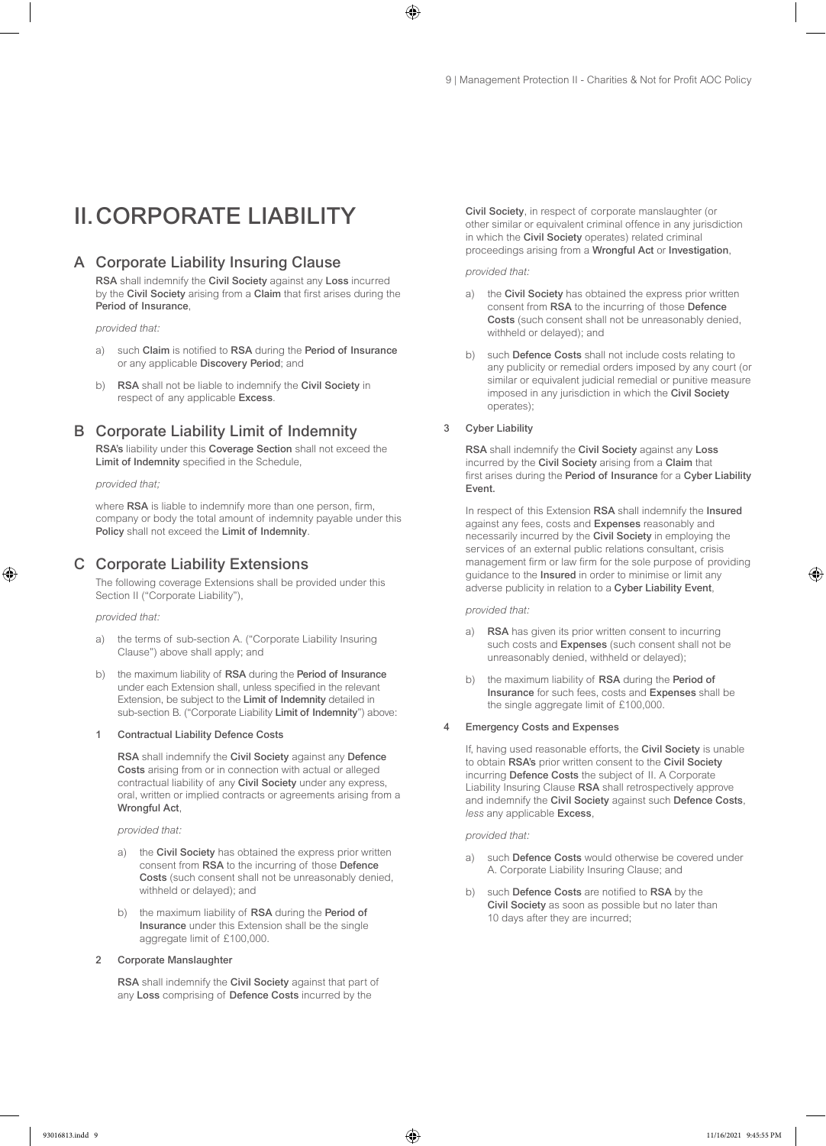# II.CORPORATE LIABILITY

# A Corporate Liability Insuring Clause

RSA shall indemnify the Civil Society against any Loss incurred by the Civil Society arising from a Claim that first arises during the Period of Insurance,

*provided that:*

- a) such Claim is notified to RSA during the Period of Insurance or any applicable Discovery Period; and
- b) RSA shall not be liable to indemnify the Civil Society in respect of any applicable Excess.

# B Corporate Liability Limit of Indemnity

RSA's liability under this Coverage Section shall not exceed the Limit of Indemnity specified in the Schedule,

*provided that;*

where RSA is liable to indemnify more than one person, firm, company or body the total amount of indemnity payable under this Policy shall not exceed the Limit of Indemnity.

# C Corporate Liability Extensions

The following coverage Extensions shall be provided under this Section II ("Corporate Liability"),

*provided that:*

- a) the terms of sub-section A. ("Corporate Liability Insuring Clause") above shall apply; and
- b) the maximum liability of RSA during the Period of Insurance under each Extension shall, unless specified in the relevant Extension, be subject to the Limit of Indemnity detailed in sub-section B. ("Corporate Liability Limit of Indemnity") above:

#### 1 Contractual Liability Defence Costs

RSA shall indemnify the Civil Society against any Defence Costs arising from or in connection with actual or alleged contractual liability of any Civil Society under any express, oral, written or implied contracts or agreements arising from a Wrongful Act,

*provided that:*

- a) the Civil Society has obtained the express prior written consent from RSA to the incurring of those Defence Costs (such consent shall not be unreasonably denied, withheld or delayed); and
- the maximum liability of RSA during the Period of Insurance under this Extension shall be the single aggregate limit of £100,000.

#### 2 Corporate Manslaughter

RSA shall indemnify the Civil Society against that part of any Loss comprising of Defence Costs incurred by the

Civil Society, in respect of corporate manslaughter (or other similar or equivalent criminal offence in any jurisdiction in which the Civil Society operates) related criminal proceedings arising from a Wrongful Act or Investigation,

*provided that:*

- a) the Civil Society has obtained the express prior written consent from RSA to the incurring of those Defence Costs (such consent shall not be unreasonably denied, withheld or delayed); and
- b) such Defence Costs shall not include costs relating to any publicity or remedial orders imposed by any court (or similar or equivalent judicial remedial or punitive measure imposed in any jurisdiction in which the Civil Society operates);

#### 3 Cyber Liability

RSA shall indemnify the Civil Society against any Loss incurred by the Civil Society arising from a Claim that first arises during the Period of Insurance for a Cyber Liability Event.

In respect of this Extension RSA shall indemnify the Insured against any fees, costs and Expenses reasonably and necessarily incurred by the Civil Society in employing the services of an external public relations consultant, crisis management firm or law firm for the sole purpose of providing guidance to the Insured in order to minimise or limit any adverse publicity in relation to a Cyber Liability Event,

*provided that:*

- a) RSA has given its prior written consent to incurring such costs and Expenses (such consent shall not be unreasonably denied, withheld or delayed);
- b) the maximum liability of RSA during the Period of Insurance for such fees, costs and Expenses shall be the single aggregate limit of £100,000.

#### 4 Emergency Costs and Expenses

If, having used reasonable efforts, the Civil Society is unable to obtain RSA's prior written consent to the Civil Society incurring Defence Costs the subject of II. A Corporate Liability Insuring Clause RSA shall retrospectively approve and indemnify the Civil Society against such Defence Costs, *less* any applicable Excess,

*provided that:*

- a) such Defence Costs would otherwise be covered under A. Corporate Liability Insuring Clause; and
- b) such Defence Costs are notified to RSA by the Civil Society as soon as possible but no later than 10 days after they are incurred;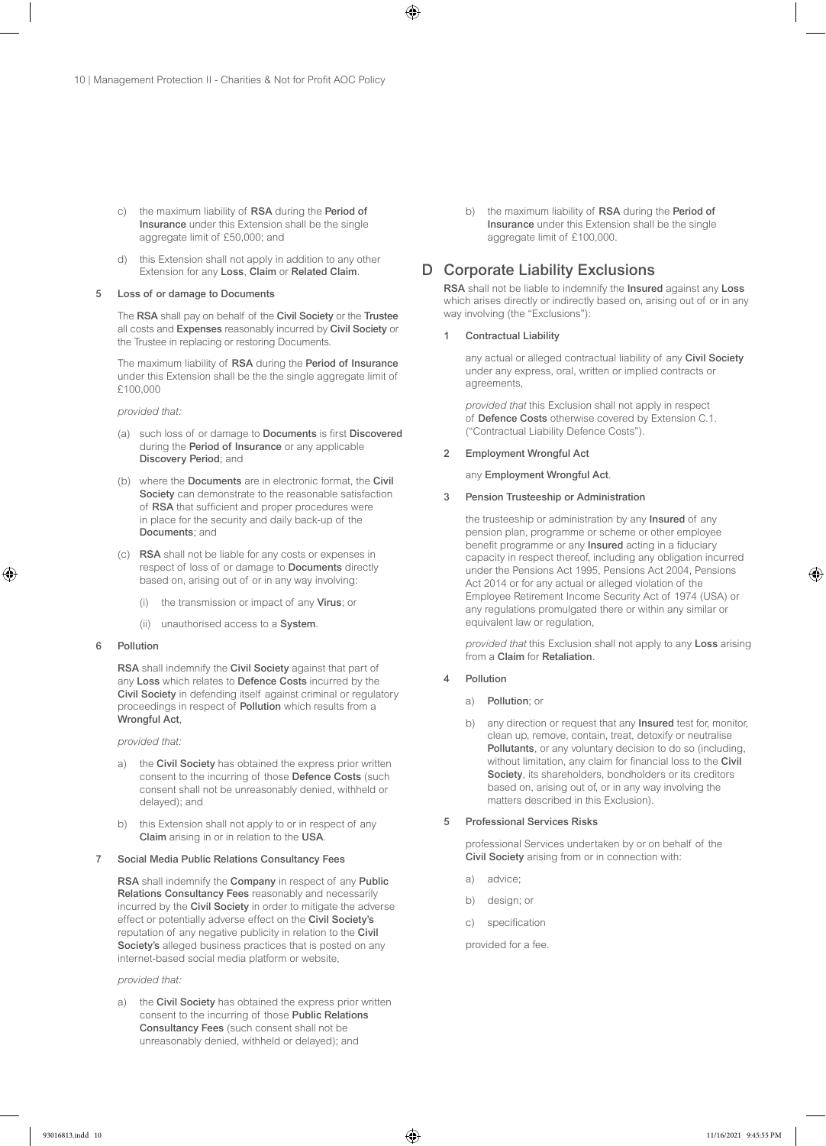- c) the maximum liability of RSA during the Period of Insurance under this Extension shall be the single aggregate limit of £50,000; and
- d) this Extension shall not apply in addition to any other Extension for any Loss, Claim or Related Claim.

#### Loss of or damage to Documents

The RSA shall pay on behalf of the Civil Society or the Trustee all costs and Expenses reasonably incurred by Civil Society or the Trustee in replacing or restoring Documents.

The maximum liability of RSA during the Period of Insurance under this Extension shall be the the single aggregate limit of £100,000

*provided that:*

- (a) such loss of or damage to Documents is first Discovered during the Period of Insurance or any applicable Discovery Period; and
- (b) where the Documents are in electronic format, the Civil Society can demonstrate to the reasonable satisfaction of RSA that sufficient and proper procedures were in place for the security and daily back-up of the Documents; and
- (c) RSA shall not be liable for any costs or expenses in respect of loss of or damage to Documents directly based on, arising out of or in any way involving:
	- (i) the transmission or impact of any Virus; or
	- (ii) unauthorised access to a System.

#### 6 Pollution

RSA shall indemnify the Civil Society against that part of any Loss which relates to Defence Costs incurred by the Civil Society in defending itself against criminal or regulatory proceedings in respect of Pollution which results from a Wrongful Act,

#### *provided that:*

- a) the Civil Society has obtained the express prior written consent to the incurring of those Defence Costs (such consent shall not be unreasonably denied, withheld or delayed); and
- b) this Extension shall not apply to or in respect of any Claim arising in or in relation to the USA.

#### 7 Social Media Public Relations Consultancy Fees

RSA shall indemnify the Company in respect of any Public Relations Consultancy Fees reasonably and necessarily incurred by the Civil Society in order to mitigate the adverse effect or potentially adverse effect on the Civil Society's reputation of any negative publicity in relation to the Civil Society's alleged business practices that is posted on any internet-based social media platform or website,

#### *provided that:*

a) the Civil Society has obtained the express prior written consent to the incurring of those Public Relations Consultancy Fees (such consent shall not be unreasonably denied, withheld or delayed); and

b) the maximum liability of RSA during the Period of Insurance under this Extension shall be the single aggregate limit of £100,000.

# D Corporate Liability Exclusions

RSA shall not be liable to indemnify the Insured against any Loss which arises directly or indirectly based on, arising out of or in any way involving (the "Exclusions"):

#### **Contractual Liability**

any actual or alleged contractual liability of any Civil Society under any express, oral, written or implied contracts or agreements,

*provided that* this Exclusion shall not apply in respect of Defence Costs otherwise covered by Extension C.1. ("Contractual Liability Defence Costs").

#### 2 Employment Wrongful Act

any Employment Wrongful Act.

#### 3 Pension Trusteeship or Administration

the trusteeship or administration by any Insured of any pension plan, programme or scheme or other employee benefit programme or any **Insured** acting in a fiduciary capacity in respect thereof, including any obligation incurred under the Pensions Act 1995, Pensions Act 2004, Pensions Act 2014 or for any actual or alleged violation of the Employee Retirement Income Security Act of 1974 (USA) or any regulations promulgated there or within any similar or equivalent law or regulation,

*provided that* this Exclusion shall not apply to any Loss arising from a Claim for Retaliation.

#### 4 Pollution

- a) Pollution; or
- b) any direction or request that any **Insured** test for, monitor, clean up, remove, contain, treat, detoxify or neutralise Pollutants, or any voluntary decision to do so (including, without limitation, any claim for financial loss to the Civil Society, its shareholders, bondholders or its creditors based on, arising out of, or in any way involving the matters described in this Exclusion).

#### 5 Professional Services Risks

professional Services undertaken by or on behalf of the Civil Society arising from or in connection with:

- a) advice;
- b) design; or
- c) specification
- provided for a fee.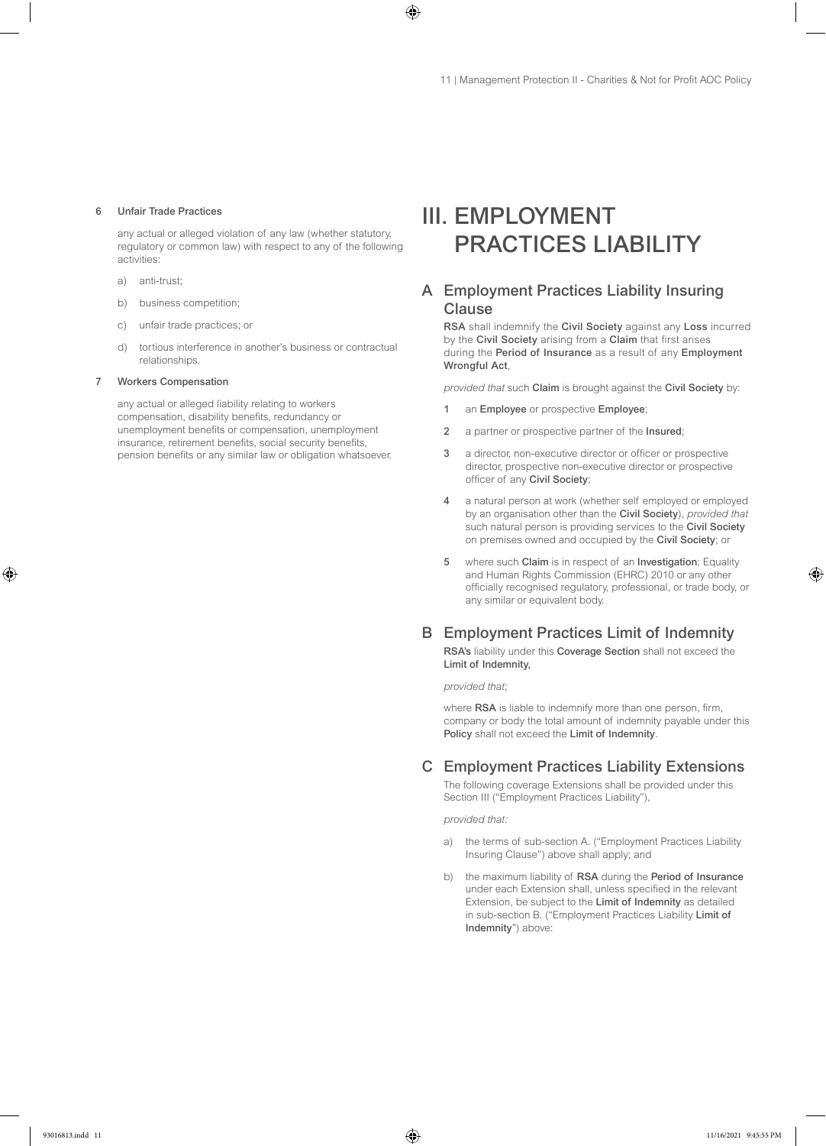#### 6 Unfair Trade Practices

any actual or alleged violation of any law (whether statutory, regulatory or common law) with respect to any of the following activities:

- a) anti-trust;
- b) business competition;
- c) unfair trade practices; or
- d) tortious interference in another's business or contractual relationships.

#### 7 Workers Compensation

any actual or alleged liability relating to workers compensation, disability benefits, redundancy or unemployment benefits or compensation, unemployment insurance, retirement benefits, social security benefits, pension benefits or any similar law or obligation whatsoever.

# III. EMPLOYMENT PRACTICES LIABILITY

# A Employment Practices Liability Insuring Clause

RSA shall indemnify the Civil Society against any Loss incurred by the Civil Society arising from a Claim that first arises during the Period of Insurance as a result of any Employment Wrongful Act,

*provided that* such Claim is brought against the Civil Society by:

- 1 an Employee or prospective Employee;
- 2 a partner or prospective partner of the Insured;
- 3 a director, non-executive director or officer or prospective director, prospective non-executive director or prospective officer of any Civil Society;
- 4 a natural person at work (whether self employed or employed by an organisation other than the Civil Society), *provided that* such natural person is providing services to the Civil Society on premises owned and occupied by the Civil Society; or
- 5 where such Claim is in respect of an Investigation; Equality and Human Rights Commission (EHRC) 2010 or any other officially recognised regulatory, professional, or trade body, or any similar or equivalent body.

### B Employment Practices Limit of Indemnity

RSA's liability under this Coverage Section shall not exceed the Limit of Indemnity,

*provided that;*

where RSA is liable to indemnify more than one person, firm, company or body the total amount of indemnity payable under this Policy shall not exceed the Limit of Indemnity.

# C Employment Practices Liability Extensions

The following coverage Extensions shall be provided under this Section III ("Employment Practices Liability"),

*provided that:*

- a) the terms of sub-section A. ("Employment Practices Liability Insuring Clause") above shall apply; and
- b) the maximum liability of RSA during the Period of Insurance under each Extension shall, unless specified in the relevant Extension, be subject to the Limit of Indemnity as detailed in sub-section B. ("Employment Practices Liability Limit of Indemnity") above: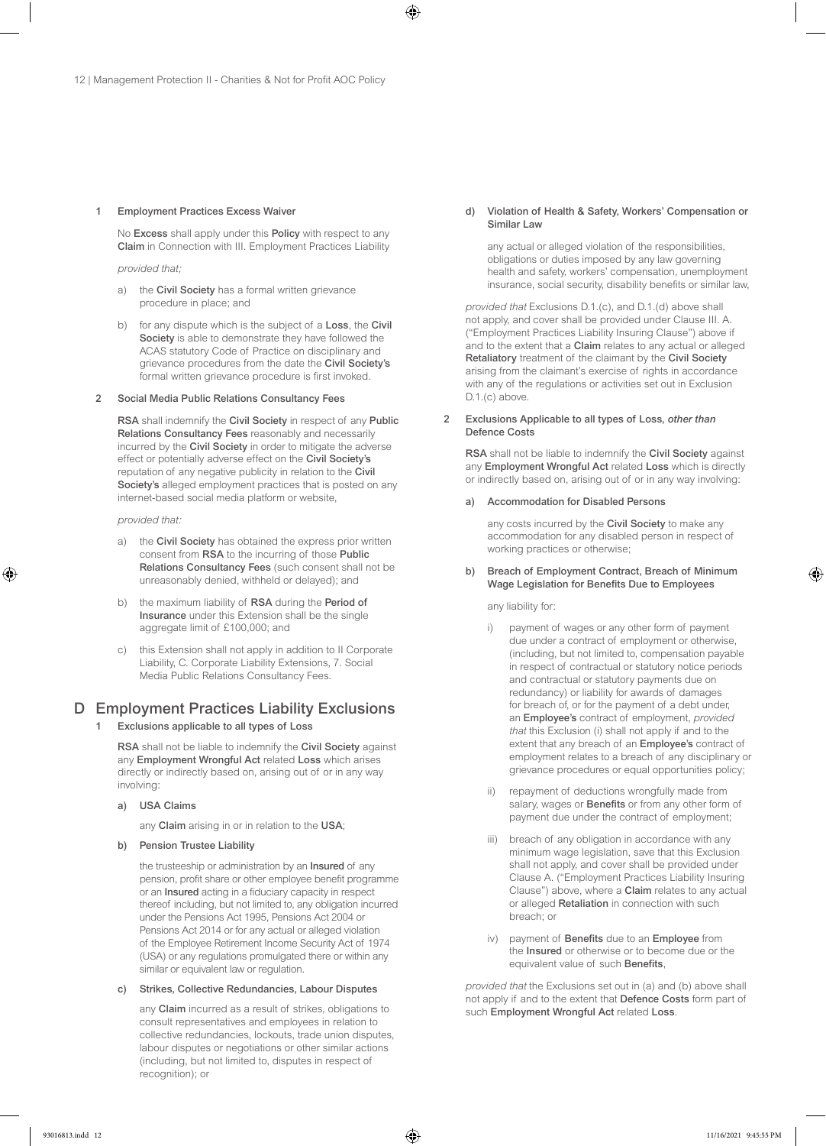#### 1 Employment Practices Excess Waiver

No Excess shall apply under this Policy with respect to any Claim in Connection with III. Employment Practices Liability

*provided that;*

- a) the Civil Society has a formal written grievance procedure in place; and
- b) for any dispute which is the subject of a Loss, the Civil Society is able to demonstrate they have followed the ACAS statutory Code of Practice on disciplinary and grievance procedures from the date the Civil Society's formal written grievance procedure is first invoked.

#### 2 Social Media Public Relations Consultancy Fees

RSA shall indemnify the Civil Society in respect of any Public Relations Consultancy Fees reasonably and necessarily incurred by the Civil Society in order to mitigate the adverse effect or potentially adverse effect on the Civil Society's reputation of any negative publicity in relation to the Civil Society's alleged employment practices that is posted on any internet-based social media platform or website,

#### *provided that:*

- a) the Civil Society has obtained the express prior written consent from RSA to the incurring of those Public Relations Consultancy Fees (such consent shall not be unreasonably denied, withheld or delayed); and
- b) the maximum liability of RSA during the Period of Insurance under this Extension shall be the single aggregate limit of £100,000; and
- this Extension shall not apply in addition to II Corporate Liability, C. Corporate Liability Extensions, 7. Social Media Public Relations Consultancy Fees.

# D Employment Practices Liability Exclusions

Exclusions applicable to all types of Loss

RSA shall not be liable to indemnify the Civil Society against any Employment Wrongful Act related Loss which arises directly or indirectly based on, arising out of or in any way involving:

a) USA Claims

any Claim arising in or in relation to the USA;

#### b) Pension Trustee Liability

the trusteeship or administration by an Insured of any pension, profit share or other employee benefit programme or an Insured acting in a fiduciary capacity in respect thereof including, but not limited to, any obligation incurred under the Pensions Act 1995, Pensions Act 2004 or Pensions Act 2014 or for any actual or alleged violation of the Employee Retirement Income Security Act of 1974 (USA) or any regulations promulgated there or within any similar or equivalent law or regulation.

#### c) Strikes, Collective Redundancies, Labour Disputes

any Claim incurred as a result of strikes, obligations to consult representatives and employees in relation to collective redundancies, lockouts, trade union disputes, labour disputes or negotiations or other similar actions (including, but not limited to, disputes in respect of recognition); or

d) Violation of Health & Safety, Workers' Compensation or Similar Law

any actual or alleged violation of the responsibilities, obligations or duties imposed by any law governing health and safety, workers' compensation, unemployment insurance, social security, disability benefits or similar law,

*provided that* Exclusions D.1.(c), and D.1.(d) above shall not apply, and cover shall be provided under Clause III. A. ("Employment Practices Liability Insuring Clause") above if and to the extent that a Claim relates to any actual or alleged Retaliatory treatment of the claimant by the Civil Society arising from the claimant's exercise of rights in accordance with any of the regulations or activities set out in Exclusion D.1.(c) above.

#### 2 Exclusions Applicable to all types of Loss, *other than* Defence Costs

RSA shall not be liable to indemnify the Civil Society against any Employment Wrongful Act related Loss which is directly or indirectly based on, arising out of or in any way involving:

#### a) Accommodation for Disabled Persons

any costs incurred by the Civil Society to make any accommodation for any disabled person in respect of working practices or otherwise;

#### b) Breach of Employment Contract, Breach of Minimum Wage Legislation for Benefits Due to Employees

any liability for:

- i) payment of wages or any other form of payment due under a contract of employment or otherwise, (including, but not limited to, compensation payable in respect of contractual or statutory notice periods and contractual or statutory payments due on redundancy) or liability for awards of damages for breach of, or for the payment of a debt under, an Employee's contract of employment, *provided that* this Exclusion (i) shall not apply if and to the extent that any breach of an Employee's contract of employment relates to a breach of any disciplinary or grievance procedures or equal opportunities policy;
- ii) repayment of deductions wrongfully made from salary, wages or Benefits or from any other form of payment due under the contract of employment;
- iii) breach of any obligation in accordance with any minimum wage legislation, save that this Exclusion shall not apply, and cover shall be provided under Clause A. ("Employment Practices Liability Insuring Clause") above, where a Claim relates to any actual or alleged Retaliation in connection with such breach; or
- payment of Benefits due to an Employee from the Insured or otherwise or to become due or the equivalent value of such **Benefits**,

*provided that* the Exclusions set out in (a) and (b) above shall not apply if and to the extent that Defence Costs form part of such Employment Wrongful Act related Loss.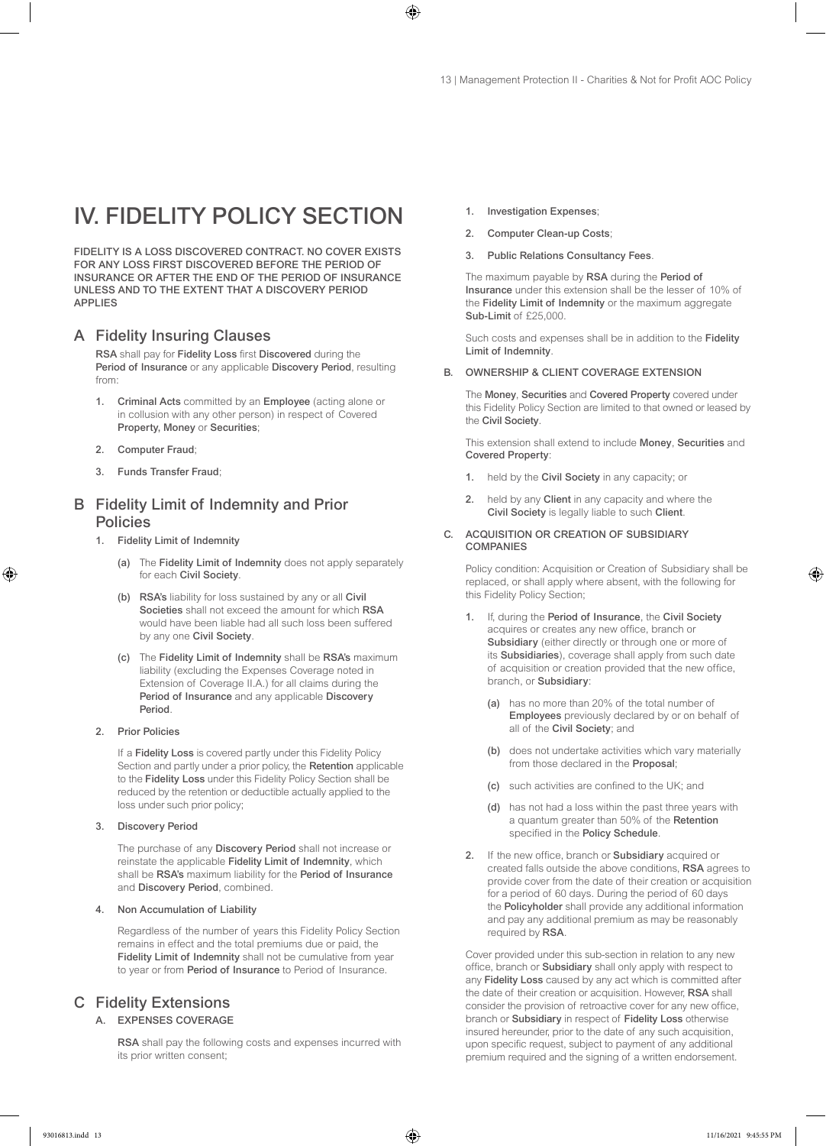# IV. FIDELITY POLICY SECTION

FIDELITY IS A LOSS DISCOVERED CONTRACT. NO COVER EXISTS FOR ANY LOSS FIRST DISCOVERED BEFORE THE PERIOD OF INSURANCE OR AFTER THE END OF THE PERIOD OF INSURANCE UNLESS AND TO THE EXTENT THAT A DISCOVERY PERIOD APPLIES

# A Fidelity Insuring Clauses

RSA shall pay for Fidelity Loss first Discovered during the Period of Insurance or any applicable Discovery Period, resulting from:

- Criminal Acts committed by an Employee (acting alone or in collusion with any other person) in respect of Covered Property, Money or Securities;
- 2. Computer Fraud;
- 3. Funds Transfer Fraud;

# B Fidelity Limit of Indemnity and Prior **Policies**

- 1. Fidelity Limit of Indemnity
	- (a) The Fidelity Limit of Indemnity does not apply separately for each Civil Society.
	- (b) RSA's liability for loss sustained by any or all Civil Societies shall not exceed the amount for which RSA would have been liable had all such loss been suffered by any one Civil Society.
	- (c) The Fidelity Limit of Indemnity shall be RSA's maximum liability (excluding the Expenses Coverage noted in Extension of Coverage II.A.) for all claims during the Period of Insurance and any applicable Discovery Period.

#### 2. Prior Policies

If a Fidelity Loss is covered partly under this Fidelity Policy Section and partly under a prior policy, the Retention applicable to the Fidelity Loss under this Fidelity Policy Section shall be reduced by the retention or deductible actually applied to the loss under such prior policy;

#### 3. Discovery Period

The purchase of any Discovery Period shall not increase or reinstate the applicable Fidelity Limit of Indemnity, which shall be RSA's maximum liability for the Period of Insurance and Discovery Period, combined.

#### 4. Non Accumulation of Liability

Regardless of the number of years this Fidelity Policy Section remains in effect and the total premiums due or paid, the Fidelity Limit of Indemnity shall not be cumulative from year to year or from Period of Insurance to Period of Insurance.

# C Fidelity Extensions

#### A. EXPENSES COVERAGE

RSA shall pay the following costs and expenses incurred with its prior written consent;

- 1. Investigation Expenses;
- 2. Computer Clean-up Costs;
- 3. Public Relations Consultancy Fees.

The maximum payable by RSA during the Period of Insurance under this extension shall be the lesser of 10% of the Fidelity Limit of Indemnity or the maximum aggregate Sub-Limit of £25,000.

Such costs and expenses shall be in addition to the Fidelity Limit of Indemnity.

#### B. OWNERSHIP & CLIENT COVERAGE EXTENSION

The Money, Securities and Covered Property covered under this Fidelity Policy Section are limited to that owned or leased by the Civil Society.

This extension shall extend to include Money, Securities and Covered Property:

- 1. held by the Civil Society in any capacity; or
- 2. held by any Client in any capacity and where the Civil Society is legally liable to such Client.

#### C. ACQUISITION OR CREATION OF SUBSIDIARY **COMPANIES**

Policy condition: Acquisition or Creation of Subsidiary shall be replaced, or shall apply where absent, with the following for this Fidelity Policy Section;

- 1. If, during the Period of Insurance, the Civil Society acquires or creates any new office, branch or Subsidiary (either directly or through one or more of its Subsidiaries), coverage shall apply from such date of acquisition or creation provided that the new office, branch, or Subsidiary:
	- (a) has no more than 20% of the total number of Employees previously declared by or on behalf of all of the Civil Society; and
	- (b) does not undertake activities which vary materially from those declared in the Proposal;
	- (c) such activities are confined to the UK; and
	- (d) has not had a loss within the past three years with a quantum greater than 50% of the Retention specified in the Policy Schedule.
- 2. If the new office, branch or Subsidiary acquired or created falls outside the above conditions, RSA agrees to provide cover from the date of their creation or acquisition for a period of 60 days. During the period of 60 days the Policyholder shall provide any additional information and pay any additional premium as may be reasonably required by RSA.

Cover provided under this sub-section in relation to any new office, branch or Subsidiary shall only apply with respect to any Fidelity Loss caused by any act which is committed after the date of their creation or acquisition. However, RSA shall consider the provision of retroactive cover for any new office, branch or Subsidiary in respect of Fidelity Loss otherwise insured hereunder, prior to the date of any such acquisition, upon specific request, subject to payment of any additional premium required and the signing of a written endorsement.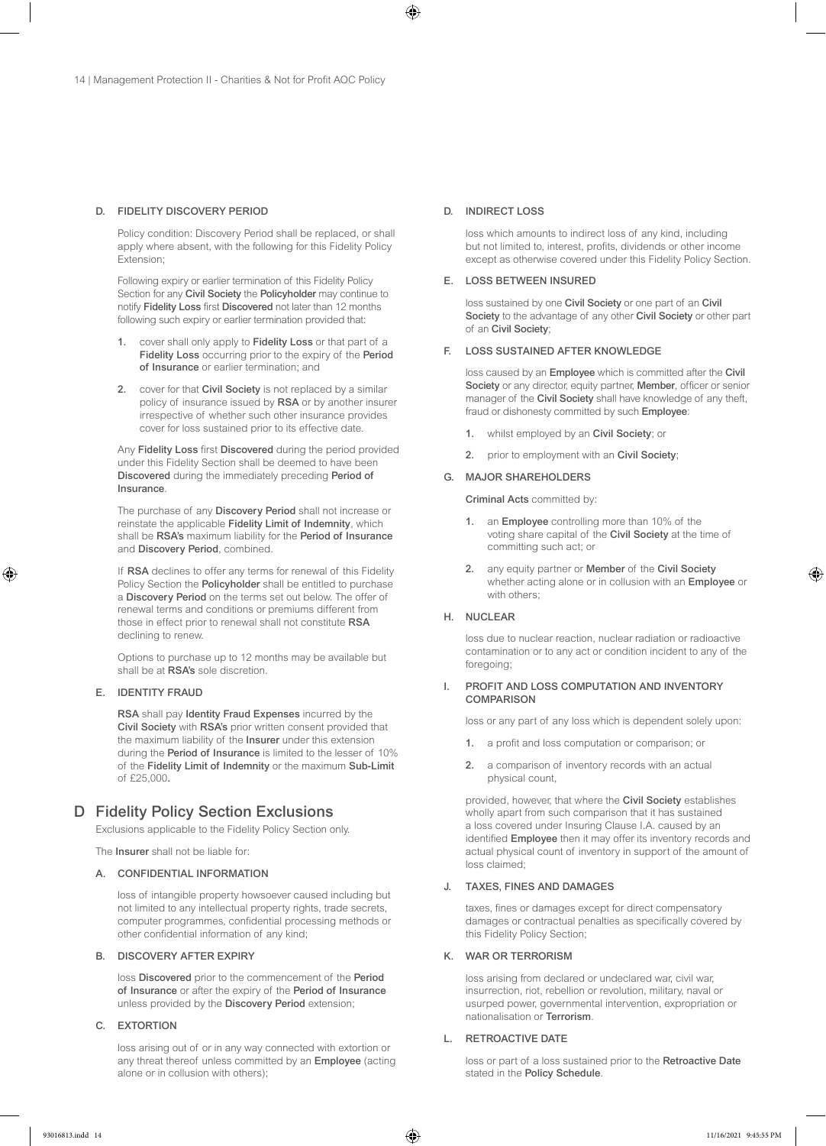#### D. FIDELITY DISCOVERY PERIOD

Policy condition: Discovery Period shall be replaced, or shall apply where absent, with the following for this Fidelity Policy Extension;

Following expiry or earlier termination of this Fidelity Policy Section for any Civil Society the Policyholder may continue to notify Fidelity Loss first Discovered not later than 12 months following such expiry or earlier termination provided that:

- 1. cover shall only apply to Fidelity Loss or that part of a Fidelity Loss occurring prior to the expiry of the Period of Insurance or earlier termination; and
- 2. cover for that Civil Society is not replaced by a similar policy of insurance issued by RSA or by another insurer irrespective of whether such other insurance provides cover for loss sustained prior to its effective date.

Any Fidelity Loss first Discovered during the period provided under this Fidelity Section shall be deemed to have been Discovered during the immediately preceding Period of **Insurance** 

The purchase of any Discovery Period shall not increase or reinstate the applicable Fidelity Limit of Indemnity, which shall be RSA's maximum liability for the Period of Insurance and Discovery Period, combined.

If RSA declines to offer any terms for renewal of this Fidelity Policy Section the Policyholder shall be entitled to purchase a Discovery Period on the terms set out below. The offer of renewal terms and conditions or premiums different from those in effect prior to renewal shall not constitute RSA declining to renew.

Options to purchase up to 12 months may be available but shall be at RSA's sole discretion.

#### E. IDENTITY FRAUD

RSA shall pay Identity Fraud Expenses incurred by the Civil Society with RSA's prior written consent provided that the maximum liability of the Insurer under this extension during the Period of Insurance is limited to the lesser of 10% of the Fidelity Limit of Indemnity or the maximum Sub-Limit of £25,000.

# D Fidelity Policy Section Exclusions

Exclusions applicable to the Fidelity Policy Section only.

The Insurer shall not be liable for:

#### A. CONFIDENTIAL INFORMATION

loss of intangible property howsoever caused including but not limited to any intellectual property rights, trade secrets, computer programmes, confidential processing methods or other confidential information of any kind;

#### B. DISCOVERY AFTER EXPIRY

loss Discovered prior to the commencement of the Period of Insurance or after the expiry of the Period of Insurance unless provided by the Discovery Period extension;

#### C. EXTORTION

loss arising out of or in any way connected with extortion or any threat thereof unless committed by an Employee (acting alone or in collusion with others);

#### D. INDIRECT LOSS

loss which amounts to indirect loss of any kind, including but not limited to, interest, profits, dividends or other income except as otherwise covered under this Fidelity Policy Section.

#### E. LOSS BETWEEN INSURED

loss sustained by one Civil Society or one part of an Civil Society to the advantage of any other Civil Society or other part of an Civil Society;

#### F. LOSS SUSTAINED AFTER KNOWLEDGE

loss caused by an Employee which is committed after the Civil Society or any director, equity partner, Member, officer or senior manager of the Civil Society shall have knowledge of any theft, fraud or dishonesty committed by such Employee:

- whilst employed by an Civil Society; or
- 2. prior to employment with an Civil Society;

#### G. MAJOR SHAREHOLDERS

Criminal Acts committed by:

- 1. an Employee controlling more than 10% of the voting share capital of the Civil Society at the time of committing such act; or
- 2. any equity partner or Member of the Civil Society whether acting alone or in collusion with an Employee or with others:

### H. NUCLEAR

loss due to nuclear reaction, nuclear radiation or radioactive contamination or to any act or condition incident to any of the foregoing;

#### I. PROFIT AND LOSS COMPUTATION AND INVENTORY **COMPARISON**

loss or any part of any loss which is dependent solely upon:

- 1. a profit and loss computation or comparison; or
- 2. a comparison of inventory records with an actual physical count,

provided, however, that where the Civil Society establishes wholly apart from such comparison that it has sustained a loss covered under Insuring Clause I.A. caused by an identified **Employee** then it may offer its inventory records and actual physical count of inventory in support of the amount of loss claimed;

#### J. TAXES, FINES AND DAMAGES

taxes, fines or damages except for direct compensatory damages or contractual penalties as specifically covered by this Fidelity Policy Section;

#### K. WAR OR TERRORISM

loss arising from declared or undeclared war, civil war, insurrection, riot, rebellion or revolution, military, naval or usurped power, governmental intervention, expropriation or nationalisation or Terrorism.

#### L. RETROACTIVE DATE

loss or part of a loss sustained prior to the Retroactive Date stated in the Policy Schedule.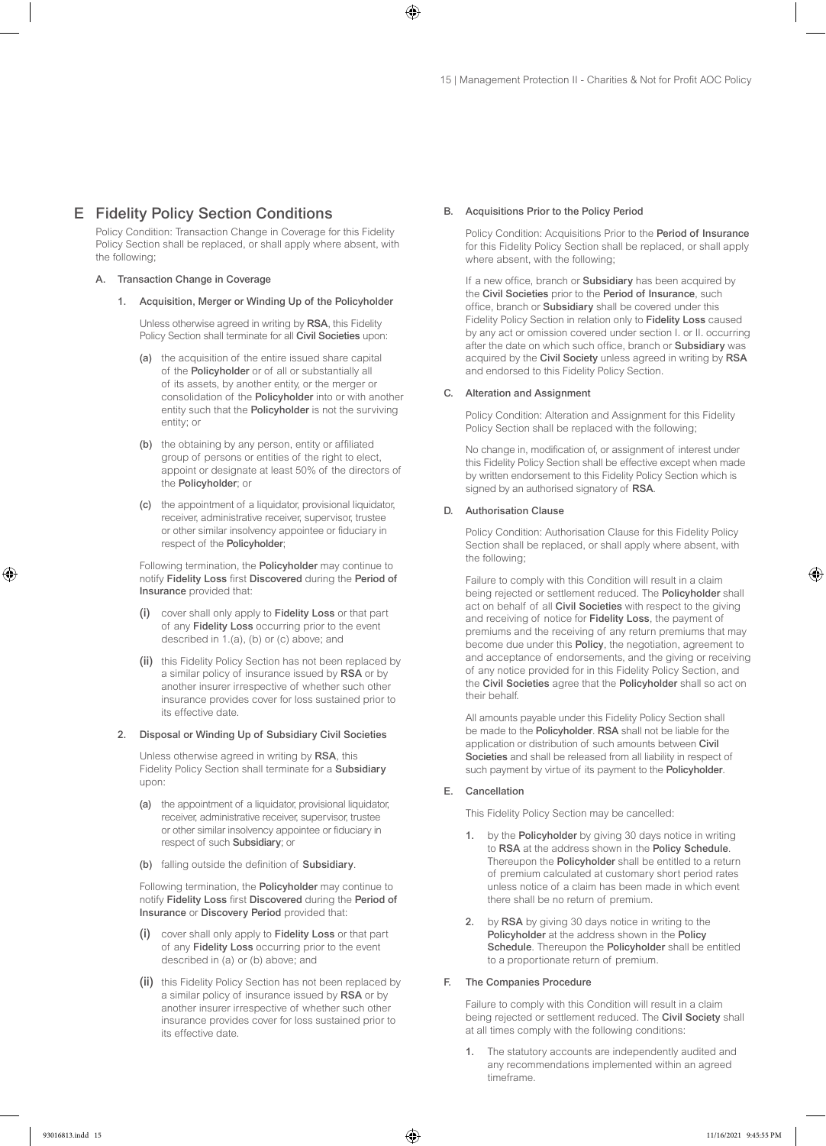# E Fidelity Policy Section Conditions

Policy Condition: Transaction Change in Coverage for this Fidelity Policy Section shall be replaced, or shall apply where absent, with the following;

#### A. Transaction Change in Coverage

1. Acquisition, Merger or Winding Up of the Policyholder

Unless otherwise agreed in writing by RSA, this Fidelity Policy Section shall terminate for all Civil Societies upon:

- (a) the acquisition of the entire issued share capital of the Policyholder or of all or substantially all of its assets, by another entity, or the merger or consolidation of the Policyholder into or with another entity such that the Policyholder is not the surviving entity; or
- (b) the obtaining by any person, entity or affiliated group of persons or entities of the right to elect, appoint or designate at least 50% of the directors of the Policyholder; or
- (c) the appointment of a liquidator, provisional liquidator, receiver, administrative receiver, supervisor, trustee or other similar insolvency appointee or fiduciary in respect of the Policyholder;

Following termination, the Policyholder may continue to notify Fidelity Loss first Discovered during the Period of Insurance provided that:

- (i) cover shall only apply to Fidelity Loss or that part of any Fidelity Loss occurring prior to the event described in 1.(a), (b) or (c) above; and
- (ii) this Fidelity Policy Section has not been replaced by a similar policy of insurance issued by RSA or by another insurer irrespective of whether such other insurance provides cover for loss sustained prior to its effective date.

#### 2. Disposal or Winding Up of Subsidiary Civil Societies

Unless otherwise agreed in writing by RSA, this Fidelity Policy Section shall terminate for a Subsidiary upon:

- (a) the appointment of a liquidator, provisional liquidator, receiver, administrative receiver, supervisor, trustee or other similar insolvency appointee or fiduciary in respect of such Subsidiary; or
- (b) falling outside the definition of Subsidiary.

Following termination, the Policyholder may continue to notify Fidelity Loss first Discovered during the Period of Insurance or Discovery Period provided that:

- (i) cover shall only apply to Fidelity Loss or that part of any Fidelity Loss occurring prior to the event described in (a) or (b) above; and
- (ii) this Fidelity Policy Section has not been replaced by a similar policy of insurance issued by RSA or by another insurer irrespective of whether such other insurance provides cover for loss sustained prior to its effective date.

#### B. Acquisitions Prior to the Policy Period

Policy Condition: Acquisitions Prior to the Period of Insurance for this Fidelity Policy Section shall be replaced, or shall apply where absent, with the following;

If a new office, branch or Subsidiary has been acquired by the Civil Societies prior to the Period of Insurance, such office, branch or Subsidiary shall be covered under this Fidelity Policy Section in relation only to Fidelity Loss caused by any act or omission covered under section I. or II. occurring after the date on which such office, branch or Subsidiary was acquired by the Civil Society unless agreed in writing by RSA and endorsed to this Fidelity Policy Section.

#### C. Alteration and Assignment

Policy Condition: Alteration and Assignment for this Fidelity Policy Section shall be replaced with the following;

No change in, modification of, or assignment of interest under this Fidelity Policy Section shall be effective except when made by written endorsement to this Fidelity Policy Section which is signed by an authorised signatory of RSA.

#### D. Authorisation Clause

Policy Condition: Authorisation Clause for this Fidelity Policy Section shall be replaced, or shall apply where absent, with the following;

Failure to comply with this Condition will result in a claim being rejected or settlement reduced. The Policyholder shall act on behalf of all Civil Societies with respect to the giving and receiving of notice for Fidelity Loss, the payment of premiums and the receiving of any return premiums that may become due under this Policy, the negotiation, agreement to and acceptance of endorsements, and the giving or receiving of any notice provided for in this Fidelity Policy Section, and the Civil Societies agree that the Policyholder shall so act on their behalf.

All amounts payable under this Fidelity Policy Section shall be made to the Policyholder. RSA shall not be liable for the application or distribution of such amounts between Civil Societies and shall be released from all liability in respect of such payment by virtue of its payment to the **Policyholder**.

#### E. Cancellation

This Fidelity Policy Section may be cancelled:

- 1. by the Policyholder by giving 30 days notice in writing to RSA at the address shown in the Policy Schedule. Thereupon the Policyholder shall be entitled to a return of premium calculated at customary short period rates unless notice of a claim has been made in which event there shall be no return of premium.
- 2. by RSA by giving 30 days notice in writing to the Policyholder at the address shown in the Policy Schedule. Thereupon the Policyholder shall be entitled to a proportionate return of premium.

#### F. The Companies Procedure

Failure to comply with this Condition will result in a claim being rejected or settlement reduced. The Civil Society shall at all times comply with the following conditions:

1. The statutory accounts are independently audited and any recommendations implemented within an agreed timeframe.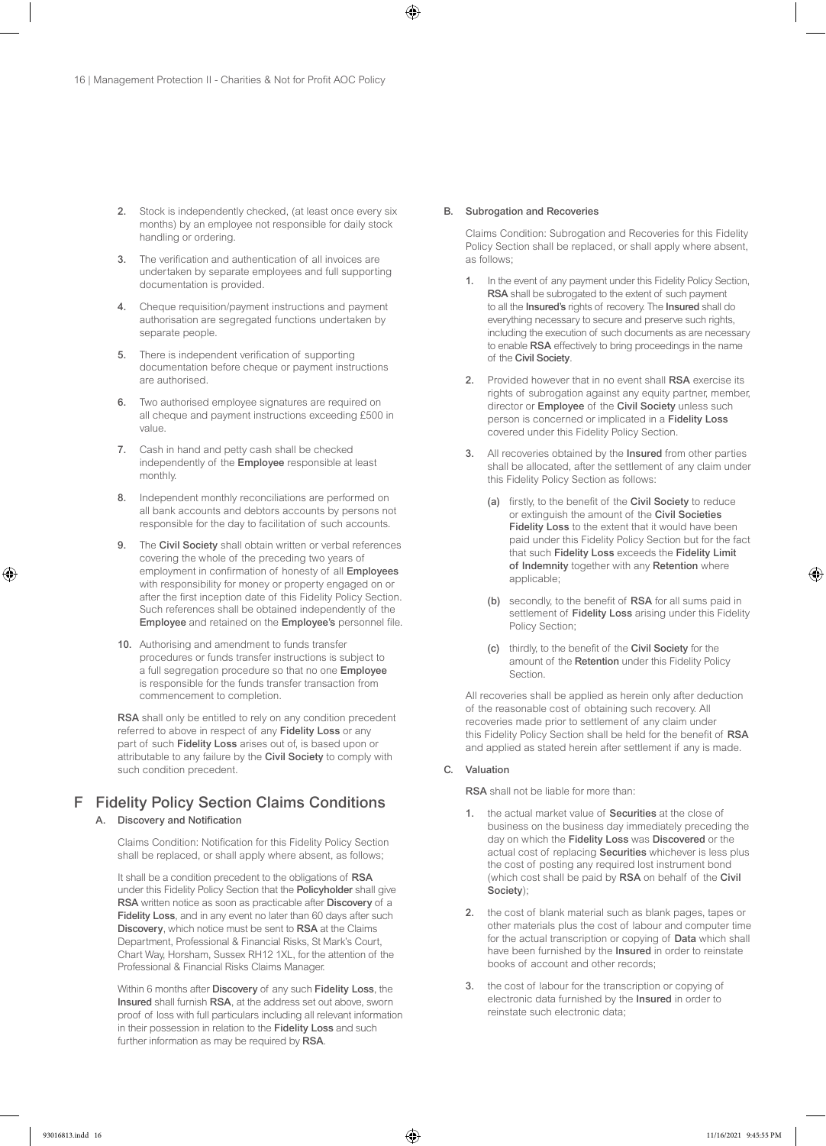- 2. Stock is independently checked, (at least once every six months) by an employee not responsible for daily stock handling or ordering.
- 3. The verification and authentication of all invoices are undertaken by separate employees and full supporting documentation is provided.
- 4. Cheque requisition/payment instructions and payment authorisation are segregated functions undertaken by separate people.
- 5. There is independent verification of supporting documentation before cheque or payment instructions are authorised.
- 6. Two authorised employee signatures are required on all cheque and payment instructions exceeding £500 in value.
- 7. Cash in hand and petty cash shall be checked independently of the Employee responsible at least monthly.
- 8. Independent monthly reconciliations are performed on all bank accounts and debtors accounts by persons not responsible for the day to facilitation of such accounts.
- 9. The Civil Society shall obtain written or verbal references covering the whole of the preceding two years of employment in confirmation of honesty of all Employees with responsibility for money or property engaged on or after the first inception date of this Fidelity Policy Section. Such references shall be obtained independently of the Employee and retained on the Employee's personnel file.
- 10. Authorising and amendment to funds transfer procedures or funds transfer instructions is subject to a full segregation procedure so that no one Employee is responsible for the funds transfer transaction from commencement to completion.

RSA shall only be entitled to rely on any condition precedent referred to above in respect of any Fidelity Loss or any part of such Fidelity Loss arises out of, is based upon or attributable to any failure by the Civil Society to comply with such condition precedent.

# F Fidelity Policy Section Claims Conditions

#### A. Discovery and Notification

Claims Condition: Notification for this Fidelity Policy Section shall be replaced, or shall apply where absent, as follows;

It shall be a condition precedent to the obligations of RSA under this Fidelity Policy Section that the Policyholder shall give RSA written notice as soon as practicable after Discovery of a Fidelity Loss, and in any event no later than 60 days after such Discovery, which notice must be sent to RSA at the Claims Department, Professional & Financial Risks, St Mark's Court, Chart Way, Horsham, Sussex RH12 1XL, for the attention of the Professional & Financial Risks Claims Manager.

Within 6 months after **Discovery** of any such **Fidelity Loss**, the Insured shall furnish RSA, at the address set out above, sworn proof of loss with full particulars including all relevant information in their possession in relation to the Fidelity Loss and such further information as may be required by RSA.

#### B. Subrogation and Recoveries

Claims Condition: Subrogation and Recoveries for this Fidelity Policy Section shall be replaced, or shall apply where absent, as follows;

- 1. In the event of any payment under this Fidelity Policy Section, RSA shall be subrogated to the extent of such payment to all the Insured's rights of recovery. The Insured shall do everything necessary to secure and preserve such rights, including the execution of such documents as are necessary to enable RSA effectively to bring proceedings in the name of the Civil Society.
- 2. Provided however that in no event shall RSA exercise its rights of subrogation against any equity partner, member, director or Employee of the Civil Society unless such person is concerned or implicated in a Fidelity Loss covered under this Fidelity Policy Section.
- 3. All recoveries obtained by the Insured from other parties shall be allocated, after the settlement of any claim under this Fidelity Policy Section as follows:
	- (a) firstly, to the benefit of the Civil Society to reduce or extinguish the amount of the Civil Societies Fidelity Loss to the extent that it would have been paid under this Fidelity Policy Section but for the fact that such Fidelity Loss exceeds the Fidelity Limit of Indemnity together with any Retention where applicable;
	- (b) secondly, to the benefit of RSA for all sums paid in settlement of Fidelity Loss arising under this Fidelity Policy Section;
	- (c) thirdly, to the benefit of the Civil Society for the amount of the Retention under this Fidelity Policy **Section**

All recoveries shall be applied as herein only after deduction of the reasonable cost of obtaining such recovery. All recoveries made prior to settlement of any claim under this Fidelity Policy Section shall be held for the benefit of RSA and applied as stated herein after settlement if any is made.

#### C. Valuation

RSA shall not be liable for more than:

- 1. the actual market value of Securities at the close of business on the business day immediately preceding the day on which the Fidelity Loss was Discovered or the actual cost of replacing Securities whichever is less plus the cost of posting any required lost instrument bond (which cost shall be paid by RSA on behalf of the Civil Society);
- 2. the cost of blank material such as blank pages, tapes or other materials plus the cost of labour and computer time for the actual transcription or copying of Data which shall have been furnished by the Insured in order to reinstate books of account and other records;
- 3. the cost of labour for the transcription or copying of electronic data furnished by the Insured in order to reinstate such electronic data;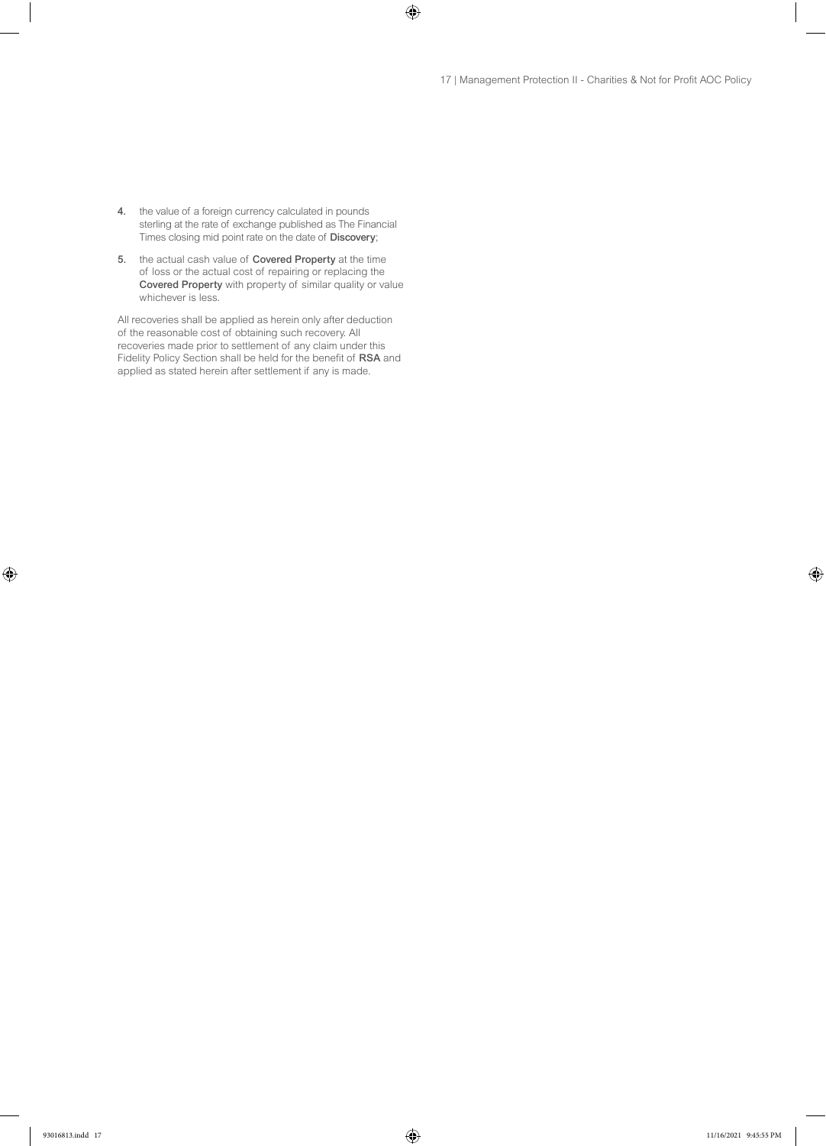- 4. the value of a foreign currency calculated in pounds sterling at the rate of exchange published as The Financial Times closing mid point rate on the date of Discovery;
- 5. the actual cash value of Covered Property at the time of loss or the actual cost of repairing or replacing the Covered Property with property of similar quality or value whichever is less.

All recoveries shall be applied as herein only after deduction of the reasonable cost of obtaining such recovery. All recoveries made prior to settlement of any claim under this Fidelity Policy Section shall be held for the benefit of RSA and applied as stated herein after settlement if any is made.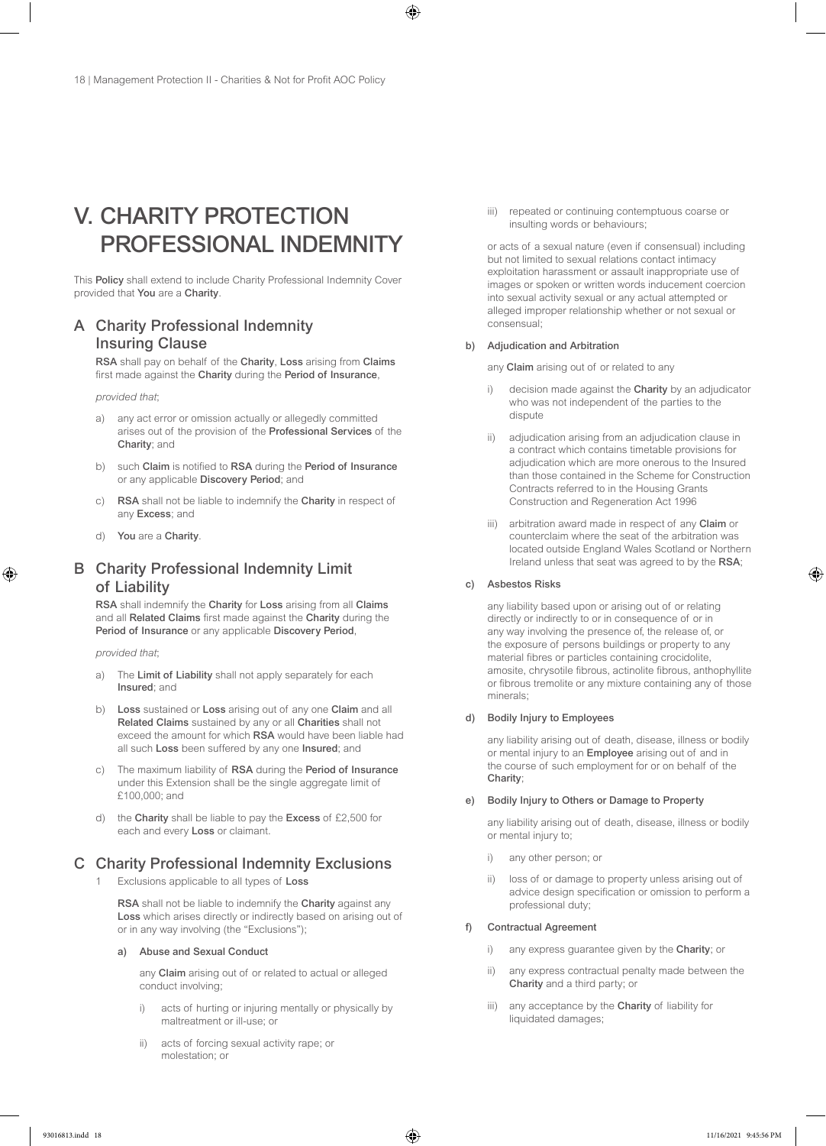# V. CHARITY PROTECTION PROFESSIONAL INDEMNITY

This Policy shall extend to include Charity Professional Indemnity Cover provided that You are a Charity.

# A Charity Professional Indemnity Insuring Clause

RSA shall pay on behalf of the Charity, Loss arising from Claims first made against the Charity during the Period of Insurance,

*provided that*;

- a) any act error or omission actually or allegedly committed arises out of the provision of the Professional Services of the Charity; and
- b) such Claim is notified to RSA during the Period of Insurance or any applicable Discovery Period; and
- c) RSA shall not be liable to indemnify the Charity in respect of any Excess; and
- d) You are a Charity.

# B Charity Professional Indemnity Limit of Liability

RSA shall indemnify the Charity for Loss arising from all Claims and all Related Claims first made against the Charity during the Period of Insurance or any applicable Discovery Period,

*provided that*;

- a) The Limit of Liability shall not apply separately for each Insured; and
- b) Loss sustained or Loss arising out of any one Claim and all Related Claims sustained by any or all Charities shall not exceed the amount for which RSA would have been liable had all such Loss been suffered by any one Insured; and
- c) The maximum liability of RSA during the Period of Insurance under this Extension shall be the single aggregate limit of £100,000; and
- d) the Charity shall be liable to pay the Excess of £2,500 for each and every Loss or claimant.

# C Charity Professional Indemnity Exclusions

1 Exclusions applicable to all types of Loss

RSA shall not be liable to indemnify the Charity against any Loss which arises directly or indirectly based on arising out of or in any way involving (the "Exclusions");

#### a) Abuse and Sexual Conduct

any Claim arising out of or related to actual or alleged conduct involving;

- i) acts of hurting or injuring mentally or physically by maltreatment or ill-use; or
- ii) acts of forcing sexual activity rape; or molestation; or

iii) repeated or continuing contemptuous coarse or insulting words or behaviours;

or acts of a sexual nature (even if consensual) including but not limited to sexual relations contact intimacy exploitation harassment or assault inappropriate use of images or spoken or written words inducement coercion into sexual activity sexual or any actual attempted or alleged improper relationship whether or not sexual or consensual;

#### b) Adjudication and Arbitration

any Claim arising out of or related to any

- i) decision made against the Charity by an adjudicator who was not independent of the parties to the dispute
- ii) adjudication arising from an adjudication clause in a contract which contains timetable provisions for adjudication which are more onerous to the Insured than those contained in the Scheme for Construction Contracts referred to in the Housing Grants Construction and Regeneration Act 1996
- iii) arbitration award made in respect of any Claim or counterclaim where the seat of the arbitration was located outside England Wales Scotland or Northern Ireland unless that seat was agreed to by the RSA;

#### c) Asbestos Risks

any liability based upon or arising out of or relating directly or indirectly to or in consequence of or in any way involving the presence of, the release of, or the exposure of persons buildings or property to any material fibres or particles containing crocidolite, amosite, chrysotile fibrous, actinolite fibrous, anthophyllite or fibrous tremolite or any mixture containing any of those minerals;

#### d) Bodily Injury to Employees

any liability arising out of death, disease, illness or bodily or mental injury to an Employee arising out of and in the course of such employment for or on behalf of the Charity;

#### e) Bodily Injury to Others or Damage to Property

any liability arising out of death, disease, illness or bodily or mental injury to;

- i) any other person; or
- ii) loss of or damage to property unless arising out of advice design specification or omission to perform a professional duty;

#### f) Contractual Agreement

- i) any express quarantee given by the Charity; or
- ii) any express contractual penalty made between the Charity and a third party; or
- iii) any acceptance by the Charity of liability for liquidated damages;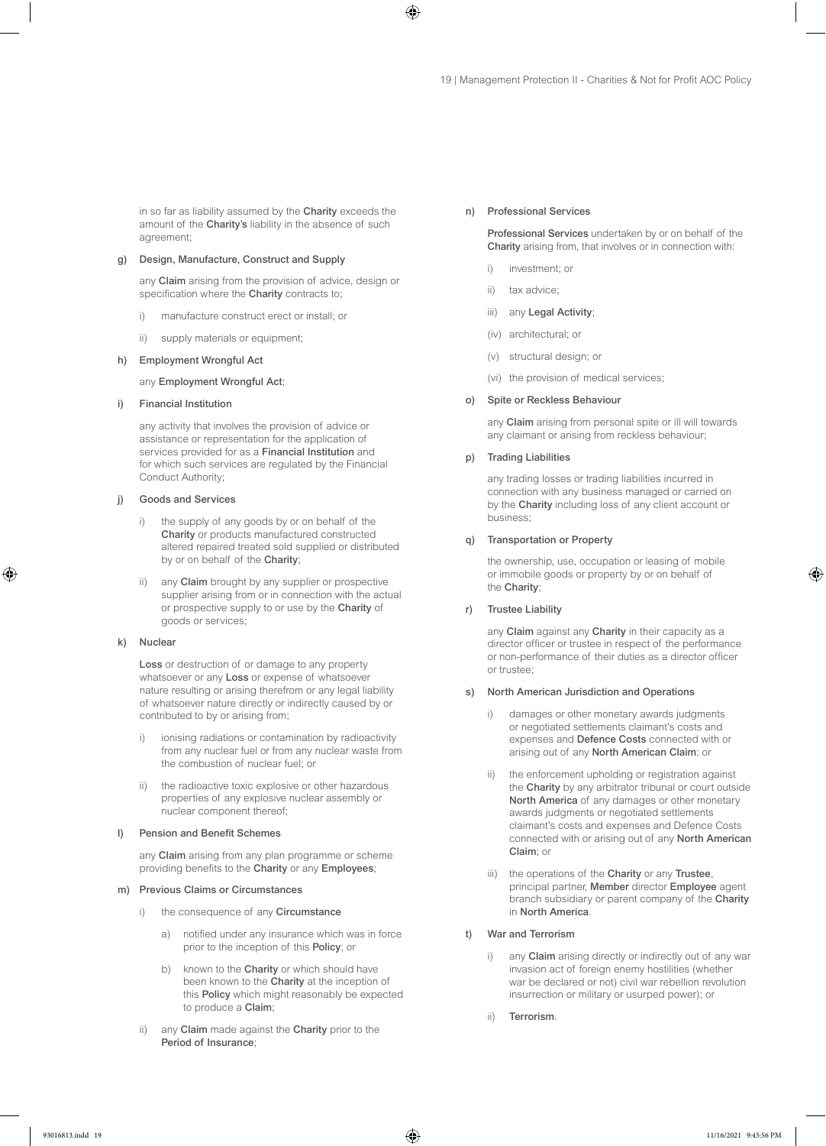in so far as liability assumed by the Charity exceeds the amount of the Charity's liability in the absence of such agreement;

#### g) Design, Manufacture, Construct and Supply

any Claim arising from the provision of advice, design or specification where the Charity contracts to;

- i) manufacture construct erect or install; or
- ii) supply materials or equipment;

#### h) Employment Wrongful Act

any Employment Wrongful Act;

#### i) Financial Institution

any activity that involves the provision of advice or assistance or representation for the application of services provided for as a Financial Institution and for which such services are regulated by the Financial Conduct Authority;

#### j) Goods and Services

- i) the supply of any goods by or on behalf of the Charity or products manufactured constructed altered repaired treated sold supplied or distributed by or on behalf of the Charity;
- ii) any Claim brought by any supplier or prospective supplier arising from or in connection with the actual or prospective supply to or use by the Charity of goods or services;

#### k) Nuclear

Loss or destruction of or damage to any property whatsoever or any Loss or expense of whatsoever nature resulting or arising therefrom or any legal liability of whatsoever nature directly or indirectly caused by or contributed to by or arising from;

- i) ionising radiations or contamination by radioactivity from any nuclear fuel or from any nuclear waste from the combustion of nuclear fuel; or
- ii) the radioactive toxic explosive or other hazardous properties of any explosive nuclear assembly or nuclear component thereof;

#### l) Pension and Benefit Schemes

any Claim arising from any plan programme or scheme providing benefits to the Charity or any Employees;

#### m) Previous Claims or Circumstances

- i) the consequence of any Circumstance
	- a) notified under any insurance which was in force prior to the inception of this Policy; or
	- b) known to the Charity or which should have been known to the Charity at the inception of this Policy which might reasonably be expected to produce a Claim;
- ii) any Claim made against the Charity prior to the Period of Insurance;

#### n) Professional Services

Professional Services undertaken by or on behalf of the Charity arising from, that involves or in connection with:

- i) investment; or
- ii) tax advice;
- iii) any Legal Activity;
- (iv) architectural; or
- (v) structural design; or
- (vi) the provision of medical services;

#### o) Spite or Reckless Behaviour

any Claim arising from personal spite or ill will towards any claimant or arising from reckless behaviour;

#### p) Trading Liabilities

any trading losses or trading liabilities incurred in connection with any business managed or carried on by the Charity including loss of any client account or business;

#### q) Transportation or Property

the ownership, use, occupation or leasing of mobile or immobile goods or property by or on behalf of the Charity;

#### r) Trustee Liability

any Claim against any Charity in their capacity as a director officer or trustee in respect of the performance or non-performance of their duties as a director officer or trustee;

#### s) North American Jurisdiction and Operations

- i) damages or other monetary awards judgments or negotiated settlements claimant's costs and expenses and Defence Costs connected with or arising out of any North American Claim; or
- ii) the enforcement upholding or registration against the Charity by any arbitrator tribunal or court outside North America of any damages or other monetary awards judgments or negotiated settlements claimant's costs and expenses and Defence Costs connected with or arising out of any North American Claim; or
- iii) the operations of the Charity or any Trustee, principal partner, Member director Employee agent branch subsidiary or parent company of the Charity in North America.

#### t) War and Terrorism

- i) any Claim arising directly or indirectly out of any war invasion act of foreign enemy hostilities (whether war be declared or not) civil war rebellion revolution insurrection or military or usurped power); or
- ii) Terrorism.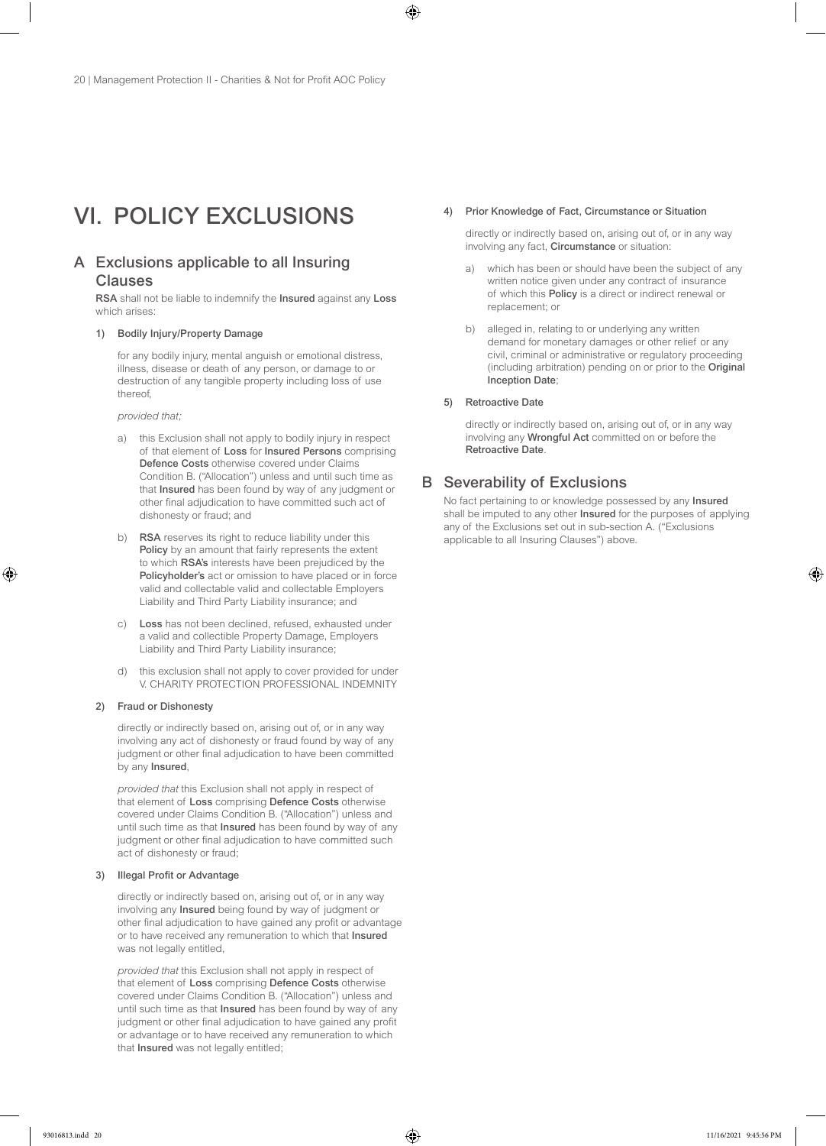# VI. POLICY EXCLUSIONS

# A Exclusions applicable to all Insuring Clauses

RSA shall not be liable to indemnify the Insured against any Loss which arises:

#### 1) Bodily Injury/Property Damage

for any bodily injury, mental anguish or emotional distress, illness, disease or death of any person, or damage to or destruction of any tangible property including loss of use thereof,

*provided that;*

- a) this Exclusion shall not apply to bodily injury in respect of that element of Loss for Insured Persons comprising Defence Costs otherwise covered under Claims Condition B. ("Allocation") unless and until such time as that Insured has been found by way of any judgment or other final adjudication to have committed such act of dishonesty or fraud; and
- b) RSA reserves its right to reduce liability under this Policy by an amount that fairly represents the extent to which RSA's interests have been prejudiced by the Policyholder's act or omission to have placed or in force valid and collectable valid and collectable Employers Liability and Third Party Liability insurance; and
- c) Loss has not been declined, refused, exhausted under a valid and collectible Property Damage, Employers Liability and Third Party Liability insurance;
- d) this exclusion shall not apply to cover provided for under V. CHARITY PROTECTION PROFESSIONAL INDEMNITY

#### 2) Fraud or Dishonesty

directly or indirectly based on, arising out of, or in any way involving any act of dishonesty or fraud found by way of any judgment or other final adjudication to have been committed by any Insured,

*provided that* this Exclusion shall not apply in respect of that element of Loss comprising Defence Costs otherwise covered under Claims Condition B. ("Allocation") unless and until such time as that Insured has been found by way of any judgment or other final adjudication to have committed such act of dishonesty or fraud;

#### 3) Illegal Profit or Advantage

directly or indirectly based on, arising out of, or in any way involving any Insured being found by way of judgment or other final adjudication to have gained any profit or advantage or to have received any remuneration to which that Insured was not legally entitled,

*provided that* this Exclusion shall not apply in respect of that element of Loss comprising Defence Costs otherwise covered under Claims Condition B. ("Allocation") unless and until such time as that Insured has been found by way of any judgment or other final adjudication to have gained any profit or advantage or to have received any remuneration to which that Insured was not legally entitled;

#### 4) Prior Knowledge of Fact, Circumstance or Situation

directly or indirectly based on, arising out of, or in any way involving any fact, Circumstance or situation:

- a) which has been or should have been the subject of any written notice given under any contract of insurance of which this Policy is a direct or indirect renewal or replacement; or
- b) alleged in, relating to or underlying any written demand for monetary damages or other relief or any civil, criminal or administrative or regulatory proceeding (including arbitration) pending on or prior to the Original Inception Date;

#### 5) Retroactive Date

directly or indirectly based on, arising out of, or in any way involving any Wrongful Act committed on or before the Retroactive Date.

### B Severability of Exclusions

No fact pertaining to or knowledge possessed by any Insured shall be imputed to any other **Insured** for the purposes of applying any of the Exclusions set out in sub-section A. ("Exclusions applicable to all Insuring Clauses") above.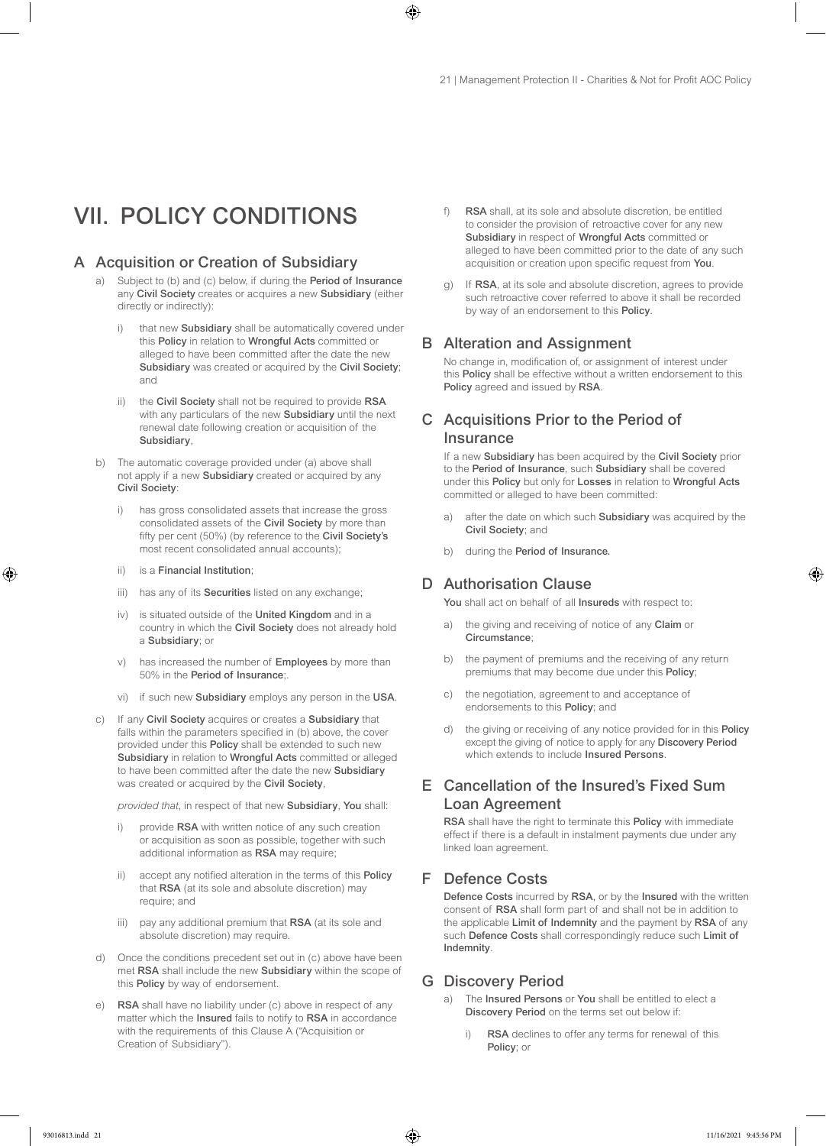# VII. POLICY CONDITIONS

### A Acquisition or Creation of Subsidiary

- a) Subject to (b) and (c) below, if during the Period of Insurance any Civil Society creates or acquires a new Subsidiary (either directly or indirectly):
	- i) that new Subsidiary shall be automatically covered under this Policy in relation to Wrongful Acts committed or alleged to have been committed after the date the new Subsidiary was created or acquired by the Civil Society; and
	- ii) the Civil Society shall not be required to provide RSA with any particulars of the new **Subsidiary** until the next renewal date following creation or acquisition of the Subsidiary,
- b) The automatic coverage provided under (a) above shall not apply if a new Subsidiary created or acquired by any Civil Society:
	- i) has gross consolidated assets that increase the gross consolidated assets of the Civil Society by more than fifty per cent (50%) (by reference to the Civil Society's most recent consolidated annual accounts);
	- ii) is a Financial Institution;
	- iii) has any of its **Securities** listed on any exchange;
	- iv) is situated outside of the United Kingdom and in a country in which the Civil Society does not already hold a Subsidiary; or
	- v) has increased the number of Employees by more than 50% in the Period of Insurance;.
	- vi) if such new Subsidiary employs any person in the USA.
- c) If any Civil Society acquires or creates a Subsidiary that falls within the parameters specified in (b) above, the cover provided under this Policy shall be extended to such new Subsidiary in relation to Wrongful Acts committed or alleged to have been committed after the date the new Subsidiary was created or acquired by the Civil Society,

*provided that*, in respect of that new Subsidiary, You shall:

- i) provide RSA with written notice of any such creation or acquisition as soon as possible, together with such additional information as RSA may require;
- ii) accept any notified alteration in the terms of this Policy that RSA (at its sole and absolute discretion) may require; and
- iii) pay any additional premium that RSA (at its sole and absolute discretion) may require.
- d) Once the conditions precedent set out in (c) above have been met RSA shall include the new Subsidiary within the scope of this Policy by way of endorsement.
- e) RSA shall have no liability under (c) above in respect of any matter which the Insured fails to notify to RSA in accordance with the requirements of this Clause A ("Acquisition or Creation of Subsidiary").
- f) RSA shall, at its sole and absolute discretion, be entitled to consider the provision of retroactive cover for any new Subsidiary in respect of Wrongful Acts committed or alleged to have been committed prior to the date of any such acquisition or creation upon specific request from You.
- g) If RSA, at its sole and absolute discretion, agrees to provide such retroactive cover referred to above it shall be recorded by way of an endorsement to this Policy.

#### B Alteration and Assignment

No change in, modification of, or assignment of interest under this Policy shall be effective without a written endorsement to this Policy agreed and issued by RSA.

# C Acquisitions Prior to the Period of **Insurance**

If a new Subsidiary has been acquired by the Civil Society prior to the Period of Insurance, such Subsidiary shall be covered under this Policy but only for Losses in relation to Wrongful Acts committed or alleged to have been committed:

- after the date on which such Subsidiary was acquired by the Civil Society; and
- b) during the Period of Insurance.

# D Authorisation Clause

You shall act on behalf of all **Insureds** with respect to:

- a) the giving and receiving of notice of any Claim or Circumstance;
- b) the payment of premiums and the receiving of any return premiums that may become due under this Policy;
- c) the negotiation, agreement to and acceptance of endorsements to this Policy; and
- d) the giving or receiving of any notice provided for in this Policy except the giving of notice to apply for any Discovery Period which extends to include Insured Persons.

# E Cancellation of the Insured's Fixed Sum Loan Agreement

RSA shall have the right to terminate this Policy with immediate effect if there is a default in instalment payments due under any linked loan agreement.

# F Defence Costs

Defence Costs incurred by RSA, or by the Insured with the written consent of RSA shall form part of and shall not be in addition to the applicable Limit of Indemnity and the payment by RSA of any such Defence Costs shall correspondingly reduce such Limit of Indemnity.

#### G Discovery Period

- a) The Insured Persons or You shall be entitled to elect a Discovery Period on the terms set out below if:
	- RSA declines to offer any terms for renewal of this Policy; or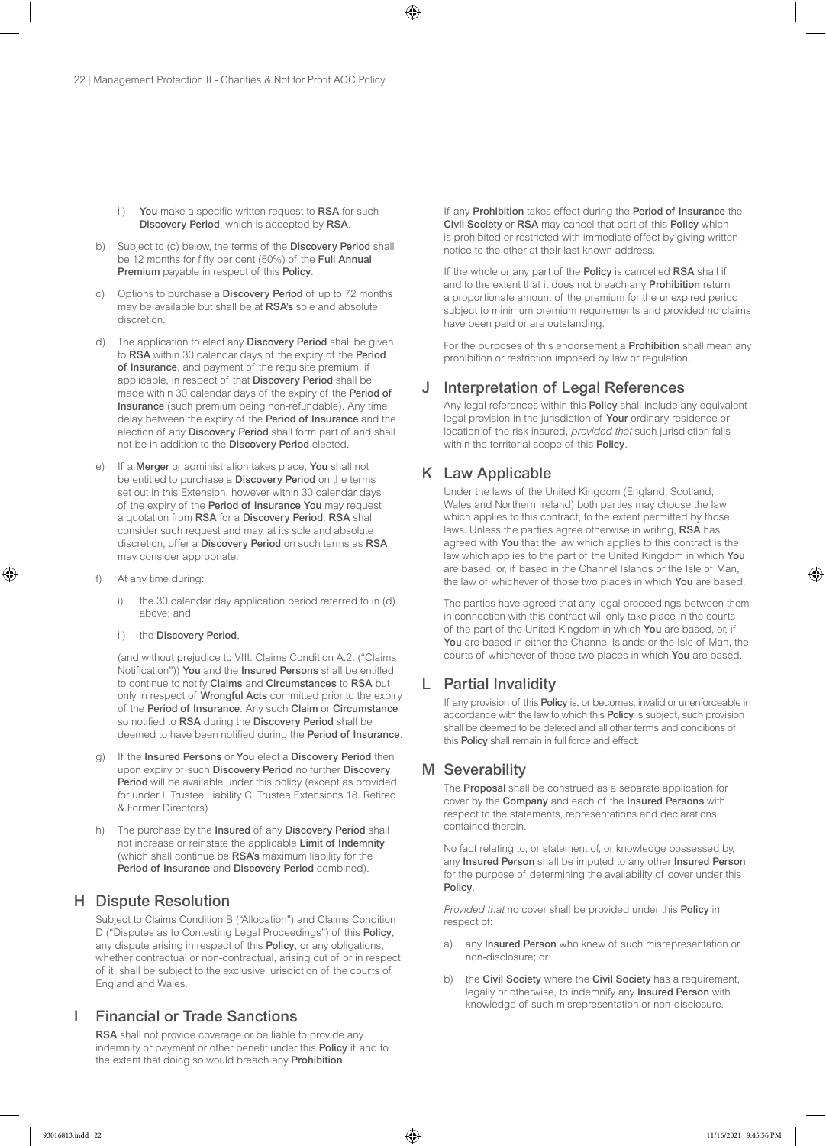- ii) You make a specific written request to RSA for such Discovery Period, which is accepted by RSA.
- b) Subject to (c) below, the terms of the Discovery Period shall be 12 months for fifty per cent (50%) of the Full Annual Premium payable in respect of this Policy.
- c) Options to purchase a Discovery Period of up to 72 months may be available but shall be at RSA's sole and absolute discretion.
- d) The application to elect any Discovery Period shall be given to RSA within 30 calendar days of the expiry of the Period of Insurance, and payment of the requisite premium, if applicable, in respect of that Discovery Period shall be made within 30 calendar days of the expiry of the Period of Insurance (such premium being non-refundable). Any time delay between the expiry of the Period of Insurance and the election of any Discovery Period shall form part of and shall not be in addition to the Discovery Period elected.
- e) If a Merger or administration takes place, You shall not be entitled to purchase a Discovery Period on the terms set out in this Extension, however within 30 calendar days of the expiry of the Period of Insurance You may request a quotation from RSA for a Discovery Period. RSA shall consider such request and may, at its sole and absolute discretion, offer a Discovery Period on such terms as RSA may consider appropriate.
- At any time during:
	- i) the 30 calendar day application period referred to in (d) above; and
	- ii) the Discovery Period,

(and without prejudice to VIII. Claims Condition A.2. ("Claims Notification")) You and the Insured Persons shall be entitled to continue to notify Claims and Circumstances to RSA but only in respect of Wrongful Acts committed prior to the expiry of the Period of Insurance. Any such Claim or Circumstance so notified to RSA during the Discovery Period shall be deemed to have been notified during the Period of Insurance.

- g) If the Insured Persons or You elect a Discovery Period then upon expiry of such Discovery Period no further Discovery Period will be available under this policy (except as provided for under I. Trustee Liability C. Trustee Extensions 18. Retired & Former Directors)
- h) The purchase by the Insured of any Discovery Period shall not increase or reinstate the applicable Limit of Indemnity (which shall continue be RSA's maximum liability for the Period of Insurance and Discovery Period combined).

### H Dispute Resolution

Subject to Claims Condition B ("Allocation") and Claims Condition D ("Disputes as to Contesting Legal Proceedings") of this Policy, any dispute arising in respect of this Policy, or any obligations, whether contractual or non-contractual, arising out of or in respect of it, shall be subject to the exclusive jurisdiction of the courts of England and Wales.

# **Financial or Trade Sanctions**

RSA shall not provide coverage or be liable to provide any indemnity or payment or other benefit under this Policy if and to the extent that doing so would breach any Prohibition.

If any Prohibition takes effect during the Period of Insurance the Civil Society or RSA may cancel that part of this Policy which is prohibited or restricted with immediate effect by giving written notice to the other at their last known address.

If the whole or any part of the Policy is cancelled RSA shall if and to the extent that it does not breach any Prohibition return a proportionate amount of the premium for the unexpired period subject to minimum premium requirements and provided no claims have been paid or are outstanding.

For the purposes of this endorsement a Prohibition shall mean any prohibition or restriction imposed by law or regulation.

# J Interpretation of Legal References

Any legal references within this **Policy** shall include any equivalent legal provision in the jurisdiction of Your ordinary residence or location of the risk insured, *provided that* such jurisdiction falls within the territorial scope of this Policy.

# K Law Applicable

Under the laws of the United Kingdom (England, Scotland, Wales and Northern Ireland) both parties may choose the law which applies to this contract, to the extent permitted by those laws. Unless the parties agree otherwise in writing, RSA has agreed with You that the law which applies to this contract is the law which applies to the part of the United Kingdom in which You are based, or, if based in the Channel Islands or the Isle of Man, the law of whichever of those two places in which You are based.

The parties have agreed that any legal proceedings between them in connection with this contract will only take place in the courts of the part of the United Kingdom in which You are based, or, if You are based in either the Channel Islands or the Isle of Man, the courts of whichever of those two places in which You are based.

### L Partial Invalidity

If any provision of this **Policy** is, or becomes, invalid or unenforceable in accordance with the law to which this Policy is subject, such provision shall be deemed to be deleted and all other terms and conditions of this Policy shall remain in full force and effect.

# M Severability

The Proposal shall be construed as a separate application for cover by the Company and each of the Insured Persons with respect to the statements, representations and declarations contained therein.

No fact relating to, or statement of, or knowledge possessed by, any Insured Person shall be imputed to any other Insured Person for the purpose of determining the availability of cover under this Policy.

*Provided that* no cover shall be provided under this Policy in respect of:

- a) any Insured Person who knew of such misrepresentation or non-disclosure; or
- b) the Civil Society where the Civil Society has a requirement, legally or otherwise, to indemnify any Insured Person with knowledge of such misrepresentation or non-disclosure.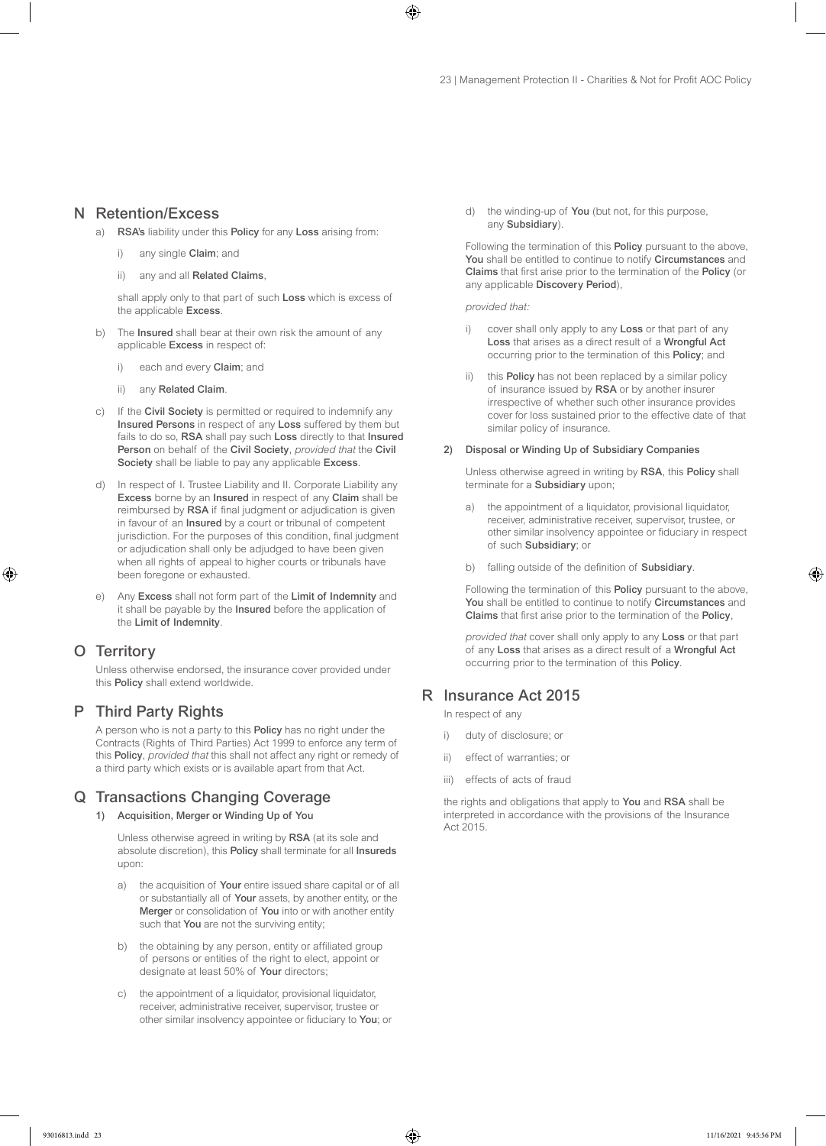### N Retention/Excess

- a) RSA's liability under this Policy for any Loss arising from:
	- any single Claim; and
	- ii) any and all Related Claims,

shall apply only to that part of such Loss which is excess of the applicable Excess.

- b) The Insured shall bear at their own risk the amount of any applicable Excess in respect of:
	- i) each and every **Claim**; and
	- ii) any Related Claim.
- c) If the Civil Society is permitted or required to indemnify any Insured Persons in respect of any Loss suffered by them but fails to do so, RSA shall pay such Loss directly to that Insured Person on behalf of the Civil Society, *provided that* the Civil Society shall be liable to pay any applicable Excess.
- d) In respect of I. Trustee Liability and II. Corporate Liability any Excess borne by an Insured in respect of any Claim shall be reimbursed by RSA if final judgment or adjudication is given in favour of an Insured by a court or tribunal of competent jurisdiction. For the purposes of this condition, final judgment or adjudication shall only be adjudged to have been given when all rights of appeal to higher courts or tribunals have been foregone or exhausted.
- e) Any Excess shall not form part of the Limit of Indemnity and it shall be payable by the Insured before the application of the Limit of Indemnity.

# O Territory

Unless otherwise endorsed, the insurance cover provided under this Policy shall extend worldwide.

# P Third Party Rights

A person who is not a party to this Policy has no right under the Contracts (Rights of Third Parties) Act 1999 to enforce any term of this Policy, *provided that* this shall not affect any right or remedy of a third party which exists or is available apart from that Act.

# Q Transactions Changing Coverage

1) Acquisition, Merger or Winding Up of You

Unless otherwise agreed in writing by RSA (at its sole and absolute discretion), this Policy shall terminate for all Insureds upon:

- a) the acquisition of Your entire issued share capital or of all or substantially all of Your assets, by another entity, or the Merger or consolidation of You into or with another entity such that You are not the surviving entity;
- b) the obtaining by any person, entity or affiliated group of persons or entities of the right to elect, appoint or designate at least 50% of Your directors;
- c) the appointment of a liquidator, provisional liquidator, receiver, administrative receiver, supervisor, trustee or other similar insolvency appointee or fiduciary to You; or

d) the winding-up of You (but not, for this purpose, any Subsidiary).

Following the termination of this Policy pursuant to the above, You shall be entitled to continue to notify Circumstances and Claims that first arise prior to the termination of the Policy (or any applicable Discovery Period),

*provided that:*

- i) cover shall only apply to any Loss or that part of any Loss that arises as a direct result of a Wrongful Act occurring prior to the termination of this Policy; and
- ii) this Policy has not been replaced by a similar policy of insurance issued by RSA or by another insurer irrespective of whether such other insurance provides cover for loss sustained prior to the effective date of that similar policy of insurance.

#### 2) Disposal or Winding Up of Subsidiary Companies

Unless otherwise agreed in writing by RSA, this Policy shall terminate for a Subsidiary upon;

- a) the appointment of a liquidator, provisional liquidator, receiver, administrative receiver, supervisor, trustee, or other similar insolvency appointee or fiduciary in respect of such Subsidiary; or
- b) falling outside of the definition of Subsidiary.

Following the termination of this Policy pursuant to the above, You shall be entitled to continue to notify Circumstances and Claims that first arise prior to the termination of the Policy,

*provided that* cover shall only apply to any Loss or that part of any Loss that arises as a direct result of a Wrongful Act occurring prior to the termination of this Policy.

# R Insurance Act 2015

In respect of any

- i) duty of disclosure; or
- ii) effect of warranties; or
- iii) effects of acts of fraud

the rights and obligations that apply to You and RSA shall be interpreted in accordance with the provisions of the Insurance Act 2015.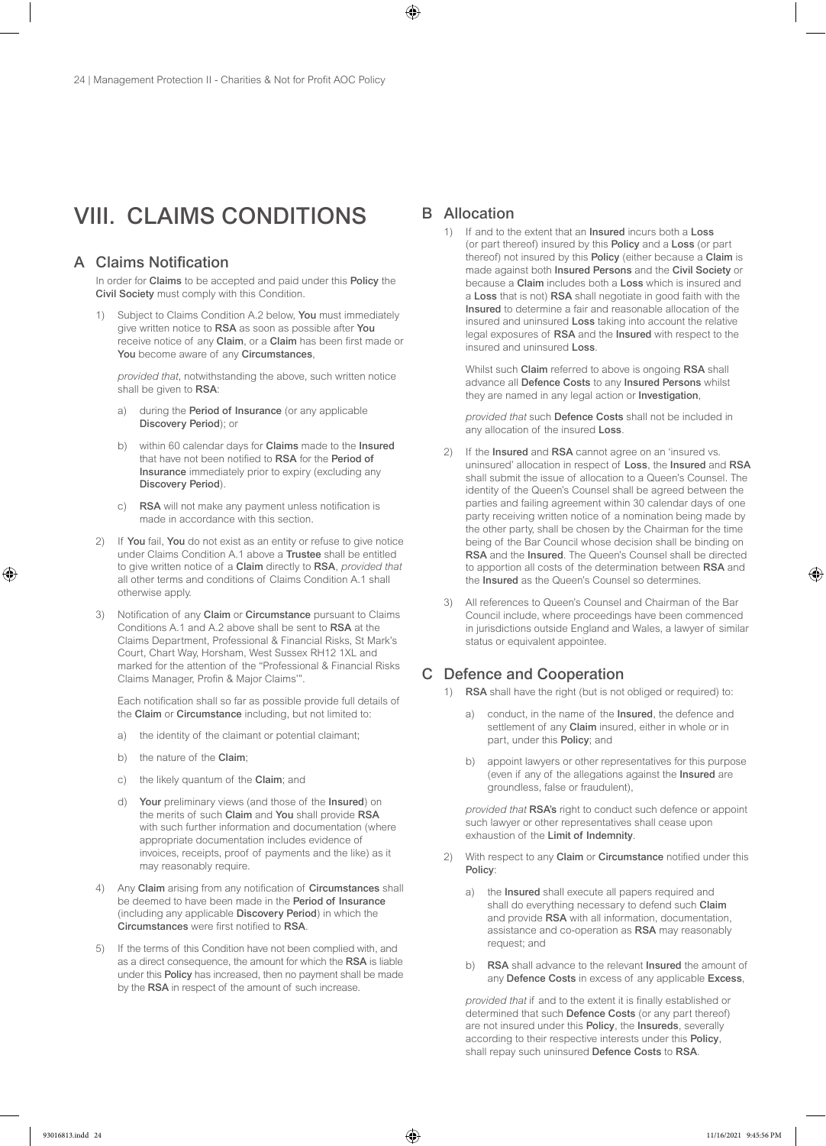# VIII. CLAIMS CONDITIONS

# A Claims Notification

In order for Claims to be accepted and paid under this Policy the Civil Society must comply with this Condition.

Subject to Claims Condition A.2 below, You must immediately give written notice to RSA as soon as possible after You receive notice of any Claim, or a Claim has been first made or You become aware of any Circumstances,

*provided that*, notwithstanding the above, such written notice shall be given to RSA:

- a) during the Period of Insurance (or any applicable Discovery Period); or
- b) within 60 calendar days for Claims made to the Insured that have not been notified to RSA for the Period of Insurance immediately prior to expiry (excluding any Discovery Period).
- RSA will not make any payment unless notification is made in accordance with this section.
- 2) If You fail, You do not exist as an entity or refuse to give notice under Claims Condition A.1 above a Trustee shall be entitled to give written notice of a Claim directly to RSA, *provided that* all other terms and conditions of Claims Condition A.1 shall otherwise apply.
- 3) Notification of any Claim or Circumstance pursuant to Claims Conditions A.1 and A.2 above shall be sent to RSA at the Claims Department, Professional & Financial Risks, St Mark's Court, Chart Way, Horsham, West Sussex RH12 1XL and marked for the attention of the "Professional & Financial Risks Claims Manager, Profin & Major Claims'".

Each notification shall so far as possible provide full details of the Claim or Circumstance including, but not limited to:

- a) the identity of the claimant or potential claimant;
- b) the nature of the Claim;
- c) the likely quantum of the Claim; and
- d) Your preliminary views (and those of the Insured) on the merits of such Claim and You shall provide RSA with such further information and documentation (where appropriate documentation includes evidence of invoices, receipts, proof of payments and the like) as it may reasonably require.
- 4) Any Claim arising from any notification of Circumstances shall be deemed to have been made in the Period of Insurance (including any applicable Discovery Period) in which the Circumstances were first notified to RSA.
- 5) If the terms of this Condition have not been complied with, and as a direct consequence, the amount for which the RSA is liable under this Policy has increased, then no payment shall be made by the RSA in respect of the amount of such increase.

### B Allocation

1) If and to the extent that an Insured incurs both a Loss (or part thereof) insured by this Policy and a Loss (or part thereof) not insured by this Policy (either because a Claim is made against both Insured Persons and the Civil Society or because a Claim includes both a Loss which is insured and a Loss that is not) RSA shall negotiate in good faith with the Insured to determine a fair and reasonable allocation of the insured and uninsured Loss taking into account the relative legal exposures of RSA and the Insured with respect to the insured and uninsured Loss.

Whilst such Claim referred to above is ongoing RSA shall advance all Defence Costs to any Insured Persons whilst they are named in any legal action or Investigation,

*provided that* such Defence Costs shall not be included in any allocation of the insured Loss.

- 2) If the Insured and RSA cannot agree on an 'insured vs. uninsured' allocation in respect of Loss, the Insured and RSA shall submit the issue of allocation to a Queen's Counsel. The identity of the Queen's Counsel shall be agreed between the parties and failing agreement within 30 calendar days of one party receiving written notice of a nomination being made by the other party, shall be chosen by the Chairman for the time being of the Bar Council whose decision shall be binding on RSA and the Insured. The Queen's Counsel shall be directed to apportion all costs of the determination between RSA and the Insured as the Queen's Counsel so determines.
- 3) All references to Queen's Counsel and Chairman of the Bar Council include, where proceedings have been commenced in jurisdictions outside England and Wales, a lawyer of similar status or equivalent appointee.

# C Defence and Cooperation

- 1) RSA shall have the right (but is not obliged or required) to:
	- a) conduct, in the name of the **Insured**, the defence and settlement of any Claim insured, either in whole or in part, under this Policy; and
	- b) appoint lawyers or other representatives for this purpose (even if any of the allegations against the Insured are groundless, false or fraudulent),

*provided that* RSA's right to conduct such defence or appoint such lawyer or other representatives shall cease upon exhaustion of the Limit of Indemnity.

- 2) With respect to any Claim or Circumstance notified under this Policy:
	- a) the Insured shall execute all papers required and shall do everything necessary to defend such Claim and provide RSA with all information, documentation, assistance and co-operation as RSA may reasonably request; and
	- b) RSA shall advance to the relevant Insured the amount of any Defence Costs in excess of any applicable Excess,

*provided that* if and to the extent it is finally established or determined that such Defence Costs (or any part thereof) are not insured under this Policy, the Insureds, severally according to their respective interests under this Policy, shall repay such uninsured Defence Costs to RSA.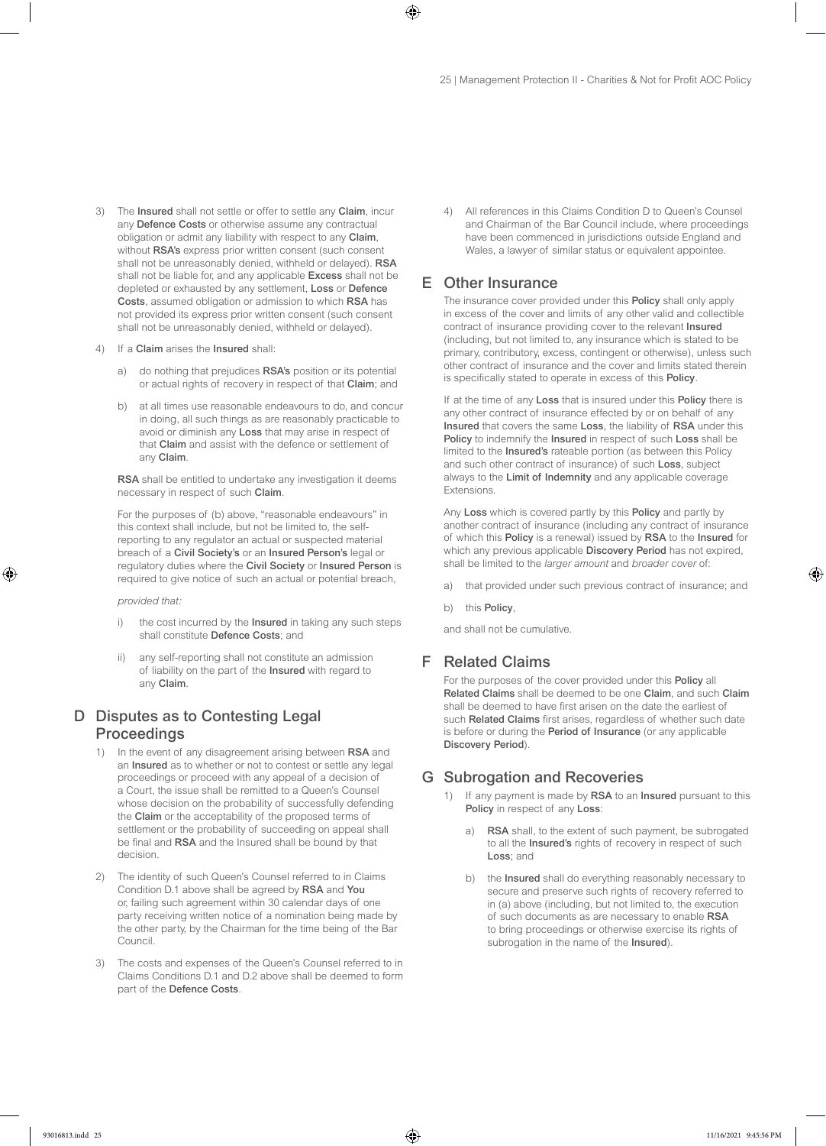- 3) The Insured shall not settle or offer to settle any Claim, incur any Defence Costs or otherwise assume any contractual obligation or admit any liability with respect to any Claim, without RSA's express prior written consent (such consent shall not be unreasonably denied, withheld or delayed). RSA shall not be liable for, and any applicable Excess shall not be depleted or exhausted by any settlement, Loss or Defence Costs, assumed obligation or admission to which RSA has not provided its express prior written consent (such consent shall not be unreasonably denied, withheld or delayed).
- 4) If a Claim arises the Insured shall:
	- a) do nothing that prejudices RSA's position or its potential or actual rights of recovery in respect of that Claim; and
	- b) at all times use reasonable endeavours to do, and concur in doing, all such things as are reasonably practicable to avoid or diminish any Loss that may arise in respect of that Claim and assist with the defence or settlement of any Claim.

RSA shall be entitled to undertake any investigation it deems necessary in respect of such Claim.

For the purposes of (b) above, "reasonable endeavours" in this context shall include, but not be limited to, the selfreporting to any regulator an actual or suspected material breach of a Civil Society's or an Insured Person's legal or regulatory duties where the Civil Society or Insured Person is required to give notice of such an actual or potential breach,

*provided that:*

- i) the cost incurred by the **Insured** in taking any such steps shall constitute Defence Costs; and
- ii) any self-reporting shall not constitute an admission of liability on the part of the Insured with regard to any Claim.

# D Disputes as to Contesting Legal Proceedings

- 1) In the event of any disagreement arising between RSA and an Insured as to whether or not to contest or settle any legal proceedings or proceed with any appeal of a decision of a Court, the issue shall be remitted to a Queen's Counsel whose decision on the probability of successfully defending the Claim or the acceptability of the proposed terms of settlement or the probability of succeeding on appeal shall be final and RSA and the Insured shall be bound by that decision.
- 2) The identity of such Queen's Counsel referred to in Claims Condition D.1 above shall be agreed by RSA and You or, failing such agreement within 30 calendar days of one party receiving written notice of a nomination being made by the other party, by the Chairman for the time being of the Bar Council.
- 3) The costs and expenses of the Queen's Counsel referred to in Claims Conditions D.1 and D.2 above shall be deemed to form part of the Defence Costs.

4) All references in this Claims Condition D to Queen's Counsel and Chairman of the Bar Council include, where proceedings have been commenced in jurisdictions outside England and Wales, a lawyer of similar status or equivalent appointee.

### E Other Insurance

The insurance cover provided under this **Policy** shall only apply in excess of the cover and limits of any other valid and collectible contract of insurance providing cover to the relevant Insured (including, but not limited to, any insurance which is stated to be primary, contributory, excess, contingent or otherwise), unless such other contract of insurance and the cover and limits stated therein is specifically stated to operate in excess of this Policy.

If at the time of any Loss that is insured under this Policy there is any other contract of insurance effected by or on behalf of any Insured that covers the same Loss, the liability of RSA under this Policy to indemnify the Insured in respect of such Loss shall be limited to the Insured's rateable portion (as between this Policy and such other contract of insurance) of such Loss, subject always to the Limit of Indemnity and any applicable coverage Extensions.

Any Loss which is covered partly by this Policy and partly by another contract of insurance (including any contract of insurance of which this Policy is a renewal) issued by RSA to the Insured for which any previous applicable **Discovery Period** has not expired, shall be limited to the *larger amount* and *broader cover* of:

- that provided under such previous contract of insurance; and
- b) this Policy,

and shall not be cumulative.

### F Related Claims

For the purposes of the cover provided under this Policy all Related Claims shall be deemed to be one Claim, and such Claim shall be deemed to have first arisen on the date the earliest of such Related Claims first arises, regardless of whether such date is before or during the Period of Insurance (or any applicable Discovery Period).

#### G Subrogation and Recoveries

- 1) If any payment is made by RSA to an Insured pursuant to this Policy in respect of any Loss:
	- a) RSA shall, to the extent of such payment, be subrogated to all the Insured's rights of recovery in respect of such Loss; and
	- b) the **Insured** shall do everything reasonably necessary to secure and preserve such rights of recovery referred to in (a) above (including, but not limited to, the execution of such documents as are necessary to enable RSA to bring proceedings or otherwise exercise its rights of subrogation in the name of the Insured).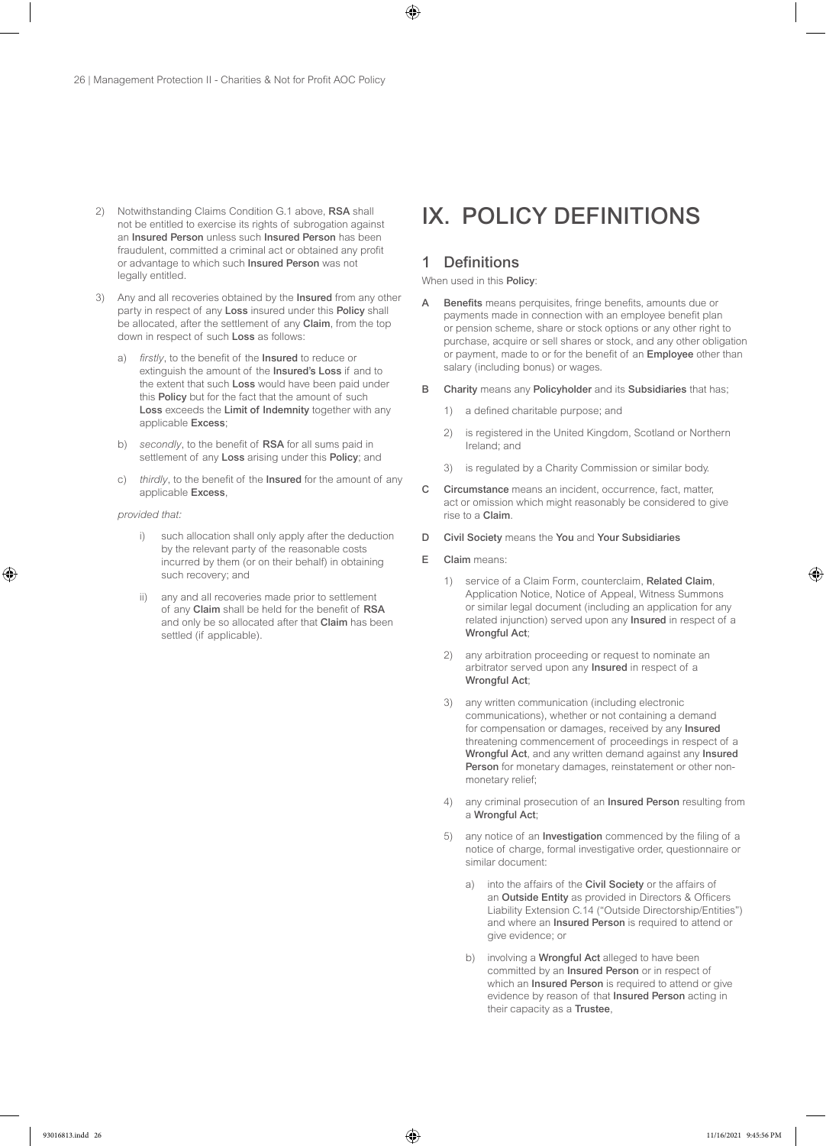- 2) Notwithstanding Claims Condition G.1 above, RSA shall not be entitled to exercise its rights of subrogation against an Insured Person unless such Insured Person has been fraudulent, committed a criminal act or obtained any profit or advantage to which such Insured Person was not legally entitled.
- 3) Any and all recoveries obtained by the Insured from any other party in respect of any Loss insured under this Policy shall be allocated, after the settlement of any Claim, from the top down in respect of such Loss as follows:
	- a) *firstly*, to the benefit of the Insured to reduce or extinguish the amount of the Insured's Loss if and to the extent that such Loss would have been paid under this Policy but for the fact that the amount of such Loss exceeds the Limit of Indemnity together with any applicable Excess;
	- b) *secondly*, to the benefit of RSA for all sums paid in settlement of any Loss arising under this Policy; and
	- c) *thirdly*, to the benefit of the Insured for the amount of any applicable Excess,

#### *provided that:*

- i) such allocation shall only apply after the deduction by the relevant party of the reasonable costs incurred by them (or on their behalf) in obtaining such recovery; and
- ii) any and all recoveries made prior to settlement of any Claim shall be held for the benefit of RSA and only be so allocated after that Claim has been settled (if applicable).

# IX. POLICY DEFINITIONS

# 1 Definitions

When used in this **Policy:** 

- A Benefits means perquisites, fringe benefits, amounts due or payments made in connection with an employee benefit plan or pension scheme, share or stock options or any other right to purchase, acquire or sell shares or stock, and any other obligation or payment, made to or for the benefit of an Employee other than salary (including bonus) or wages.
- B Charity means any Policyholder and its Subsidiaries that has;
	- 1) a defined charitable purpose; and
	- 2) is registered in the United Kingdom, Scotland or Northern Ireland; and
	- 3) is regulated by a Charity Commission or similar body.
- C Circumstance means an incident, occurrence, fact, matter, act or omission which might reasonably be considered to give rise to a Claim.
- D Civil Society means the You and Your Subsidiaries
- E Claim means:
	- 1) service of a Claim Form, counterclaim, Related Claim, Application Notice, Notice of Appeal, Witness Summons or similar legal document (including an application for any related injunction) served upon any Insured in respect of a Wrongful Act;
	- 2) any arbitration proceeding or request to nominate an arbitrator served upon any Insured in respect of a Wrongful Act;
	- 3) any written communication (including electronic communications), whether or not containing a demand for compensation or damages, received by any Insured threatening commencement of proceedings in respect of a Wrongful Act, and any written demand against any Insured Person for monetary damages, reinstatement or other nonmonetary relief;
	- 4) any criminal prosecution of an Insured Person resulting from a Wrongful Act;
	- 5) any notice of an Investigation commenced by the filing of a notice of charge, formal investigative order, questionnaire or similar document:
		- a) into the affairs of the Civil Society or the affairs of an Outside Entity as provided in Directors & Officers Liability Extension C.14 ("Outside Directorship/Entities") and where an Insured Person is required to attend or give evidence; or
		- b) involving a Wrongful Act alleged to have been committed by an Insured Person or in respect of which an **Insured Person** is required to attend or give evidence by reason of that Insured Person acting in their capacity as a Trustee,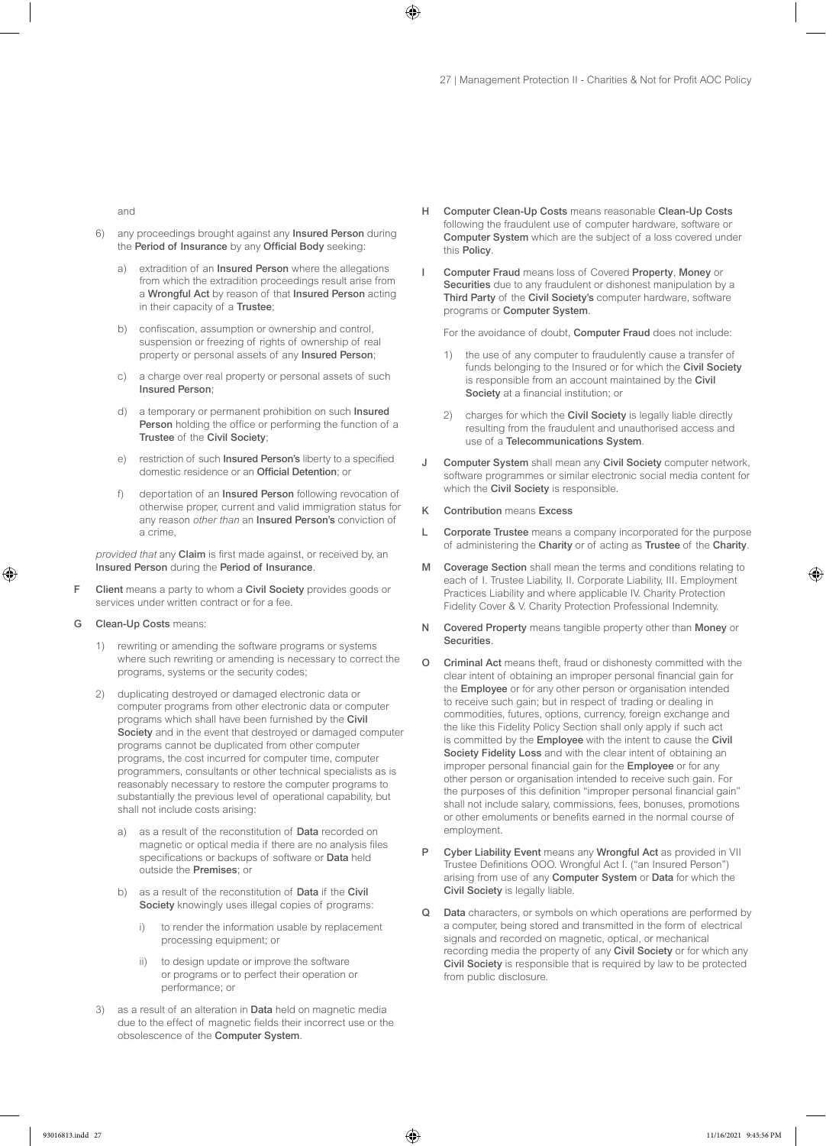and

- 6) any proceedings brought against any Insured Person during the Period of Insurance by any Official Body seeking:
	- a) extradition of an Insured Person where the allegations from which the extradition proceedings result arise from a Wrongful Act by reason of that Insured Person acting in their capacity of a Trustee;
	- b) confiscation, assumption or ownership and control, suspension or freezing of rights of ownership of real property or personal assets of any Insured Person;
	- c) a charge over real property or personal assets of such Insured Person;
	- d) a temporary or permanent prohibition on such Insured Person holding the office or performing the function of a Trustee of the Civil Society;
	- e) restriction of such Insured Person's liberty to a specified domestic residence or an Official Detention; or
	- f) deportation of an Insured Person following revocation of otherwise proper, current and valid immigration status for any reason *other than* an Insured Person's conviction of a crime,

*provided that* any Claim is first made against, or received by, an Insured Person during the Period of Insurance.

- Client means a party to whom a Civil Society provides goods or services under written contract or for a fee.
- G Clean-Up Costs means:
	- 1) rewriting or amending the software programs or systems where such rewriting or amending is necessary to correct the programs, systems or the security codes;
	- 2) duplicating destroyed or damaged electronic data or computer programs from other electronic data or computer programs which shall have been furnished by the Civil Society and in the event that destroyed or damaged computer programs cannot be duplicated from other computer programs, the cost incurred for computer time, computer programmers, consultants or other technical specialists as is reasonably necessary to restore the computer programs to substantially the previous level of operational capability, but shall not include costs arising:
		- a) as a result of the reconstitution of Data recorded on magnetic or optical media if there are no analysis files specifications or backups of software or Data held outside the Premises; or
		- b) as a result of the reconstitution of Data if the Civil Society knowingly uses illegal copies of programs:
			- i) to render the information usable by replacement processing equipment; or
			- ii) to design update or improve the software or programs or to perfect their operation or performance; or
	- 3) as a result of an alteration in Data held on magnetic media due to the effect of magnetic fields their incorrect use or the obsolescence of the Computer System.
- H Computer Clean-Up Costs means reasonable Clean-Up Costs following the fraudulent use of computer hardware, software or Computer System which are the subject of a loss covered under this Policy.
- Computer Fraud means loss of Covered Property, Money or Securities due to any fraudulent or dishonest manipulation by a Third Party of the Civil Society's computer hardware, software programs or Computer System.

For the avoidance of doubt, Computer Fraud does not include:

- 1) the use of any computer to fraudulently cause a transfer of funds belonging to the Insured or for which the Civil Society is responsible from an account maintained by the Civil Society at a financial institution; or
- 2) charges for which the Civil Society is legally liable directly resulting from the fraudulent and unauthorised access and use of a Telecommunications System.
- J Computer System shall mean any Civil Society computer network, software programmes or similar electronic social media content for which the Civil Society is responsible.
- K Contribution means Excess
- L Corporate Trustee means a company incorporated for the purpose of administering the Charity or of acting as Trustee of the Charity.
- M Coverage Section shall mean the terms and conditions relating to each of I. Trustee Liability, II. Corporate Liability, III. Employment Practices Liability and where applicable IV. Charity Protection Fidelity Cover & V. Charity Protection Professional Indemnity.
- N Covered Property means tangible property other than Money or Securities.
- O Criminal Act means theft, fraud or dishonesty committed with the clear intent of obtaining an improper personal financial gain for the Employee or for any other person or organisation intended to receive such gain; but in respect of trading or dealing in commodities, futures, options, currency, foreign exchange and the like this Fidelity Policy Section shall only apply if such act is committed by the Employee with the intent to cause the Civil Society Fidelity Loss and with the clear intent of obtaining an improper personal financial gain for the Employee or for any other person or organisation intended to receive such gain. For the purposes of this definition "improper personal financial gain" shall not include salary, commissions, fees, bonuses, promotions or other emoluments or benefits earned in the normal course of employment.
- P Cyber Liability Event means any Wrongful Act as provided in VII Trustee Definitions OOO. Wrongful Act I. ("an Insured Person") arising from use of any Computer System or Data for which the Civil Society is legally liable.
- Data characters, or symbols on which operations are performed by a computer, being stored and transmitted in the form of electrical signals and recorded on magnetic, optical, or mechanical recording media the property of any Civil Society or for which any Civil Society is responsible that is required by law to be protected from public disclosure.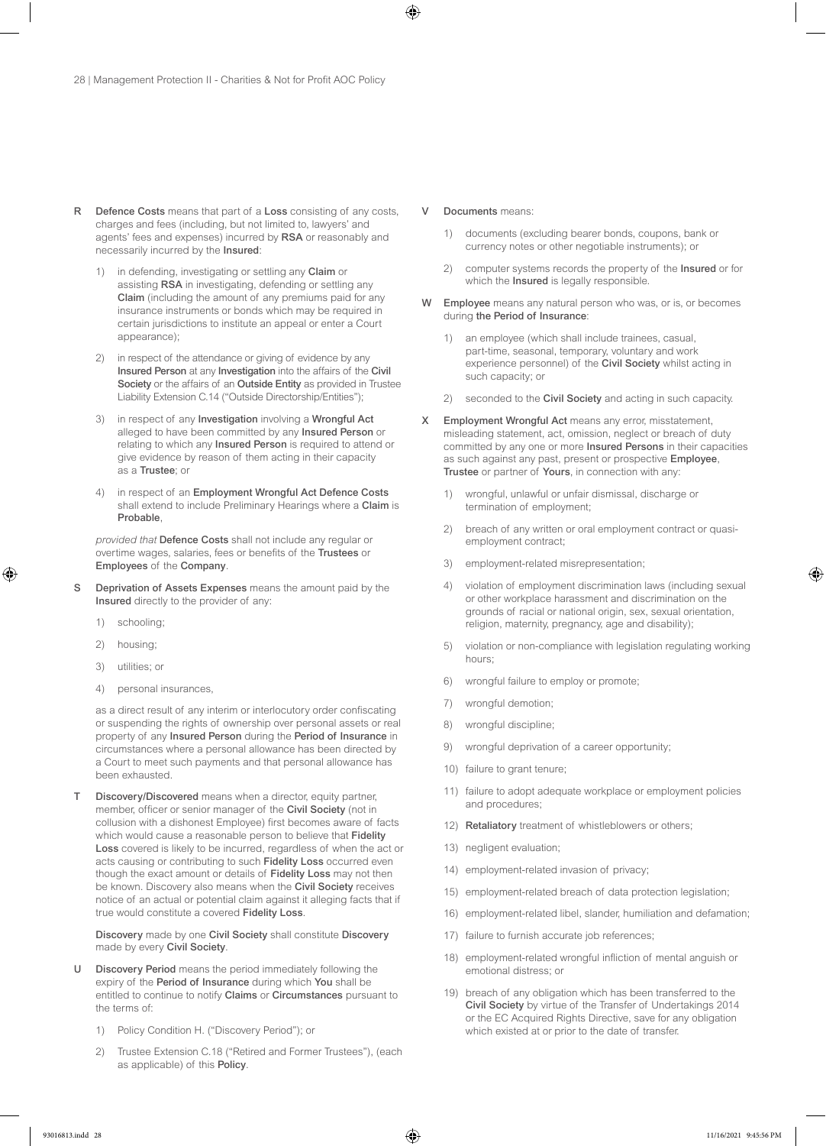- R Defence Costs means that part of a Loss consisting of any costs, charges and fees (including, but not limited to, lawyers' and agents' fees and expenses) incurred by RSA or reasonably and necessarily incurred by the Insured:
	- 1) in defending, investigating or settling any Claim or assisting RSA in investigating, defending or settling any Claim (including the amount of any premiums paid for any insurance instruments or bonds which may be required in certain jurisdictions to institute an appeal or enter a Court appearance);
	- 2) in respect of the attendance or giving of evidence by any Insured Person at any Investigation into the affairs of the Civil Society or the affairs of an Outside Entity as provided in Trustee Liability Extension C.14 ("Outside Directorship/Entities");
	- 3) in respect of any Investigation involving a Wrongful Act alleged to have been committed by any Insured Person or relating to which any Insured Person is required to attend or give evidence by reason of them acting in their capacity as a Trustee; or
	- in respect of an Employment Wrongful Act Defence Costs shall extend to include Preliminary Hearings where a Claim is Probable,

*provided that* Defence Costs shall not include any regular or overtime wages, salaries, fees or benefits of the Trustees or Employees of the Company.

- S Deprivation of Assets Expenses means the amount paid by the Insured directly to the provider of any:
	- 1) schooling;
	- 2) housing;
	- 3) utilities; or
	- 4) personal insurances,

as a direct result of any interim or interlocutory order confiscating or suspending the rights of ownership over personal assets or real property of any Insured Person during the Period of Insurance in circumstances where a personal allowance has been directed by a Court to meet such payments and that personal allowance has been exhausted.

Discovery/Discovered means when a director, equity partner, member, officer or senior manager of the Civil Society (not in collusion with a dishonest Employee) first becomes aware of facts which would cause a reasonable person to believe that Fidelity Loss covered is likely to be incurred, regardless of when the act or acts causing or contributing to such Fidelity Loss occurred even though the exact amount or details of Fidelity Loss may not then be known. Discovery also means when the Civil Society receives notice of an actual or potential claim against it alleging facts that if true would constitute a covered Fidelity Loss.

Discovery made by one Civil Society shall constitute Discovery made by every Civil Society.

- U Discovery Period means the period immediately following the expiry of the Period of Insurance during which You shall be entitled to continue to notify Claims or Circumstances pursuant to the terms of:
	- 1) Policy Condition H. ("Discovery Period"); or
	- 2) Trustee Extension C.18 ("Retired and Former Trustees"), (each as applicable) of this Policy.

#### V Documents means:

- 1) documents (excluding bearer bonds, coupons, bank or currency notes or other negotiable instruments); or
- 2) computer systems records the property of the **Insured** or for which the **Insured** is legally responsible.
- W Employee means any natural person who was, or is, or becomes during the Period of Insurance:
	- 1) an employee (which shall include trainees, casual, part-time, seasonal, temporary, voluntary and work experience personnel) of the Civil Society whilst acting in such capacity; or
	- 2) seconded to the Civil Society and acting in such capacity.
- X Employment Wrongful Act means any error, misstatement, misleading statement, act, omission, neglect or breach of duty committed by any one or more Insured Persons in their capacities as such against any past, present or prospective Employee, Trustee or partner of Yours, in connection with any:
	- 1) wrongful, unlawful or unfair dismissal, discharge or termination of employment;
	- 2) breach of any written or oral employment contract or quasiemployment contract;
	- 3) employment-related misrepresentation;
	- 4) violation of employment discrimination laws (including sexual or other workplace harassment and discrimination on the grounds of racial or national origin, sex, sexual orientation, religion, maternity, pregnancy, age and disability);
	- 5) violation or non-compliance with legislation regulating working hours;
	- 6) wrongful failure to employ or promote;
	- 7) wrongful demotion;
	- 8) wrongful discipline;
	- 9) wrongful deprivation of a career opportunity;
	- 10) failure to grant tenure;
	- 11) failure to adopt adequate workplace or employment policies and procedures;
	- 12) Retaliatory treatment of whistleblowers or others;
	- 13) negligent evaluation;
	- 14) employment-related invasion of privacy;
	- 15) employment-related breach of data protection legislation;
	- 16) employment-related libel, slander, humiliation and defamation;
	- 17) failure to furnish accurate job references;
	- 18) employment-related wrongful infliction of mental anguish or emotional distress; or
	- 19) breach of any obligation which has been transferred to the Civil Society by virtue of the Transfer of Undertakings 2014 or the EC Acquired Rights Directive, save for any obligation which existed at or prior to the date of transfer.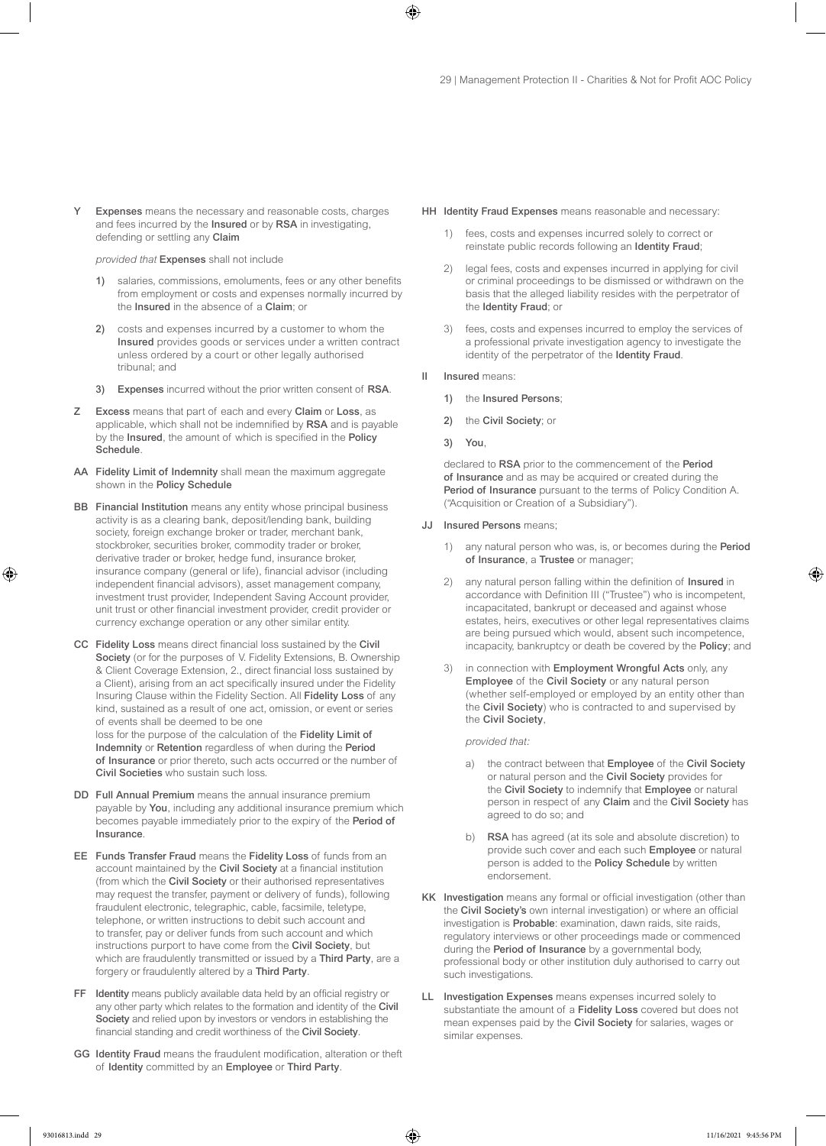Expenses means the necessary and reasonable costs, charges and fees incurred by the Insured or by RSA in investigating, defending or settling any Claim

*provided that* Expenses shall not include

- 1) salaries, commissions, emoluments, fees or any other benefits from employment or costs and expenses normally incurred by the Insured in the absence of a Claim; or
- 2) costs and expenses incurred by a customer to whom the Insured provides goods or services under a written contract unless ordered by a court or other legally authorised tribunal; and
- 3) Expenses incurred without the prior written consent of RSA.
- Z Excess means that part of each and every Claim or Loss, as applicable, which shall not be indemnified by RSA and is payable by the Insured, the amount of which is specified in the Policy **Schedule**
- AA Fidelity Limit of Indemnity shall mean the maximum aggregate shown in the Policy Schedule
- BB Financial Institution means any entity whose principal business activity is as a clearing bank, deposit/lending bank, building society, foreign exchange broker or trader, merchant bank, stockbroker, securities broker, commodity trader or broker, derivative trader or broker, hedge fund, insurance broker, insurance company (general or life), financial advisor (including independent financial advisors), asset management company, investment trust provider, Independent Saving Account provider, unit trust or other financial investment provider, credit provider or currency exchange operation or any other similar entity.
- CC Fidelity Loss means direct financial loss sustained by the Civil Society (or for the purposes of V. Fidelity Extensions, B. Ownership & Client Coverage Extension, 2., direct financial loss sustained by a Client), arising from an act specifically insured under the Fidelity Insuring Clause within the Fidelity Section. All Fidelity Loss of any kind, sustained as a result of one act, omission, or event or series of events shall be deemed to be one

loss for the purpose of the calculation of the Fidelity Limit of Indemnity or Retention regardless of when during the Period of Insurance or prior thereto, such acts occurred or the number of Civil Societies who sustain such loss.

- DD Full Annual Premium means the annual insurance premium payable by You, including any additional insurance premium which becomes payable immediately prior to the expiry of the Period of Insurance.
- EE Funds Transfer Fraud means the Fidelity Loss of funds from an account maintained by the Civil Society at a financial institution (from which the Civil Society or their authorised representatives may request the transfer, payment or delivery of funds), following fraudulent electronic, telegraphic, cable, facsimile, teletype, telephone, or written instructions to debit such account and to transfer, pay or deliver funds from such account and which instructions purport to have come from the Civil Society, but which are fraudulently transmitted or issued by a Third Party, are a forgery or fraudulently altered by a Third Party.
- FF Identity means publicly available data held by an official registry or any other party which relates to the formation and identity of the Civil Society and relied upon by investors or vendors in establishing the financial standing and credit worthiness of the Civil Society.
- GG Identity Fraud means the fraudulent modification, alteration or theft of Identity committed by an Employee or Third Party.
- HH Identity Fraud Expenses means reasonable and necessary:
	- 1) fees, costs and expenses incurred solely to correct or reinstate public records following an Identity Fraud;
	- 2) legal fees, costs and expenses incurred in applying for civil or criminal proceedings to be dismissed or withdrawn on the basis that the alleged liability resides with the perpetrator of the Identity Fraud; or
	- 3) fees, costs and expenses incurred to employ the services of a professional private investigation agency to investigate the identity of the perpetrator of the Identity Fraud.
- II Insured means:
	- 1) the Insured Persons;
	- 2) the Civil Society; or
	- 3) You,

declared to RSA prior to the commencement of the Period of Insurance and as may be acquired or created during the Period of Insurance pursuant to the terms of Policy Condition A. ("Acquisition or Creation of a Subsidiary").

- JJ Insured Persons means;
	- 1) any natural person who was, is, or becomes during the **Period** of Insurance, a Trustee or manager;
	- 2) any natural person falling within the definition of Insured in accordance with Definition III ("Trustee") who is incompetent, incapacitated, bankrupt or deceased and against whose estates, heirs, executives or other legal representatives claims are being pursued which would, absent such incompetence, incapacity, bankruptcy or death be covered by the Policy; and
	- 3) in connection with Employment Wrongful Acts only, any Employee of the Civil Society or any natural person (whether self-employed or employed by an entity other than the Civil Society) who is contracted to and supervised by the Civil Society,

*provided that:*

- a) the contract between that Employee of the Civil Society or natural person and the Civil Society provides for the Civil Society to indemnify that Employee or natural person in respect of any Claim and the Civil Society has agreed to do so; and
- b) RSA has agreed (at its sole and absolute discretion) to provide such cover and each such Employee or natural person is added to the Policy Schedule by written endorsement.
- KK Investigation means any formal or official investigation (other than the Civil Society's own internal investigation) or where an official investigation is Probable: examination, dawn raids, site raids, regulatory interviews or other proceedings made or commenced during the Period of Insurance by a governmental body, professional body or other institution duly authorised to carry out such investigations.
- LL Investigation Expenses means expenses incurred solely to substantiate the amount of a Fidelity Loss covered but does not mean expenses paid by the Civil Society for salaries, wages or similar expenses.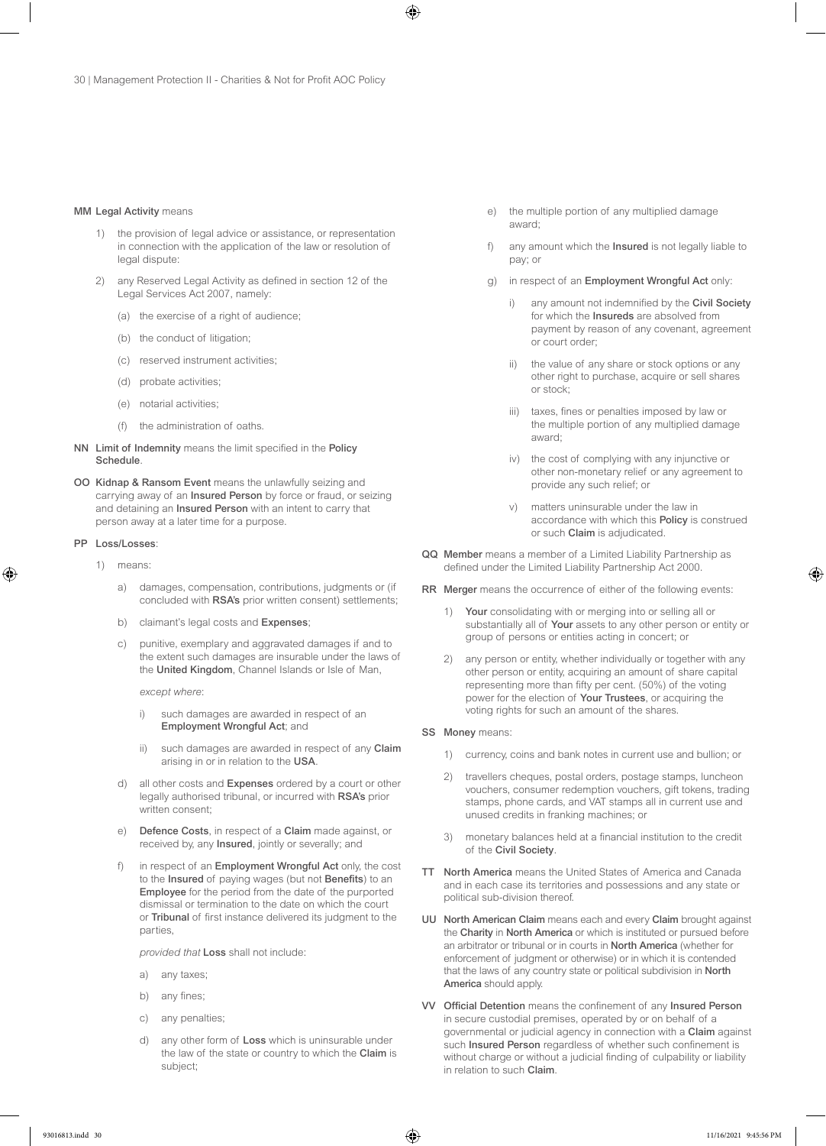#### MM Legal Activity means

- 1) the provision of legal advice or assistance, or representation in connection with the application of the law or resolution of legal dispute:
- 2) any Reserved Legal Activity as defined in section 12 of the Legal Services Act 2007, namely:
	- (a) the exercise of a right of audience;
	- (b) the conduct of litigation;
	- (c) reserved instrument activities;
	- (d) probate activities;
	- (e) notarial activities;
	- (f) the administration of oaths.
- NN Limit of Indemnity means the limit specified in the Policy **Schedule**
- OO Kidnap & Ransom Event means the unlawfully seizing and carrying away of an Insured Person by force or fraud, or seizing and detaining an Insured Person with an intent to carry that person away at a later time for a purpose.

#### PP Loss/Losses:

- 1) means:
	- a) damages, compensation, contributions, judgments or (if concluded with RSA's prior written consent) settlements;
	- b) claimant's legal costs and Expenses;
	- c) punitive, exemplary and aggravated damages if and to the extent such damages are insurable under the laws of the United Kingdom, Channel Islands or Isle of Man,

*except where*:

- i) such damages are awarded in respect of an Employment Wrongful Act; and
- ii) such damages are awarded in respect of any Claim arising in or in relation to the USA.
- d) all other costs and Expenses ordered by a court or other legally authorised tribunal, or incurred with RSA's prior written consent;
- e) Defence Costs, in respect of a Claim made against, or received by, any Insured, jointly or severally; and
- f) in respect of an Employment Wrongful Act only, the cost to the Insured of paying wages (but not Benefits) to an Employee for the period from the date of the purported dismissal or termination to the date on which the court or Tribunal of first instance delivered its judgment to the parties,

*provided that* Loss shall not include:

- a) any taxes;
- b) any fines;
- c) any penalties;
- d) any other form of Loss which is uninsurable under the law of the state or country to which the Claim is subject;
- e) the multiple portion of any multiplied damage award;
- f) any amount which the Insured is not legally liable to pay; or
- g) in respect of an Employment Wrongful Act only:
	- i) any amount not indemnified by the Civil Society for which the Insureds are absolved from payment by reason of any covenant, agreement or court order;
	- ii) the value of any share or stock options or any other right to purchase, acquire or sell shares or stock;
	- iii) taxes, fines or penalties imposed by law or the multiple portion of any multiplied damage award;
	- iv) the cost of complying with any injunctive or other non-monetary relief or any agreement to provide any such relief; or
	- v) matters uninsurable under the law in accordance with which this Policy is construed or such Claim is adjudicated.
- QQ Member means a member of a Limited Liability Partnership as defined under the Limited Liability Partnership Act 2000.
- RR Merger means the occurrence of either of the following events:
	- 1) Your consolidating with or merging into or selling all or substantially all of Your assets to any other person or entity or group of persons or entities acting in concert; or
	- 2) any person or entity, whether individually or together with any other person or entity, acquiring an amount of share capital representing more than fifty per cent. (50%) of the voting power for the election of Your Trustees, or acquiring the voting rights for such an amount of the shares.
- SS Money means:
	- 1) currency, coins and bank notes in current use and bullion; or
	- 2) travellers cheques, postal orders, postage stamps, luncheon vouchers, consumer redemption vouchers, gift tokens, trading stamps, phone cards, and VAT stamps all in current use and unused credits in franking machines; or
	- 3) monetary balances held at a financial institution to the credit of the Civil Society.
- TT North America means the United States of America and Canada and in each case its territories and possessions and any state or political sub-division thereof.
- UU North American Claim means each and every Claim brought against the Charity in North America or which is instituted or pursued before an arbitrator or tribunal or in courts in North America (whether for enforcement of judgment or otherwise) or in which it is contended that the laws of any country state or political subdivision in North America should apply.
- VV Official Detention means the confinement of any Insured Person in secure custodial premises, operated by or on behalf of a governmental or judicial agency in connection with a Claim against such Insured Person regardless of whether such confinement is without charge or without a judicial finding of culpability or liability in relation to such Claim.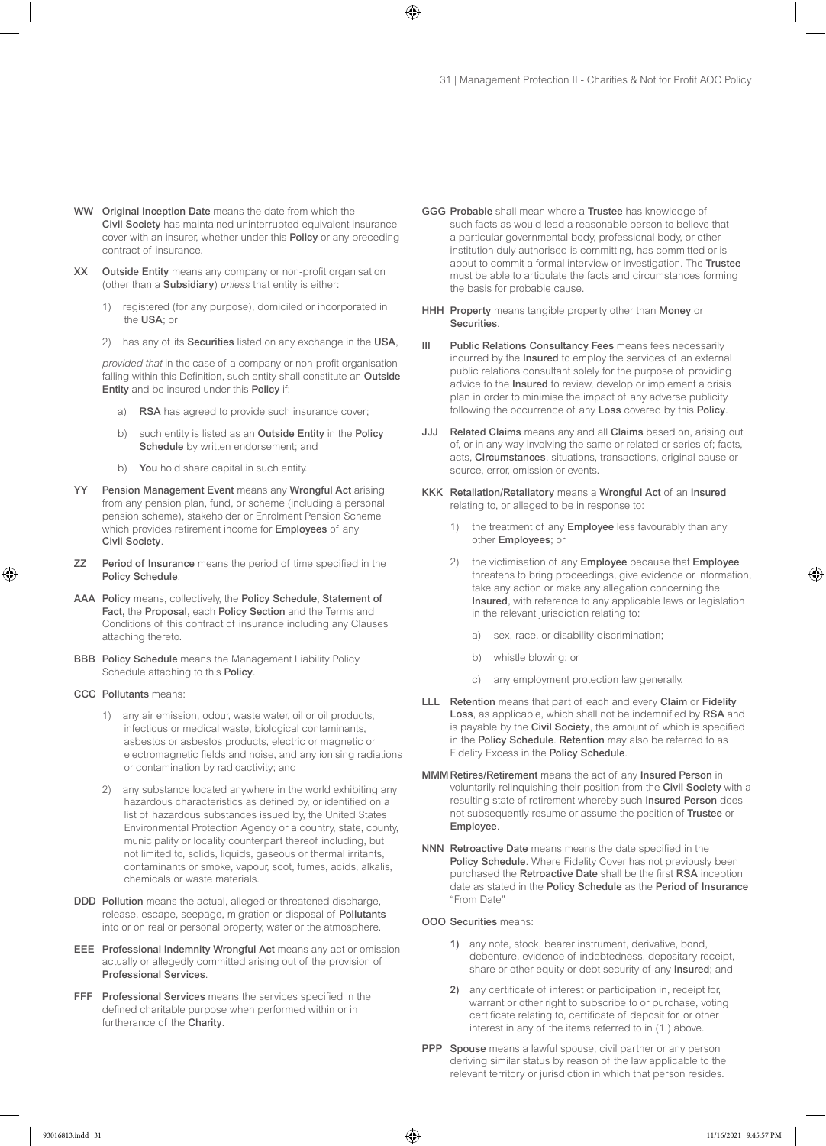- WW Original Inception Date means the date from which the Civil Society has maintained uninterrupted equivalent insurance cover with an insurer, whether under this Policy or any preceding contract of insurance.
- XX Outside Entity means any company or non-profit organisation (other than a Subsidiary) *unless* that entity is either:
	- registered (for any purpose), domiciled or incorporated in the USA: or
	- 2) has any of its Securities listed on any exchange in the USA,

*provided that* in the case of a company or non-profit organisation falling within this Definition, such entity shall constitute an Outside Entity and be insured under this Policy if:

- a) RSA has agreed to provide such insurance cover;
- b) such entity is listed as an Outside Entity in the Policy Schedule by written endorsement; and
- b) You hold share capital in such entity.
- YY Pension Management Event means any Wrongful Act arising from any pension plan, fund, or scheme (including a personal pension scheme), stakeholder or Enrolment Pension Scheme which provides retirement income for **Employees** of any Civil Society.
- ZZ Period of Insurance means the period of time specified in the Policy Schedule.
- AAA Policy means, collectively, the Policy Schedule, Statement of Fact, the Proposal, each Policy Section and the Terms and Conditions of this contract of insurance including any Clauses attaching thereto.
- BBB Policy Schedule means the Management Liability Policy Schedule attaching to this Policy.
- CCC Pollutants means:
	- 1) any air emission, odour, waste water, oil or oil products, infectious or medical waste, biological contaminants, asbestos or asbestos products, electric or magnetic or electromagnetic fields and noise, and any ionising radiations or contamination by radioactivity; and
	- 2) any substance located anywhere in the world exhibiting any hazardous characteristics as defined by, or identified on a list of hazardous substances issued by, the United States Environmental Protection Agency or a country, state, county, municipality or locality counterpart thereof including, but not limited to, solids, liquids, gaseous or thermal irritants, contaminants or smoke, vapour, soot, fumes, acids, alkalis, chemicals or waste materials.
- DDD Pollution means the actual, alleged or threatened discharge, release, escape, seepage, migration or disposal of Pollutants into or on real or personal property, water or the atmosphere.
- EEE Professional Indemnity Wrongful Act means any act or omission actually or allegedly committed arising out of the provision of Professional Services.
- FFF Professional Services means the services specified in the defined charitable purpose when performed within or in furtherance of the Charity.
- GGG Probable shall mean where a Trustee has knowledge of such facts as would lead a reasonable person to believe that a particular governmental body, professional body, or other institution duly authorised is committing, has committed or is about to commit a formal interview or investigation. The Trustee must be able to articulate the facts and circumstances forming the basis for probable cause.
- HHH Property means tangible property other than Money or Securities.
- III Public Relations Consultancy Fees means fees necessarily incurred by the Insured to employ the services of an external public relations consultant solely for the purpose of providing advice to the Insured to review, develop or implement a crisis plan in order to minimise the impact of any adverse publicity following the occurrence of any Loss covered by this Policy.
- JJJ Related Claims means any and all Claims based on, arising out of, or in any way involving the same or related or series of; facts, acts, Circumstances, situations, transactions, original cause or source, error, omission or events.
- KKK Retaliation/Retaliatory means a Wrongful Act of an Insured relating to, or alleged to be in response to:
	- 1) the treatment of any Employee less favourably than any other Employees; or
	- 2) the victimisation of any Employee because that Employee threatens to bring proceedings, give evidence or information, take any action or make any allegation concerning the Insured, with reference to any applicable laws or legislation in the relevant jurisdiction relating to:
		- a) sex, race, or disability discrimination;
		- b) whistle blowing; or
		- c) any employment protection law generally.
- LLL Retention means that part of each and every Claim or Fidelity Loss, as applicable, which shall not be indemnified by RSA and is payable by the Civil Society, the amount of which is specified in the Policy Schedule. Retention may also be referred to as Fidelity Excess in the Policy Schedule.
- MMM Retires/Retirement means the act of any Insured Person in voluntarily relinquishing their position from the Civil Society with a resulting state of retirement whereby such Insured Person does not subsequently resume or assume the position of Trustee or Employee.
- NNN Retroactive Date means means the date specified in the Policy Schedule. Where Fidelity Cover has not previously been purchased the Retroactive Date shall be the first RSA inception date as stated in the Policy Schedule as the Period of Insurance "From Date"
- OOO Securities means:
	- 1) any note, stock, bearer instrument, derivative, bond, debenture, evidence of indebtedness, depositary receipt, share or other equity or debt security of any Insured; and
	- 2) any certificate of interest or participation in, receipt for, warrant or other right to subscribe to or purchase, voting certificate relating to, certificate of deposit for, or other interest in any of the items referred to in (1.) above.
- PPP Spouse means a lawful spouse, civil partner or any person deriving similar status by reason of the law applicable to the relevant territory or jurisdiction in which that person resides.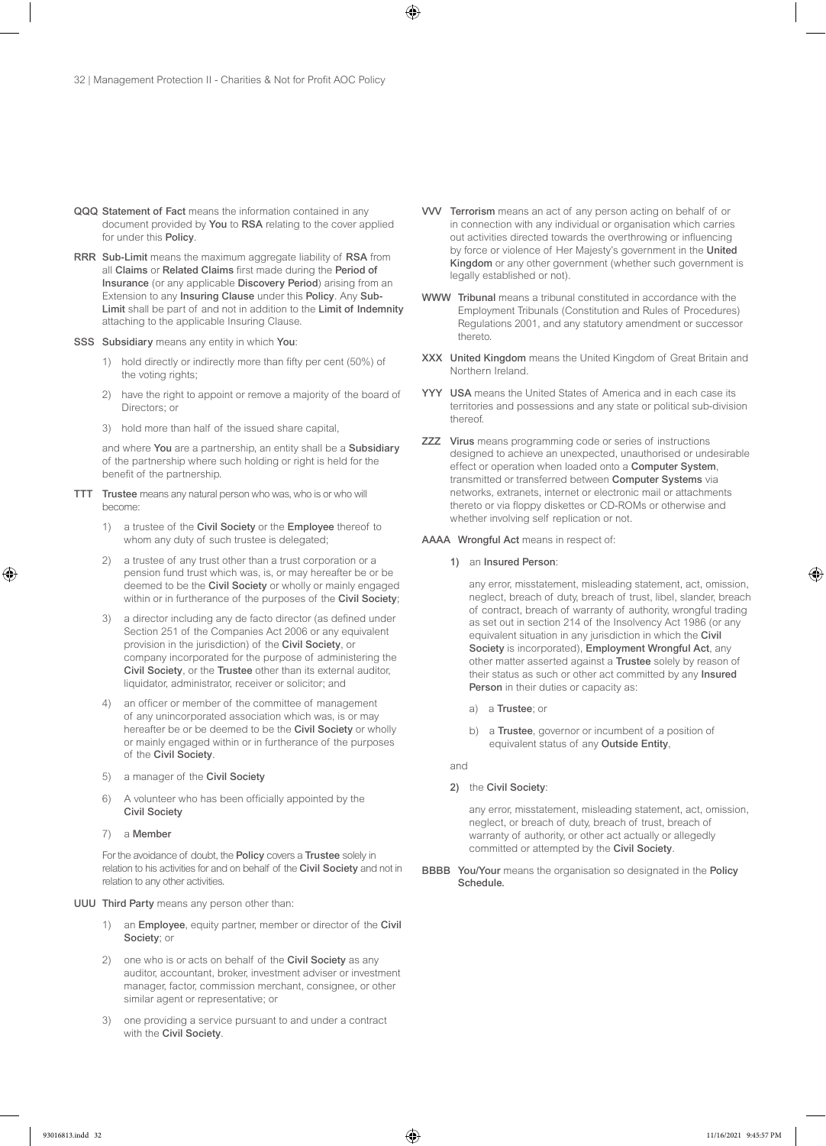- QQQ Statement of Fact means the information contained in any document provided by You to RSA relating to the cover applied for under this Policy.
- RRR Sub-Limit means the maximum aggregate liability of RSA from all Claims or Related Claims first made during the Period of Insurance (or any applicable Discovery Period) arising from an Extension to any Insuring Clause under this Policy. Any Sub-Limit shall be part of and not in addition to the Limit of Indemnity attaching to the applicable Insuring Clause.

#### SSS Subsidiary means any entity in which You:

- 1) hold directly or indirectly more than fifty per cent (50%) of the voting rights;
- 2) have the right to appoint or remove a majority of the board of Directors; or
- 3) hold more than half of the issued share capital,

and where You are a partnership, an entity shall be a Subsidiary of the partnership where such holding or right is held for the benefit of the partnership.

- TTT Trustee means any natural person who was, who is or who will become:
	- 1) a trustee of the Civil Society or the Employee thereof to whom any duty of such trustee is delegated;
	- 2) a trustee of any trust other than a trust corporation or a pension fund trust which was, is, or may hereafter be or be deemed to be the Civil Society or wholly or mainly engaged within or in furtherance of the purposes of the Civil Society;
	- 3) a director including any de facto director (as defined under Section 251 of the Companies Act 2006 or any equivalent provision in the jurisdiction) of the Civil Society, or company incorporated for the purpose of administering the Civil Society, or the Trustee other than its external auditor, liquidator, administrator, receiver or solicitor; and
	- 4) an officer or member of the committee of management of any unincorporated association which was, is or may hereafter be or be deemed to be the Civil Society or wholly or mainly engaged within or in furtherance of the purposes of the Civil Society.
	- 5) a manager of the Civil Society
	- 6) A volunteer who has been officially appointed by the Civil Society
	- 7) a Member

For the avoidance of doubt, the Policy covers a Trustee solely in relation to his activities for and on behalf of the Civil Society and not in relation to any other activities.

#### UUU Third Party means any person other than:

- 1) an Employee, equity partner, member or director of the Civil Society; or
- 2) one who is or acts on behalf of the Civil Society as any auditor, accountant, broker, investment adviser or investment manager, factor, commission merchant, consignee, or other similar agent or representative; or
- 3) one providing a service pursuant to and under a contract with the Civil Society.
- VVV Terrorism means an act of any person acting on behalf of or in connection with any individual or organisation which carries out activities directed towards the overthrowing or influencing by force or violence of Her Majesty's government in the United Kingdom or any other government (whether such government is legally established or not).
- WWW Tribunal means a tribunal constituted in accordance with the Employment Tribunals (Constitution and Rules of Procedures) Regulations 2001, and any statutory amendment or successor thereto.
- XXX United Kingdom means the United Kingdom of Great Britain and Northern Ireland.
- YYY USA means the United States of America and in each case its territories and possessions and any state or political sub-division thereof.
- ZZZ Virus means programming code or series of instructions designed to achieve an unexpected, unauthorised or undesirable effect or operation when loaded onto a Computer System, transmitted or transferred between Computer Systems via networks, extranets, internet or electronic mail or attachments thereto or via floppy diskettes or CD-ROMs or otherwise and whether involving self replication or not.

#### AAAA Wrongful Act means in respect of:

1) an Insured Person:

any error, misstatement, misleading statement, act, omission, neglect, breach of duty, breach of trust, libel, slander, breach of contract, breach of warranty of authority, wrongful trading as set out in section 214 of the Insolvency Act 1986 (or any equivalent situation in any jurisdiction in which the Civil Society is incorporated), Employment Wrongful Act, any other matter asserted against a Trustee solely by reason of their status as such or other act committed by any Insured Person in their duties or capacity as:

- a) a Trustee; or
- b) a Trustee, governor or incumbent of a position of equivalent status of any Outside Entity,

and

#### 2) the Civil Society:

any error, misstatement, misleading statement, act, omission, neglect, or breach of duty, breach of trust, breach of warranty of authority, or other act actually or allegedly committed or attempted by the Civil Society.

BBBB You/Your means the organisation so designated in the Policy Schedule.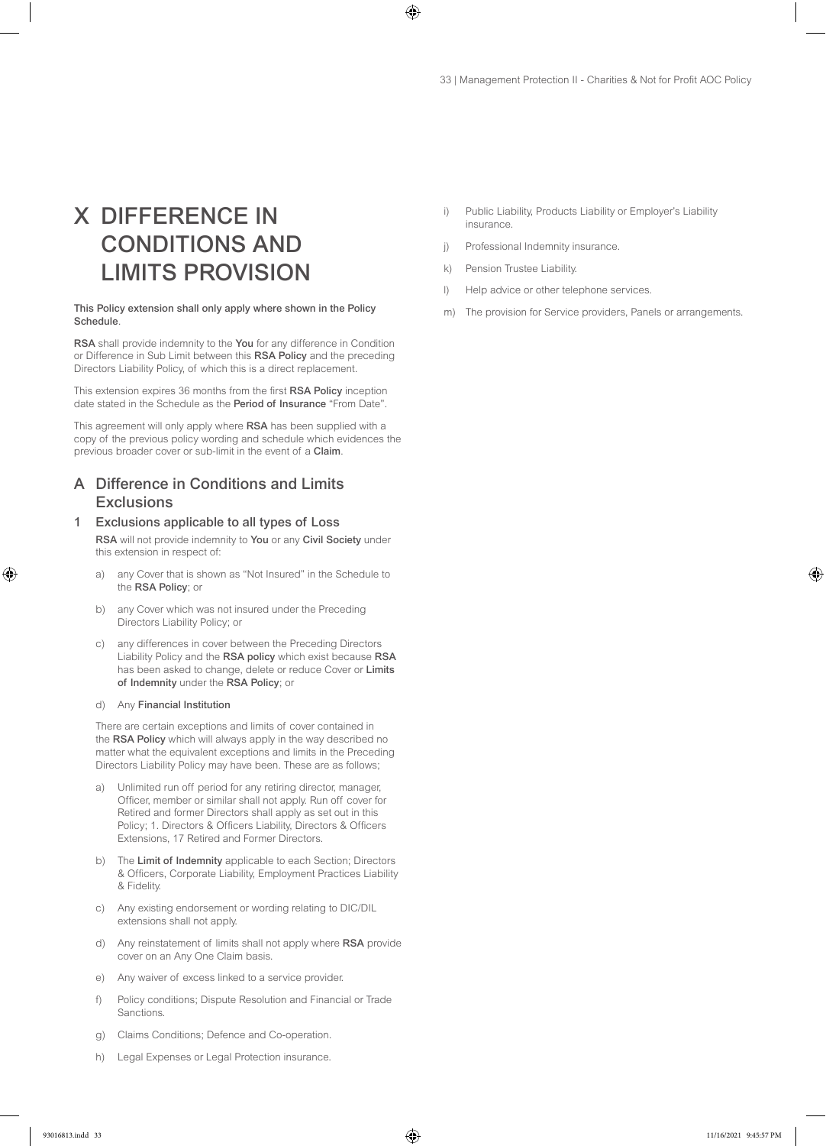# X DIFFERENCE IN CONDITIONS AND LIMITS PROVISION

#### This Policy extension shall only apply where shown in the Policy Schedule.

RSA shall provide indemnity to the You for any difference in Condition or Difference in Sub Limit between this RSA Policy and the preceding Directors Liability Policy, of which this is a direct replacement.

This extension expires 36 months from the first RSA Policy inception date stated in the Schedule as the Period of Insurance "From Date".

This agreement will only apply where RSA has been supplied with a copy of the previous policy wording and schedule which evidences the previous broader cover or sub-limit in the event of a Claim.

# A Difference in Conditions and Limits **Exclusions**

### 1 Exclusions applicable to all types of Loss

RSA will not provide indemnity to You or any Civil Society under this extension in respect of:

- a) any Cover that is shown as "Not Insured" in the Schedule to the RSA Policy; or
- b) any Cover which was not insured under the Preceding Directors Liability Policy; or
- c) any differences in cover between the Preceding Directors Liability Policy and the RSA policy which exist because RSA has been asked to change, delete or reduce Cover or Limits of Indemnity under the RSA Policy; or

#### d) Any Financial Institution

There are certain exceptions and limits of cover contained in the RSA Policy which will always apply in the way described no matter what the equivalent exceptions and limits in the Preceding Directors Liability Policy may have been. These are as follows;

- Unlimited run off period for any retiring director, manager, Officer, member or similar shall not apply. Run off cover for Retired and former Directors shall apply as set out in this Policy; 1. Directors & Officers Liability, Directors & Officers Extensions, 17 Retired and Former Directors.
- b) The Limit of Indemnity applicable to each Section; Directors & Officers, Corporate Liability, Employment Practices Liability & Fidelity.
- c) Any existing endorsement or wording relating to DIC/DIL extensions shall not apply.
- d) Any reinstatement of limits shall not apply where RSA provide cover on an Any One Claim basis.
- e) Any waiver of excess linked to a service provider.
- f) Policy conditions; Dispute Resolution and Financial or Trade **Sanctions**
- g) Claims Conditions; Defence and Co-operation.
- h) Legal Expenses or Legal Protection insurance.
- i) Public Liability, Products Liability or Employer's Liability insurance.
- j) Professional Indemnity insurance.
- k) Pension Trustee Liability.
- l) Help advice or other telephone services.
- m) The provision for Service providers, Panels or arrangements.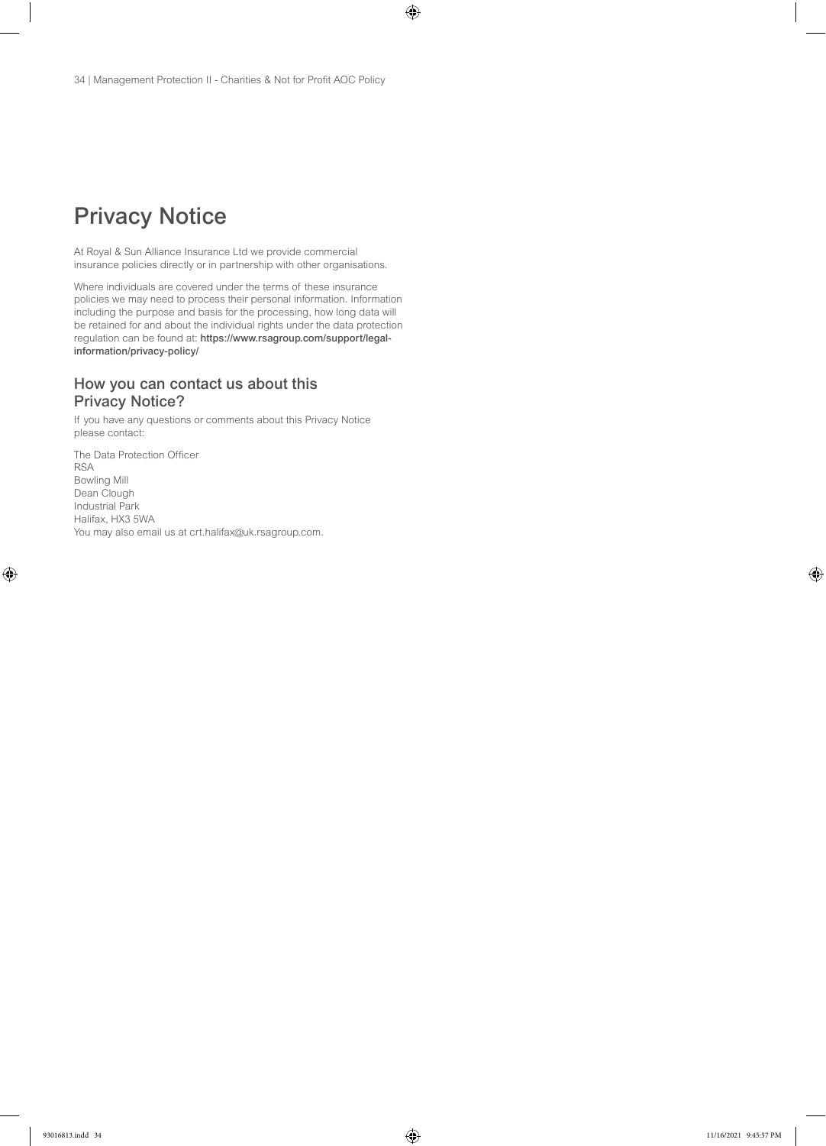# Privacy Notice

At Royal & Sun Alliance Insurance Ltd we provide commercial insurance policies directly or in partnership with other organisations.

Where individuals are covered under the terms of these insurance policies we may need to process their personal information. Information including the purpose and basis for the processing, how long data will be retained for and about the individual rights under the data protection regulation can be found at: https://www.rsagroup.com/support/legalinformation/privacy-policy/

# How you can contact us about this Privacy Notice?

If you have any questions or comments about this Privacy Notice please contact:

The Data Protection Officer RSA Bowling Mill Dean Clough Industrial Park Halifax, HX3 5WA You may also email us at crt.halifax@uk.rsagroup.com.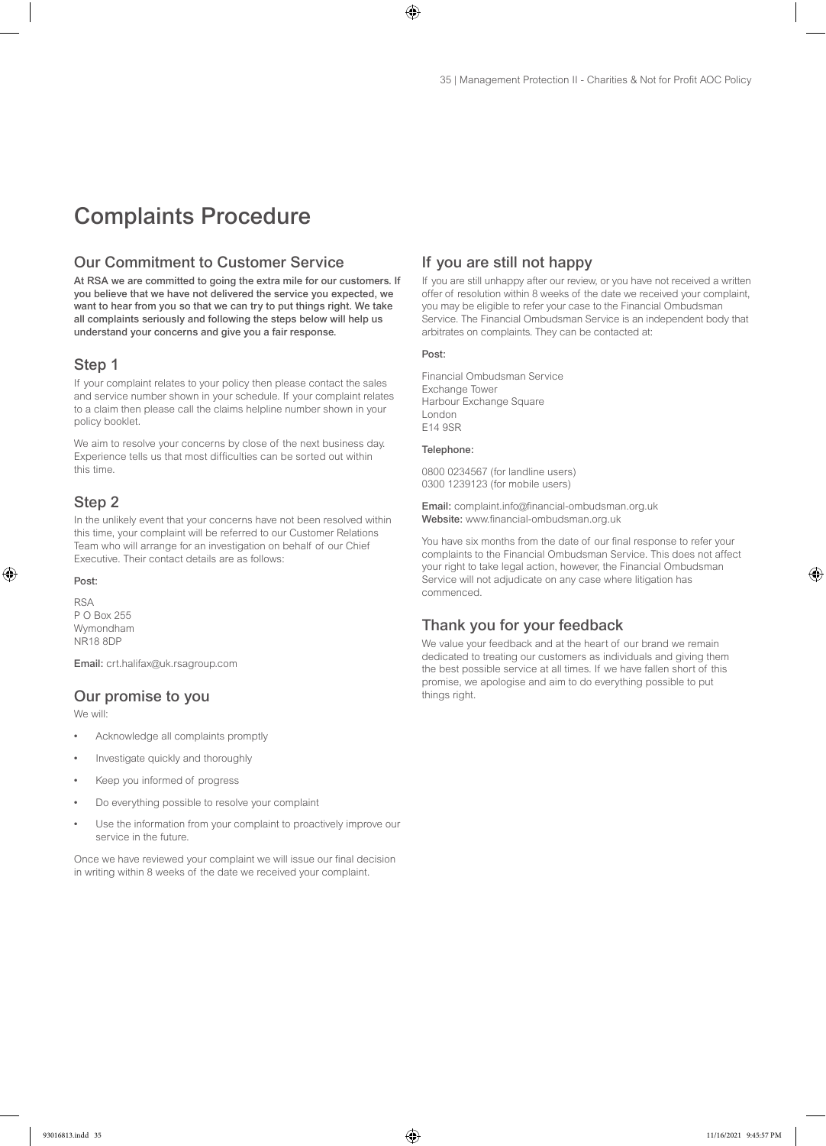# Complaints Procedure

# Our Commitment to Customer Service

At RSA we are committed to going the extra mile for our customers. If you believe that we have not delivered the service you expected, we want to hear from you so that we can try to put things right. We take all complaints seriously and following the steps below will help us understand your concerns and give you a fair response.

# Step 1

If your complaint relates to your policy then please contact the sales and service number shown in your schedule. If your complaint relates to a claim then please call the claims helpline number shown in your policy booklet.

We aim to resolve your concerns by close of the next business day. Experience tells us that most difficulties can be sorted out within this time.

#### Step 2

In the unlikely event that your concerns have not been resolved within this time, your complaint will be referred to our Customer Relations Team who will arrange for an investigation on behalf of our Chief Executive. Their contact details are as follows:

#### Post:

RSA P O Box 255 Wymondham NR18 8DP

Email: crt.halifax@uk.rsagroup.com

### Our promise to you

We will:

- Acknowledge all complaints promptly
- Investigate quickly and thoroughly
- Keep you informed of progress
- Do everything possible to resolve your complaint
- Use the information from your complaint to proactively improve our service in the future.

Once we have reviewed your complaint we will issue our final decision in writing within 8 weeks of the date we received your complaint.

# If you are still not happy

If you are still unhappy after our review, or you have not received a written offer of resolution within 8 weeks of the date we received your complaint, you may be eligible to refer your case to the Financial Ombudsman Service. The Financial Ombudsman Service is an independent body that arbitrates on complaints. They can be contacted at:

#### Post:

Financial Ombudsman Service Exchange Tower Harbour Exchange Square London E14 9SR

#### Telephone:

0800 0234567 (for landline users) 0300 1239123 (for mobile users)

Email: complaint.info@financial-ombudsman.org.uk Website: www.financial-ombudsman.org.uk

You have six months from the date of our final response to refer your complaints to the Financial Ombudsman Service. This does not affect your right to take legal action, however, the Financial Ombudsman Service will not adjudicate on any case where litigation has commenced.

# Thank you for your feedback

We value your feedback and at the heart of our brand we remain dedicated to treating our customers as individuals and giving them the best possible service at all times. If we have fallen short of this promise, we apologise and aim to do everything possible to put things right.